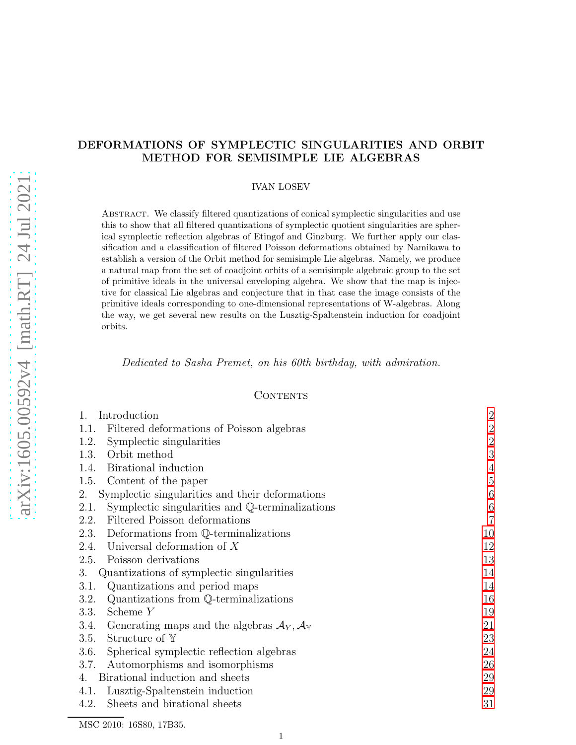# DEFORMATIONS OF SYMPLECTIC SINGULARITIES AND ORBIT METHOD FOR SEMISIMPLE LIE ALGEBRAS

### IVAN LOSEV

Abstract. We classify filtered quantizations of conical symplectic singularities and use this to show that all filtered quantizations of symplectic quotient singularities are spherical symplectic reflection algebras of Etingof and Ginzburg. We further apply our classification and a classification of filtered Poisson deformations obtained by Namikawa to establish a version of the Orbit method for semisimple Lie algebras. Namely, we produce a natural map from the set of coadjoint orbits of a semisimple algebraic group to the set of primitive ideals in the universal enveloping algebra. We show that the map is injective for classical Lie algebras and conjecture that in that case the image consists of the primitive ideals corresponding to one-dimensional representations of W-algebras. Along the way, we get several new results on the Lusztig-Spaltenstein induction for coadjoint orbits.

Dedicated to Sasha Premet, on his 60th birthday, with admiration.

## **CONTENTS**

| 1.<br>Introduction                                                                 | $\overline{2}$ |
|------------------------------------------------------------------------------------|----------------|
| Filtered deformations of Poisson algebras<br>1.1.                                  | $\overline{2}$ |
| Symplectic singularities<br>1.2.                                                   | $\overline{2}$ |
| Orbit method<br>1.3.                                                               | 3              |
| Birational induction<br>1.4.                                                       | $\overline{4}$ |
| Content of the paper<br>1.5.                                                       | $\overline{5}$ |
| Symplectic singularities and their deformations<br>2.                              | 6              |
| Symplectic singularities and Q-terminalizations<br>2.1.                            | $\,6\,$        |
| Filtered Poisson deformations<br>2.2.                                              | $\overline{7}$ |
| Deformations from Q-terminalizations<br>2.3.                                       | 10             |
| Universal deformation of $X$<br>2.4.                                               | 12             |
| Poisson derivations<br>2.5.                                                        | 13             |
| Quantizations of symplectic singularities<br>3.                                    | 14             |
| Quantizations and period maps<br>3.1.                                              | 14             |
| Quantizations from Q-terminalizations<br>3.2.                                      | 16             |
| Scheme Y<br>3.3.                                                                   | 19             |
| Generating maps and the algebras $\mathcal{A}_Y, \mathcal{A}_{\mathbb{Y}}$<br>3.4. | 21             |
| Structure of $Y$<br>3.5.                                                           | 23             |
| Spherical symplectic reflection algebras<br>3.6.                                   | 24             |
| Automorphisms and isomorphisms<br>3.7.                                             | 26             |
| Birational induction and sheets<br>4.                                              | 29             |
| Lusztig-Spaltenstein induction<br>4.1.                                             | 29             |
| Sheets and birational sheets<br>4.2.                                               | 31             |

MSC 2010: 16S80, 17B35.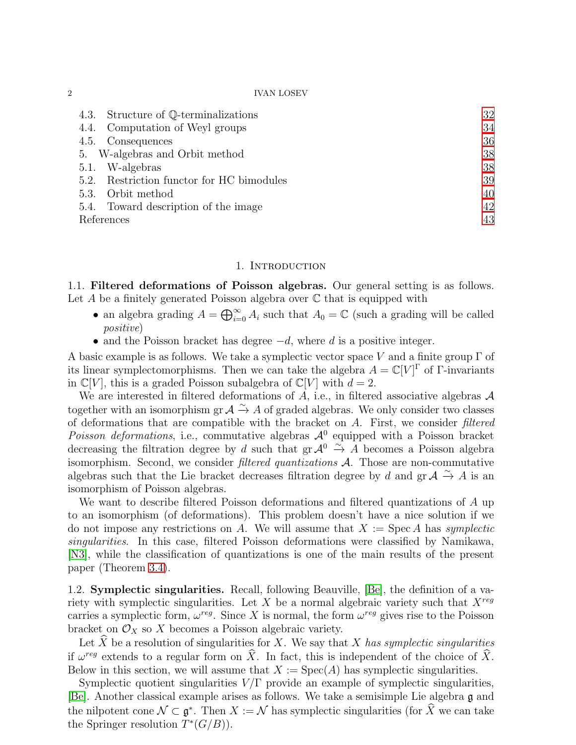| 4.3. Structure of Q-terminalizations         | 32 |
|----------------------------------------------|----|
| 4.4. Computation of Weyl groups              | 34 |
| 4.5. Consequences                            | 36 |
| 5. W-algebras and Orbit method               | 38 |
| 5.1. W-algebras                              | 38 |
| Restriction functor for HC bimodules<br>5.2. | 39 |
| 5.3. Orbit method                            | 40 |
| 5.4. Toward description of the image         | 42 |
| References                                   | 43 |

### 1. INTRODUCTION

<span id="page-1-1"></span><span id="page-1-0"></span>1.1. Filtered deformations of Poisson algebras. Our general setting is as follows. Let A be a finitely generated Poisson algebra over  $\mathbb C$  that is equipped with

- an algebra grading  $A = \bigoplus_{i=0}^{\infty} A_i$  such that  $A_0 = \mathbb{C}$  (such a grading will be called positive)
- and the Poisson bracket has degree  $-d$ , where d is a positive integer.

A basic example is as follows. We take a symplectic vector space V and a finite group  $\Gamma$  of its linear symplectomorphisms. Then we can take the algebra  $A = \mathbb{C}[V]^{\Gamma}$  of  $\Gamma$ -invariants in  $\mathbb{C}[V]$ , this is a graded Poisson subalgebra of  $\mathbb{C}[V]$  with  $d=2$ .

We are interested in filtered deformations of A, i.e., in filtered associative algebras  $\mathcal A$ together with an isomorphism gr  $\mathcal{A} \xrightarrow{\sim} A$  of graded algebras. We only consider two classes of deformations that are compatible with the bracket on  $A$ . First, we consider filtered Poisson deformations, i.e., commutative algebras  $\mathcal{A}^0$  equipped with a Poisson bracket decreasing the filtration degree by d such that gr  $\mathcal{A}^0 \stackrel{\sim}{\rightarrow} A$  becomes a Poisson algebra isomorphism. Second, we consider filtered quantizations A. Those are non-commutative algebras such that the Lie bracket decreases filtration degree by d and gr  $\mathcal{A} \xrightarrow{\sim} A$  is an isomorphism of Poisson algebras.

We want to describe filtered Poisson deformations and filtered quantizations of A up to an isomorphism (of deformations). This problem doesn't have a nice solution if we do not impose any restrictions on A. We will assume that  $X := \text{Spec } A$  has symplectic singularities. In this case, filtered Poisson deformations were classified by Namikawa, [\[N3\]](#page-43-0), while the classification of quantizations is one of the main results of the present paper (Theorem [3.4\)](#page-16-0).

<span id="page-1-2"></span>1.2. Symplectic singularities. Recall, following Beauville, [\[Be\]](#page-42-1), the definition of a variety with symplectic singularities. Let X be a normal algebraic variety such that  $X^{reg}$ carries a symplectic form,  $\omega^{reg}$ . Since X is normal, the form  $\omega^{reg}$  gives rise to the Poisson bracket on  $\mathcal{O}_X$  so X becomes a Poisson algebraic variety.

Let  $\widehat{X}$  be a resolution of singularities for X. We say that X has symplectic singularities if  $\omega^{reg}$  extends to a regular form on  $\hat{X}$ . In fact, this is independent of the choice of  $\hat{X}$ . Below in this section, we will assume that  $X := \text{Spec}(A)$  has symplectic singularities.

Symplectic quotient singularities  $V/\Gamma$  provide an example of symplectic singularities, [\[Be\]](#page-42-1). Another classical example arises as follows. We take a semisimple Lie algebra g and the nilpotent cone  $\mathcal{N} \subset \mathfrak{g}^*$ . Then  $X := \mathcal{N}$  has symplectic singularities (for  $\hat{X}$  we can take the Springer resolution  $T^*(G/B)$ .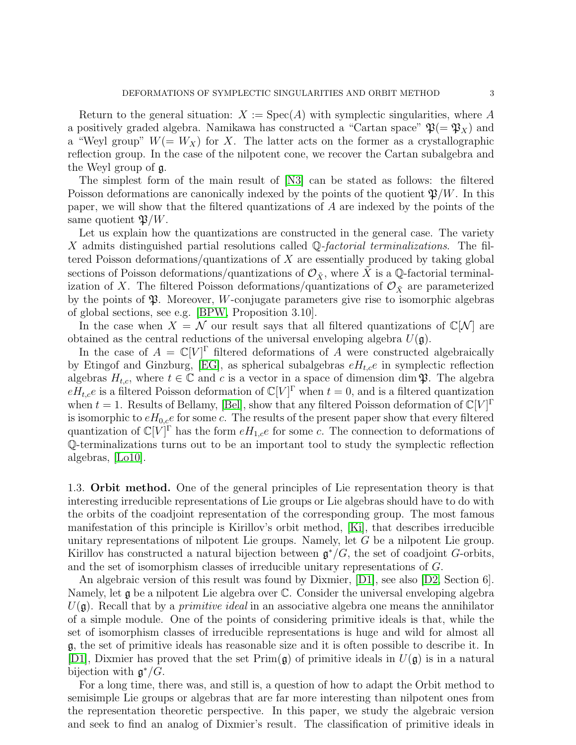Return to the general situation:  $X := \text{Spec}(A)$  with symplectic singularities, where A a positively graded algebra. Namikawa has constructed a "Cartan space"  $\mathfrak{P}(=\mathfrak{P}_X)$  and a "Weyl group"  $W(= W_X)$  for X. The latter acts on the former as a crystallographic reflection group. In the case of the nilpotent cone, we recover the Cartan subalgebra and the Weyl group of g.

The simplest form of the main result of [\[N3\]](#page-43-0) can be stated as follows: the filtered Poisson deformations are canonically indexed by the points of the quotient  $\mathfrak{P}/W$ . In this paper, we will show that the filtered quantizations of A are indexed by the points of the same quotient  $\mathfrak{B}/W$ .

Let us explain how the quantizations are constructed in the general case. The variety X admits distinguished partial resolutions called Q-factorial terminalizations. The filtered Poisson deformations/quantizations of X are essentially produced by taking global sections of Poisson deformations/quantizations of  $\mathcal{O}_{\tilde{X}}$ , where X is a Q-factorial terminalization of X. The filtered Poisson deformations/quantizations of  $\mathcal{O}_{\tilde{X}}$  are parameterized by the points of  $\mathfrak{P}$ . Moreover, *W*-conjugate parameters give rise to isomorphic algebras of global sections, see e.g. [\[BPW,](#page-42-2) Proposition 3.10].

In the case when  $X = \mathcal{N}$  our result says that all filtered quantizations of  $\mathbb{C}[\mathcal{N}]$  are obtained as the central reductions of the universal enveloping algebra  $U(\mathfrak{g})$ .

In the case of  $A = \mathbb{C}[V]^{\Gamma}$  filtered deformations of A were constructed algebraically by Etingof and Ginzburg, [\[EG\]](#page-42-3), as spherical subalgebras  $eH_{t,c}e$  in symplectic reflection algebras  $H_{t,c}$ , where  $t \in \mathbb{C}$  and c is a vector in a space of dimension dim  $\mathfrak{P}$ . The algebra  $eH_{t,c}e$  is a filtered Poisson deformation of  $\mathbb{C}[V]^{\Gamma}$  when  $t=0$ , and is a filtered quantization when  $t = 1$ . Results of Bellamy, [\[Bel\]](#page-42-4), show that any filtered Poisson deformation of  $\mathbb{C}[V]^{\Gamma}$ is isomorphic to  $eH_{0,c}e$  for some c. The results of the present paper show that every filtered quantization of  $\mathbb{C}[V]^{\Gamma}$  has the form  $eH_{1,c}e$  for some c. The connection to deformations of Q-terminalizations turns out to be an important tool to study the symplectic reflection algebras, [\[Lo10\]](#page-43-1).

<span id="page-2-0"></span>1.3. Orbit method. One of the general principles of Lie representation theory is that interesting irreducible representations of Lie groups or Lie algebras should have to do with the orbits of the coadjoint representation of the corresponding group. The most famous manifestation of this principle is Kirillov's orbit method, [\[Ki\]](#page-42-5), that describes irreducible unitary representations of nilpotent Lie groups. Namely, let G be a nilpotent Lie group. Kirillov has constructed a natural bijection between  $\mathfrak{g}^*/G$ , the set of coadjoint G-orbits, and the set of isomorphism classes of irreducible unitary representations of G.

An algebraic version of this result was found by Dixmier, [\[D1\]](#page-42-6), see also [\[D2,](#page-42-7) Section 6]. Namely, let g be a nilpotent Lie algebra over C. Consider the universal enveloping algebra  $U(\mathfrak{g})$ . Recall that by a *primitive ideal* in an associative algebra one means the annihilator of a simple module. One of the points of considering primitive ideals is that, while the set of isomorphism classes of irreducible representations is huge and wild for almost all g, the set of primitive ideals has reasonable size and it is often possible to describe it. In [\[D1\]](#page-42-6), Dixmier has proved that the set  $Prim(\mathfrak{g})$  of primitive ideals in  $U(\mathfrak{g})$  is in a natural bijection with  $\mathfrak{g}^*/G$ .

For a long time, there was, and still is, a question of how to adapt the Orbit method to semisimple Lie groups or algebras that are far more interesting than nilpotent ones from the representation theoretic perspective. In this paper, we study the algebraic version and seek to find an analog of Dixmier's result. The classification of primitive ideals in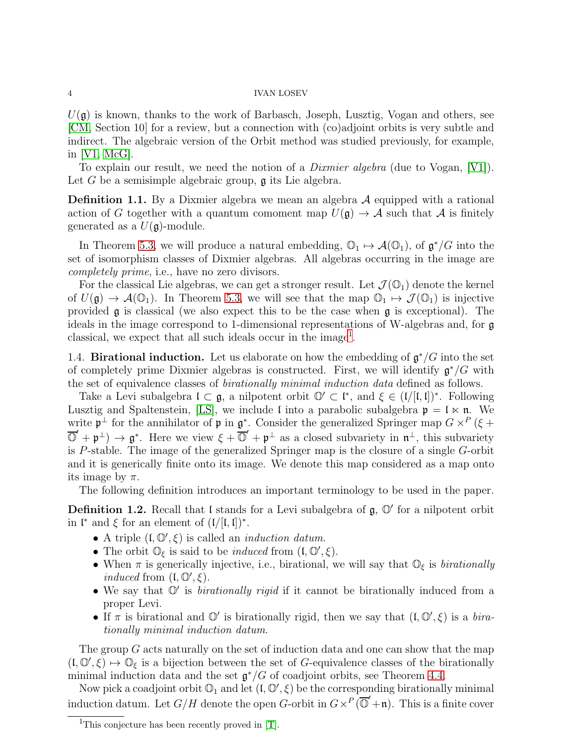$U(\mathfrak{g})$  is known, thanks to the work of Barbasch, Joseph, Lusztig, Vogan and others, see [\[CM,](#page-42-8) Section 10] for a review, but a connection with (co)adjoint orbits is very subtle and indirect. The algebraic version of the Orbit method was studied previously, for example, in [\[V1,](#page-43-2) [McG\]](#page-43-3).

To explain our result, we need the notion of a *Dixmier algebra* (due to Vogan, [\[V1\]](#page-43-2)). Let G be a semisimple algebraic group,  $\mathfrak g$  its Lie algebra.

**Definition 1.1.** By a Dixmier algebra we mean an algebra  $A$  equipped with a rational action of G together with a quantum comoment map  $U(\mathfrak{g}) \to \mathcal{A}$  such that  $\mathcal{A}$  is finitely generated as a  $U(\mathfrak{g})$ -module.

In Theorem [5.3,](#page-40-0) we will produce a natural embedding,  $\mathbb{O}_1 \mapsto \mathcal{A}(\mathbb{O}_1)$ , of  $\mathfrak{g}^*/G$  into the set of isomorphism classes of Dixmier algebras. All algebras occurring in the image are completely prime, i.e., have no zero divisors.

For the classical Lie algebras, we can get a stronger result. Let  $\mathcal{J}(\mathbb{O}_1)$  denote the kernel of  $U(\mathfrak{g}) \to \mathcal{A}(\mathbb{O}_1)$ . In Theorem [5.3,](#page-40-0) we will see that the map  $\mathbb{O}_1 \mapsto \mathcal{J}(\mathbb{O}_1)$  is injective provided g is classical (we also expect this to be the case when g is exceptional). The ideals in the image correspond to 1-dimensional representations of W-algebras and, for g classical, we expect that all such ideals occur in the image<sup>[1](#page-3-1)</sup>.

<span id="page-3-0"></span>1.4. **Birational induction.** Let us elaborate on how the embedding of  $\mathfrak{g}^*/G$  into the set of completely prime Dixmier algebras is constructed. First, we will identify  $\mathfrak{g}^*/G$  with the set of equivalence classes of birationally minimal induction data defined as follows.

Take a Levi subalgebra  $\mathfrak{l} \subset \mathfrak{g}$ , a nilpotent orbit  $\mathbb{O}' \subset \mathfrak{l}^*$ , and  $\xi \in (\mathfrak{l}/[\mathfrak{l},\mathfrak{l}])^*$ . Following Lusztig and Spaltenstein, [\[LS\]](#page-43-4), we include l into a parabolic subalgebra  $\mathfrak{p} = \mathfrak{l} \times \mathfrak{n}$ . We write  $\mathfrak{p}^{\perp}$  for the annihilator of  $\mathfrak{p}$  in  $\mathfrak{g}^*$ . Consider the generalized Springer map  $G \times^P (\xi +$  $\overline{\mathbb{O}}' + \mathfrak{p}^{\perp}$   $\rightarrow$   $\mathfrak{g}^*$ . Here we view  $\xi + \overline{\mathbb{O}}' + \mathfrak{p}^{\perp}$  as a closed subvariety in  $\mathfrak{n}^{\perp}$ , this subvariety is P-stable. The image of the generalized Springer map is the closure of a single G-orbit and it is generically finite onto its image. We denote this map considered as a map onto its image by  $\pi$ .

The following definition introduces an important terminology to be used in the paper.

<span id="page-3-2"></span>**Definition 1.2.** Recall that I stands for a Levi subalgebra of  $\mathfrak{g}, \mathbb{O}'$  for a nilpotent orbit in  $\mathfrak{l}^*$  and  $\xi$  for an element of  $(\mathfrak{l}/[\mathfrak{l},\mathfrak{l}])^*$ .

- A triple  $(I, \mathbb{O}', \xi)$  is called an *induction datum*.
- The orbit  $\mathbb{O}_{\xi}$  is said to be *induced* from  $(\mathfrak{l}, \mathbb{O}', \xi)$ .
- When  $\pi$  is generically injective, i.e., birational, we will say that  $\mathbb{O}_{\xi}$  is *birationally* induced from  $(I, \mathbb{O}', \xi)$ .
- We say that  $\mathbb{O}'$  is *birationally rigid* if it cannot be birationally induced from a proper Levi.
- If  $\pi$  is birational and  $\mathbb{O}'$  is birationally rigid, then we say that  $(1, \mathbb{O}', \xi)$  is a birationally minimal induction datum.

The group G acts naturally on the set of induction data and one can show that the map  $(0, \mathbb{O}', \xi) \mapsto \mathbb{O}_{\xi}$  is a bijection between the set of G-equivalence classes of the birationally minimal induction data and the set  $\mathfrak{g}^*/G$  of coadjoint orbits, see Theorem [4.4.](#page-31-1)

Now pick a coadjoint orbit  $\mathbb{O}_1$  and let  $(\mathfrak{l}, \mathbb{O}', \xi)$  be the corresponding birationally minimal induction datum. Let  $G/H$  denote the open G-orbit in  $G \times P(\overline{O} + \mathfrak{n})$ . This is a finite cover

<span id="page-3-1"></span><sup>&</sup>lt;sup>1</sup>This conjecture has been recently proved in [\[T\]](#page-43-5).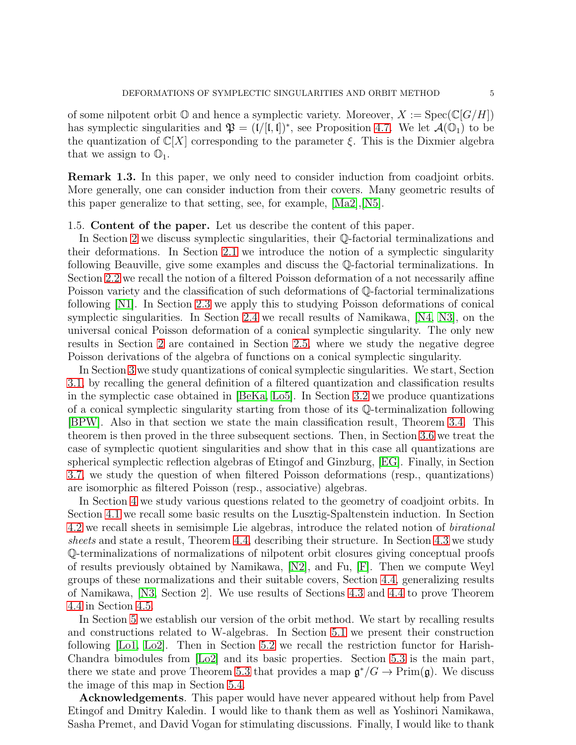of some nilpotent orbit  $\mathbb{O}$  and hence a symplectic variety. Moreover,  $X := \text{Spec}(\mathbb{C}[G/H])$ has symplectic singularities and  $\mathfrak{P} = (1/[\mathfrak{l}, \mathfrak{l}])^*$ , see Proposition [4.7.](#page-33-1) We let  $\mathcal{A}(\mathbb{O}_1)$  to be the quantization of  $\mathbb{C}[X]$  corresponding to the parameter  $\xi$ . This is the Dixmier algebra that we assign to  $\mathbb{O}_1$ .

Remark 1.3. In this paper, we only need to consider induction from coadjoint orbits. More generally, one can consider induction from their covers. Many geometric results of this paper generalize to that setting, see, for example, [\[Ma2\]](#page-43-6),[\[N5\]](#page-43-7).

## <span id="page-4-0"></span>1.5. Content of the paper. Let us describe the content of this paper.

In Section [2](#page-5-0) we discuss symplectic singularities, their Q-factorial terminalizations and their deformations. In Section [2.1](#page-5-1) we introduce the notion of a symplectic singularity following Beauville, give some examples and discuss the Q-factorial terminalizations. In Section [2.2](#page-6-0) we recall the notion of a filtered Poisson deformation of a not necessarily affine Poisson variety and the classification of such deformations of Q-factorial terminalizations following [\[N1\]](#page-43-8). In Section [2.3](#page-9-0) we apply this to studying Poisson deformations of conical symplectic singularities. In Section [2.4](#page-11-0) we recall results of Namikawa, [\[N4,](#page-43-9) [N3\]](#page-43-0), on the universal conical Poisson deformation of a conical symplectic singularity. The only new results in Section [2](#page-5-0) are contained in Section [2.5,](#page-12-0) where we study the negative degree Poisson derivations of the algebra of functions on a conical symplectic singularity.

In Section [3](#page-13-0) we study quantizations of conical symplectic singularities. We start, Section [3.1,](#page-13-1) by recalling the general definition of a filtered quantization and classification results in the symplectic case obtained in [\[BeKa,](#page-42-9) [Lo5\]](#page-43-10). In Section [3.2](#page-15-0) we produce quantizations of a conical symplectic singularity starting from those of its Q-terminalization following [\[BPW\]](#page-42-2). Also in that section we state the main classification result, Theorem [3.4.](#page-16-0) This theorem is then proved in the three subsequent sections. Then, in Section [3.6](#page-23-0) we treat the case of symplectic quotient singularities and show that in this case all quantizations are spherical symplectic reflection algebras of Etingof and Ginzburg, [\[EG\]](#page-42-3). Finally, in Section [3.7,](#page-25-0) we study the question of when filtered Poisson deformations (resp., quantizations) are isomorphic as filtered Poisson (resp., associative) algebras.

In Section [4](#page-28-0) we study various questions related to the geometry of coadjoint orbits. In Section [4.1](#page-28-1) we recall some basic results on the Lusztig-Spaltenstein induction. In Section [4.2](#page-30-0) we recall sheets in semisimple Lie algebras, introduce the related notion of birational sheets and state a result, Theorem [4.4,](#page-31-1) describing their structure. In Section [4.3](#page-31-0) we study Q-terminalizations of normalizations of nilpotent orbit closures giving conceptual proofs of results previously obtained by Namikawa, [\[N2\]](#page-43-11), and Fu, [\[F\]](#page-42-10). Then we compute Weyl groups of these normalizations and their suitable covers, Section [4.4,](#page-33-0) generalizing results of Namikawa, [\[N3,](#page-43-0) Section 2]. We use results of Sections [4.3](#page-31-0) and [4.4](#page-33-0) to prove Theorem [4.4](#page-31-1) in Section [4.5.](#page-35-0)

In Section [5](#page-37-0) we establish our version of the orbit method. We start by recalling results and constructions related to W-algebras. In Section [5.1](#page-37-1) we present their construction following [\[Lo1,](#page-43-12) [Lo2\]](#page-43-13). Then in Section [5.2](#page-38-0) we recall the restriction functor for Harish-Chandra bimodules from [\[Lo2\]](#page-43-13) and its basic properties. Section [5.3](#page-39-0) is the main part, there we state and prove Theorem [5.3](#page-40-0) that provides a map  $\mathfrak{g}^*/G \to \mathrm{Prim}(\mathfrak{g})$ . We discuss the image of this map in Section [5.4.](#page-41-0)

Acknowledgements. This paper would have never appeared without help from Pavel Etingof and Dmitry Kaledin. I would like to thank them as well as Yoshinori Namikawa, Sasha Premet, and David Vogan for stimulating discussions. Finally, I would like to thank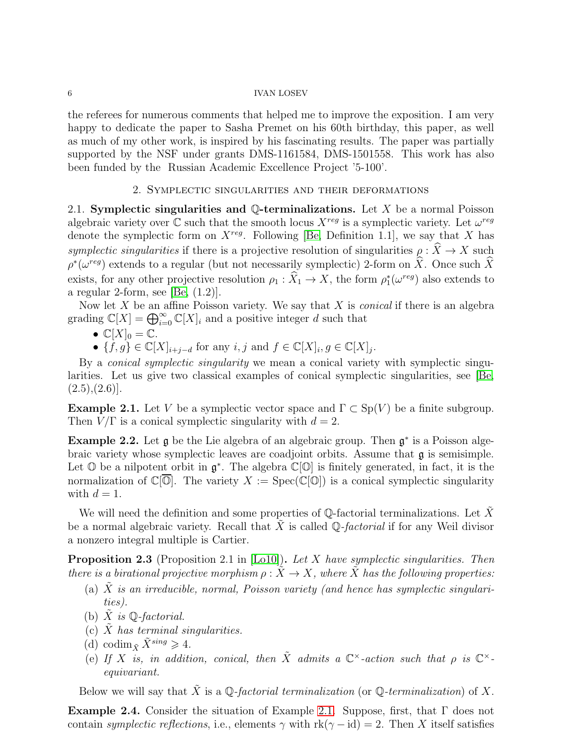the referees for numerous comments that helped me to improve the exposition. I am very happy to dedicate the paper to Sasha Premet on his 60th birthday, this paper, as well as much of my other work, is inspired by his fascinating results. The paper was partially supported by the NSF under grants DMS-1161584, DMS-1501558. This work has also been funded by the Russian Academic Excellence Project '5-100'.

## 2. Symplectic singularities and their deformations

<span id="page-5-1"></span><span id="page-5-0"></span>2.1. Symplectic singularities and  $\mathbb Q$ -terminalizations. Let X be a normal Poisson algebraic variety over  $\mathbb C$  such that the smooth locus  $X^{reg}$  is a symplectic variety. Let  $\omega^{reg}$ denote the symplectic form on  $X^{reg}$ . Following [\[Be,](#page-42-1) Definition 1.1], we say that X has symplectic singularities if there is a projective resolution of singularities  $\rho : \hat{X} \to X$  such  $\rho^*(\omega^{reg})$  extends to a regular (but not necessarily symplectic) 2-form on  $\hat{X}$ . Once such  $\hat{X}$ exists, for any other projective resolution  $\rho_1 : \hat{X}_1 \to X$ , the form  $\rho_1^*(\omega^{reg})$  also extends to a regular 2-form, see [\[Be,](#page-42-1)  $(1.2)$ ].

Now let  $X$  be an affine Poisson variety. We say that  $X$  is *conical* if there is an algebra grading  $\mathbb{C}[X] = \bigoplus_{i=0}^{\infty} \mathbb{C}[X]_i$  and a positive integer d such that

- $\mathbb{C}[X]_0 = \mathbb{C}$ .
- $\{f,g\} \in \mathbb{C}[X]_{i+j-d}$  for any  $i, j$  and  $f \in \mathbb{C}[X]_i, g \in \mathbb{C}[X]_j$ .

By a conical symplectic singularity we mean a conical variety with symplectic singularities. Let us give two classical examples of conical symplectic singularities, see [\[Be,](#page-42-1)  $(2.5),(2.6)$ ].

<span id="page-5-2"></span>**Example 2.1.** Let V be a symplectic vector space and  $\Gamma \subset Sp(V)$  be a finite subgroup. Then  $V/\Gamma$  is a conical symplectic singularity with  $d=2$ .

**Example 2.2.** Let  $\mathfrak{g}$  be the Lie algebra of an algebraic group. Then  $\mathfrak{g}^*$  is a Poisson algebraic variety whose symplectic leaves are coadjoint orbits. Assume that g is semisimple. Let  $\mathbb O$  be a nilpotent orbit in  $\mathfrak g^*$ . The algebra  $\mathbb C[\mathbb O]$  is finitely generated, in fact, it is the normalization of  $\mathbb{C}[\overline{\mathbb{O}}]$ . The variety  $X := \mathrm{Spec}(\mathbb{C}[\mathbb{O}])$  is a conical symplectic singularity with  $d=1$ .

We will need the definition and some properties of  $\mathbb Q$ -factorial terminalizations. Let X be a normal algebraic variety. Recall that  $X$  is called  $\mathbb{Q}$ -factorial if for any Weil divisor a nonzero integral multiple is Cartier.

<span id="page-5-3"></span>**Proposition 2.3** (Proposition 2.1 in [\[Lo10\]](#page-43-1)). Let X have symplectic singularities. Then there is a birational projective morphism  $\rho : \tilde{X} \to X$ , where X has the following properties:

- (a)  $X$  is an irreducible, normal, Poisson variety (and hence has symplectic singularities).
- (b) X is  $\mathbb{Q}$ -factorial.
- (c)  $X$  has terminal singularities.
- (d) codim  $\tilde{X}^{sing} \geq 4$ .
- (e) If X is, in addition, conical, then  $\tilde{X}$  admits a  $\mathbb{C}^{\times}$ -action such that  $\rho$  is  $\mathbb{C}^{\times}$ equivariant.

Below we will say that  $\tilde{X}$  is a Q-factorial terminalization (or Q-terminalization) of X.

Example 2.4. Consider the situation of Example [2.1.](#page-5-2) Suppose, first, that Γ does not contain *symplectic reflections*, i.e., elements  $\gamma$  with  $rk(\gamma - id) = 2$ . Then X itself satisfies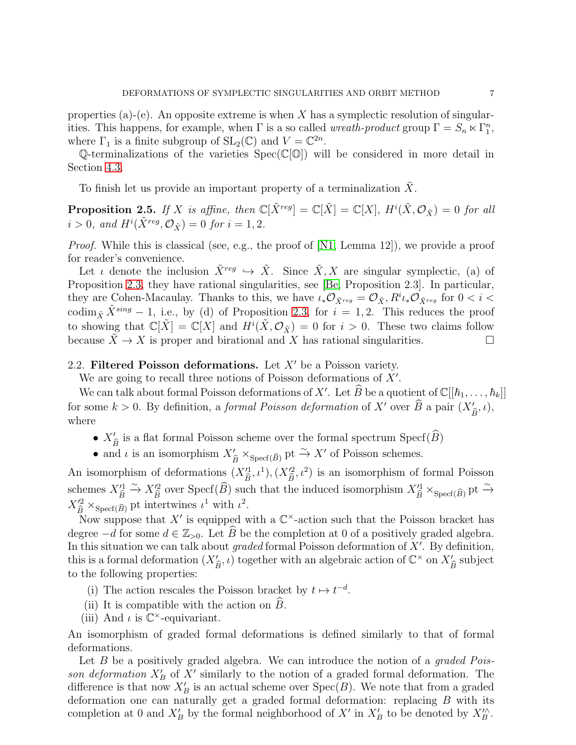properties (a)-(e). An opposite extreme is when X has a symplectic resolution of singularities. This happens, for example, when  $\Gamma$  is a so called *wreath-product* group  $\Gamma = S_n \ltimes \Gamma_1^n$ , where  $\Gamma_1$  is a finite subgroup of  $SL_2(\mathbb{C})$  and  $V = \mathbb{C}^{2n}$ .

Q-terminalizations of the varieties  $Spec(\mathbb{C}[\mathbb{O}])$  will be considered in more detail in Section [4.3.](#page-31-0)

To finish let us provide an important property of a terminalization  $\tilde{X}$ .

<span id="page-6-1"></span>**Proposition 2.5.** If X is affine, then  $\mathbb{C}[\tilde{X}^{reg}] = \mathbb{C}[\tilde{X}] = \mathbb{C}[X]$ ,  $H^i(\tilde{X}, \mathcal{O}_{\tilde{X}}) = 0$  for all  $i > 0$ , and  $H^{i}(\tilde{X}^{reg}, \mathcal{O}_{\tilde{X}}) = 0$  for  $i = 1, 2$ .

*Proof.* While this is classical (see, e.g., the proof of  $[N1, \text{ Lemma } 12]$ ), we provide a proof for reader's convenience.

Let *i* denote the inclusion  $\tilde{X}^{reg} \hookrightarrow \tilde{X}$ . Since  $\tilde{X}, X$  are singular symplectic, (a) of Proposition [2.3,](#page-5-3) they have rational singularities, see [\[Be,](#page-42-1) Proposition 2.3]. In particular, they are Cohen-Macaulay. Thanks to this, we have  $\iota_* \mathcal{O}_{\tilde{X}^{reg}} = \mathcal{O}_{\tilde{X}}$ ,  $R^i \iota_* \mathcal{O}_{\tilde{X}^{reg}}$  for  $0 < i <$ codim<sub> $\tilde{X}^{sing} - 1$ , i.e., by (d) of Proposition [2.3,](#page-5-3) for  $i = 1, 2$ . This reduces the proof</sub> to showing that  $\mathbb{C}[\tilde{X}] = \mathbb{C}[X]$  and  $H^i(\tilde{X}, \mathcal{O}_{\tilde{X}}) = 0$  for  $i > 0$ . These two claims follow because  $X \to X$  is proper and birational and X has rational singularities.

## <span id="page-6-0"></span>2.2. Filtered Poisson deformations. Let  $X'$  be a Poisson variety.

We are going to recall three notions of Poisson deformations of  $X'$ .

We can talk about formal Poisson deformations of X'. Let  $\widehat{B}$  be a quotient of  $\mathbb{C}[[\hbar_1,\ldots,\hbar_k]]$ for some  $k > 0$ . By definition, a *formal Poisson deformation* of X' over  $\hat{B}$  a pair  $(X'_{\hat{B}}, \iota)$ , where

- $X'_{\hat{B}}$  is a flat formal Poisson scheme over the formal spectrum  $\text{Specf}(\widehat{B})$
- and  $\iota$  is an isomorphism  $X'_{\widehat{B}} \times_{\text{Specf}(\widehat{B})} \text{pt} \stackrel{\sim}{\to} X'$  of Poisson schemes.

An isomorphism of deformations  $(X_{\widehat{B}}'^1, \iota^1), (X_{\widehat{B}}'^2, \iota^2)$  is an isomorphism of formal Poisson schemes  $X'^{1}_{\widehat{B}} \stackrel{\sim}{\to} X'^{2}_{\widehat{B}}$  over  $\text{Specf}(\widehat{B})$  such that the induced isomorphism  $X'^{1}_{\widehat{B}} \times_{\text{Specf}(\widehat{B})} \text{pt} \stackrel{\sim}{\to}$  $X'^{2}_{\widehat{B}} \times_{\mathrm{Specf}(\widehat{B})}$  pt intertwines  $\iota^1$  with  $\iota^2$ .

Now suppose that X' is equipped with a  $\mathbb{C}^{\times}$ -action such that the Poisson bracket has degree  $-d$  for some  $d \in \mathbb{Z}_{>0}$ . Let  $\widehat{B}$  be the completion at 0 of a positively graded algebra. In this situation we can talk about graded formal Poisson deformation of  $X'$ . By definition, this is a formal deformation  $(X'_{\widehat{B}}, \iota)$  together with an algebraic action of  $\mathbb{C}^\times$  on  $X'_{\widehat{B}}$  subject to the following properties:

- (i) The action rescales the Poisson bracket by  $t \mapsto t^{-d}$ .
- (ii) It is compatible with the action on  $\ddot{B}$ .
- (iii) And  $\iota$  is  $\mathbb{C}^{\times}$ -equivariant.

An isomorphism of graded formal deformations is defined similarly to that of formal deformations.

Let  $B$  be a positively graded algebra. We can introduce the notion of a *graded Pois*son deformation  $X'_B$  of  $X'$  similarly to the notion of a graded formal deformation. The difference is that now  $X'_B$  is an actual scheme over  $Spec(B)$ . We note that from a graded deformation one can naturally get a graded formal deformation: replacing B with its completion at 0 and  $X'_B$  by the formal neighborhood of  $X'$  in  $X'_B$  to be denoted by  $X''_B$ .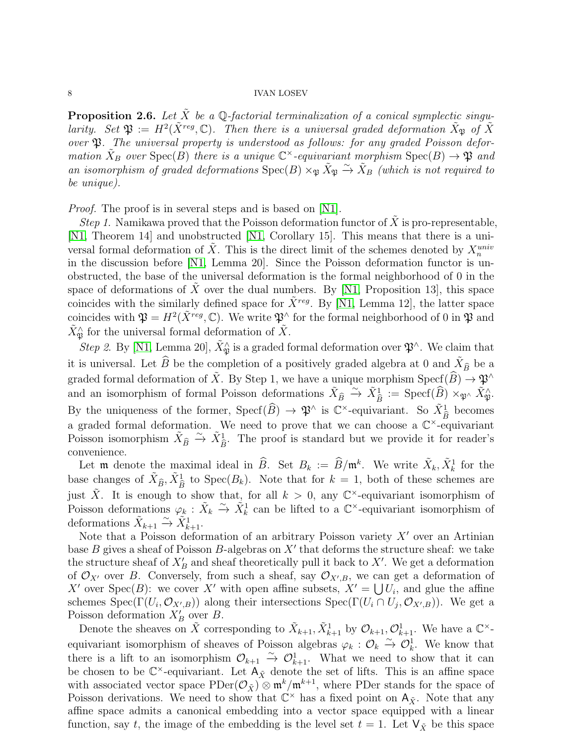<span id="page-7-0"></span>**Proposition 2.6.** Let  $\tilde{X}$  be a Q-factorial terminalization of a conical symplectic singularity. Set  $\mathfrak{P} := H^2(\tilde{X}^{reg}, \mathbb{C})$ . Then there is a universal graded deformation  $\tilde{X}_{\mathfrak{P}}$  of  $\tilde{X}$ over  $\mathfrak{P}$ . The universal property is understood as follows: for any graded Poisson deformation  $\tilde{X}_B$  over  $\text{Spec}(B)$  there is a unique  $\mathbb{C}^{\times}$ -equivariant morphism  $\text{Spec}(B) \to \mathfrak{P}$  and an isomorphism of graded deformations  $\text{Spec}(B) \times_{\mathfrak{P}} \tilde{X}_{\mathfrak{P}} \xrightarrow{\sim} \tilde{X}_B$  (which is not required to be unique).

*Proof.* The proof is in several steps and is based on [\[N1\]](#page-43-8).

Step 1. Namikawa proved that the Poisson deformation functor of  $\tilde{X}$  is pro-representable, [\[N1,](#page-43-8) Theorem 14] and unobstructed [\[N1,](#page-43-8) Corollary 15]. This means that there is a universal formal deformation of  $\tilde{X}$ . This is the direct limit of the schemes denoted by  $X_n^{univ}$ in the discussion before [\[N1,](#page-43-8) Lemma 20]. Since the Poisson deformation functor is unobstructed, the base of the universal deformation is the formal neighborhood of 0 in the space of deformations of X over the dual numbers. By  $[N1, Proposition 13]$ , this space coincides with the similarly defined space for  $\bar{X}^{reg}$ . By [\[N1,](#page-43-8) Lemma 12], the latter space coincides with  $\mathfrak{P} = H^2(\tilde{X}^{reg}, \mathbb{C})$ . We write  $\mathfrak{P}^{\wedge}$  for the formal neighborhood of 0 in  $\mathfrak{P}$  and  $\tilde{X}_{\mathfrak{P}}^{\wedge}$  for the universal formal deformation of  $\tilde{X}$ .

Step 2. By [\[N1,](#page-43-8) Lemma 20],  $\tilde{X}_{\mathfrak{P}}^{\wedge}$  is a graded formal deformation over  $\mathfrak{P}^{\wedge}$ . We claim that it is universal. Let  $\widehat{B}$  be the completion of a positively graded algebra at 0 and  $\tilde{X}_{\widehat{B}}$  be a graded formal deformation of  $\tilde{X}$ . By Step 1, we have a unique morphism  $\operatorname{Specf}(\widehat{B}) \to \mathfrak{P}^{\wedge}$ and an isomorphism of formal Poisson deformations  $\tilde{X}_{\widehat{B}} \stackrel{\sim}{\to} \tilde{X}_{\widehat{B}}^1 := \text{Specf}(\widehat{B}) \times_{\mathfrak{P}^\wedge} \tilde{X}_{\mathfrak{P}}^\wedge$ . By the uniqueness of the former,  $\text{Specf}(\widehat{B}) \to \mathfrak{P}^{\wedge}$  is  $\mathbb{C}^{\times}$ -equivariant. So  $\tilde{X}_{\widehat{B}}^1$  becomes a graded formal deformation. We need to prove that we can choose a  $\mathbb{C}^{\times}$ -equivariant Poisson isomorphism  $\tilde{X}_{\hat{B}} \stackrel{\sim}{\rightarrow} \tilde{X}_{\hat{B}}^1$ . The proof is standard but we provide it for reader's convenience.

Let **m** denote the maximal ideal in  $\widehat{B}$ . Set  $B_k := \widehat{B}/\mathfrak{m}^k$ . We write  $\tilde{X}_k, \tilde{X}_k^1$  for the base changes of  $\tilde{X}_{\widehat{B}}, \tilde{X}_{\widehat{B}}^1$  to  $\text{Spec}(B_k)$ . Note that for  $k = 1$ , both of these schemes are just  $\tilde{X}$ . It is enough to show that, for all  $k > 0$ , any  $\mathbb{C}^{\times}$ -equivariant isomorphism of Poisson deformations  $\varphi_k : \tilde{X}_k \to \tilde{X}_k^1$  can be lifted to a  $\mathbb{C}^{\times}$ -equivariant isomorphism of deformations  $\tilde{X}_{k+1} \xrightarrow{\sim} \tilde{X}_{k+1}^1$ .

Note that a Poisson deformation of an arbitrary Poisson variety  $X'$  over an Artinian base  $B$  gives a sheaf of Poisson  $B$ -algebras on  $X'$  that deforms the structure sheaf: we take the structure sheaf of  $X'_B$  and sheaf theoretically pull it back to X'. We get a deformation of  $\mathcal{O}_{X'}$  over B. Conversely, from such a sheaf, say  $\mathcal{O}_{X',B}$ , we can get a deformation of X' over Spec $(B)$ : we cover X' with open affine subsets,  $X' = \bigcup U_i$ , and glue the affine schemes Spec( $\Gamma(U_i, \mathcal{O}_{X',B})$ ) along their intersections Spec( $\Gamma(U_i \cap U_j, \mathcal{O}_{X',B})$ ). We get a Poisson deformation  $X'_B$  over B.

Denote the sheaves on  $\tilde{X}$  corresponding to  $\tilde{X}_{k+1}, \tilde{X}_{k+1}^1$  by  $\mathcal{O}_{k+1}, \mathcal{O}_{k+1}^1$ . We have a  $\mathbb{C}^{\times}$ equivariant isomorphism of sheaves of Poisson algebras  $\varphi_k : \mathcal{O}_k \overset{\sim}{\to} \mathcal{O}_k^1$ . We know that there is a lift to an isomorphism  $\mathcal{O}_{k+1} \stackrel{\sim}{\to} \mathcal{O}_{k+1}^1$ . What we need to show that it can be chosen to be  $\mathbb{C}^{\times}$ -equivariant. Let  $A_{\tilde{X}}$  denote the set of lifts. This is an affine space with associated vector space  $PDer(\mathcal{O}_{\tilde{X}}) \otimes \mathfrak{m}^k/\mathfrak{m}^{k+1}$ , where PDer stands for the space of Poisson derivations. We need to show that  $\mathbb{C}^{\times}$  has a fixed point on  $A_{\tilde{X}}$ . Note that any affine space admits a canonical embedding into a vector space equipped with a linear function, say t, the image of the embedding is the level set  $t = 1$ . Let  $\mathsf{V}_{\tilde{X}}$  be this space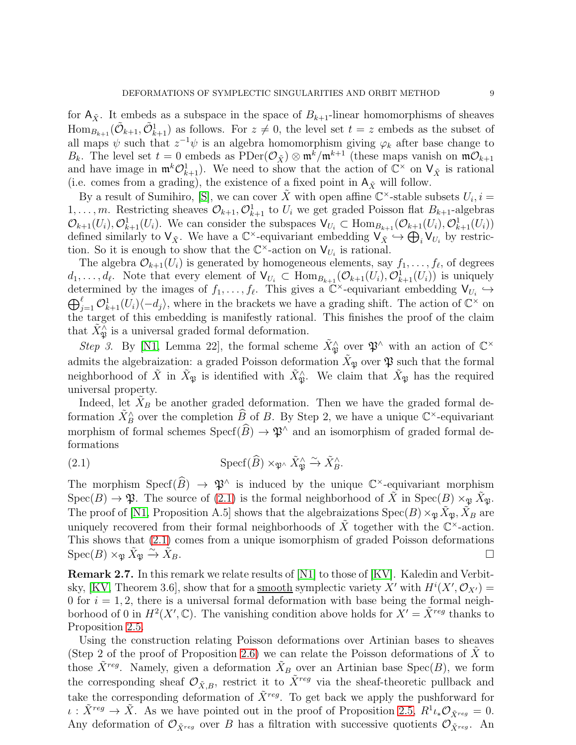for  $A_{\tilde{Y}}$ . It embeds as a subspace in the space of  $B_{k+1}$ -linear homomorphisms of sheaves  $\text{Hom}_{B_{k+1}}(\tilde{\mathcal{O}}_{k+1}, \tilde{\mathcal{O}}_{k+1}^1)$  as follows. For  $z \neq 0$ , the level set  $t = z$  embeds as the subset of all maps  $\psi$  such that  $z^{-1}\psi$  is an algebra homomorphism giving  $\varphi_k$  after base change to  $B_k$ . The level set  $t = 0$  embeds as  $\text{PDer}(\mathcal{O}_{\tilde{X}}) \otimes \mathfrak{m}^k / \mathfrak{m}^{k+1}$  (these maps vanish on  $\mathfrak{m} \mathcal{O}_{k+1}$ and have image in  $\mathfrak{m}^k \mathcal{O}_{k+1}^1$ ). We need to show that the action of  $\mathbb{C}^\times$  on  $\mathsf{V}_{\tilde{X}}$  is rational (i.e. comes from a grading), the existence of a fixed point in  $A_{\tilde{X}}$  will follow.

By a result of Sumihiro, [\[S\]](#page-43-14), we can cover  $\tilde{X}$  with open affine  $\mathbb{C}^{\times}$ -stable subsets  $U_i, i =$  $1, \ldots, m$ . Restricting sheaves  $\mathcal{O}_{k+1}, \mathcal{O}_{k+1}^1$  to  $U_i$  we get graded Poisson flat  $B_{k+1}$ -algebras  $\mathcal{O}_{k+1}(U_i), \mathcal{O}_{k+1}^1(U_i)$ . We can consider the subspaces  $\mathsf{V}_{U_i} \subset \text{Hom}_{B_{k+1}}(\mathcal{O}_{k+1}(U_i), \mathcal{O}_{k+1}^1(U_i))$ defined similarly to  $V_{\tilde{X}}$ . We have a  $\mathbb{C}^{\times}$ -equivariant embedding  $V_{\tilde{X}} \hookrightarrow \bigoplus_{i} V_{U_i}$  by restriction. So it is enough to show that the  $\mathbb{C}^{\times}$ -action on  $V_{U_i}$  is rational.

The algebra  $\mathcal{O}_{k+1}(U_i)$  is generated by homogeneous elements, say  $f_1, \ldots, f_\ell$ , of degrees  $d_1,\ldots,d_\ell$ . Note that every element of  $\mathsf{V}_{U_i} \subset \text{Hom}_{B_{k+1}}(\mathcal{O}_{k+1}(U_i), \mathcal{O}_{k+1}^1(U_i))$  is uniquely determined by the images of  $f_1, \ldots, f_\ell$ . This gives a  $\mathbb{C}^\times$ -equivariant embedding  $\mathsf{V}_{U_i} \hookrightarrow \bigoplus_{k=1}^\ell (U_i) \langle -d_i \rangle$ , where in the brackets we have a grading shift. The action of  $\mathbb{C}^\times$  on  $\int_{j=1}^{\ell} \mathcal{O}_{k+1}^1(U_i)\langle -d_j\rangle$ , where in the brackets we have a grading shift. The action of  $\mathbb{C}^{\times}$  on the target of this embedding is manifestly rational. This finishes the proof of the claim that  $\tilde{X}_{\mathfrak{P}}^{\tilde{\wedge}}$  is a universal graded formal deformation.

Step 3. By [\[N1,](#page-43-8) Lemma 22], the formal scheme  $\tilde{X}_{\mathfrak{P}}^{\wedge}$  over  $\mathfrak{P}^{\wedge}$  with an action of  $\mathbb{C}^{\times}$ admits the algebraization: a graded Poisson deformation  $\tilde{X}_{\mathfrak{P}}$  over  $\mathfrak{P}$  such that the formal neighborhood of  $\tilde{X}$  in  $\tilde{X}_{\mathfrak{P}}$  is identified with  $\tilde{X}_{\mathfrak{P}}^{\wedge}$ . We claim that  $\tilde{X}_{\mathfrak{P}}$  has the required universal property.

Indeed, let  $\tilde{X}_B$  be another graded deformation. Then we have the graded formal deformation  $\tilde{X}_{B}^{\wedge}$  over the completion  $\widehat{B}_{\sim}$  of B. By Step 2, we have a unique  $\mathbb{C}^{\times}$ -equivariant morphism of formal schemes  $Specf(\widehat{B}) \to \mathfrak{P}^{\wedge}$  and an isomorphism of graded formal deformations

<span id="page-8-0"></span>(2.1) 
$$
\operatorname{Specf}(\widehat{B}) \times_{\mathfrak{P}^\wedge} \widetilde{X}_{\mathfrak{P}}^\wedge \xrightarrow{\sim} \widetilde{X}_{B}^\wedge.
$$

The morphism  $\mathrm{Specf}(\overline{B}) \to \mathfrak{P}^{\wedge}$  is induced by the unique  $\mathbb{C}^{\times}$ -equivariant morphism  $Spec(B) \to \mathfrak{P}$ . The source of [\(2.1\)](#page-8-0) is the formal neighborhood of  $\tilde{X}$  in  $Spec(B) \times_{\mathfrak{P}} \tilde{X}_{\mathfrak{P}}$ . The proof of [\[N1,](#page-43-8) Proposition A.5] shows that the algebraizations  $Spec(B) \times_{\mathfrak{P}} \tilde{X}_{\mathfrak{P}}, \tilde{X}_B$  are uniquely recovered from their formal neighborhoods of  $\tilde{X}$  together with the  $\mathbb{C}^{\times}$ -action. This shows that [\(2.1\)](#page-8-0) comes from a unique isomorphism of graded Poisson deformations  $\mathrm{Spec}(B) \times_{\mathfrak{P}} \tilde{X}_{\mathfrak{P}} \xrightarrow{\sim} \tilde{X}$  $\Box$ 

<span id="page-8-1"></span>Remark 2.7. In this remark we relate results of [\[N1\]](#page-43-8) to those of [\[KV\]](#page-42-11). Kaledin and Verbit-sky, [\[KV,](#page-42-11) Theorem 3.6], show that for a <u>smooth</u> symplectic variety X' with  $H^{i}(X', \mathcal{O}_{X'}) =$ 0 for  $i = 1, 2$ , there is a universal formal deformation with base being the formal neighborhood of 0 in  $H^2(X', \mathbb{C})$ . The vanishing condition above holds for  $X' = \tilde{X}^{reg}$  thanks to Proposition [2.5.](#page-6-1)

Using the construction relating Poisson deformations over Artinian bases to sheaves (Step 2 of the proof of Proposition [2.6\)](#page-7-0) we can relate the Poisson deformations of  $X$  to those  $\tilde{X}^{reg}$ . Namely, given a deformation  $\tilde{X}_B$  over an Artinian base Spec $(B)$ , we form the corresponding sheaf  $\mathcal{O}_{\tilde{X},B}$ , restrict it to  $\tilde{X}^{reg}$  via the sheaf-theoretic pullback and take the corresponding deformation of  $\tilde{X}^{reg}$ . To get back we apply the pushforward for  $\iota : \tilde{X}^{reg} \to \tilde{X}$ . As we have pointed out in the proof of Proposition [2.5,](#page-6-1)  $R^1 \iota_* \mathcal{O}_{\tilde{X}^{reg}} = 0$ . Any deformation of  $\mathcal{O}_{\tilde{X}^{reg}}$  over B has a filtration with successive quotients  $\mathcal{O}_{\tilde{X}^{reg}}$ . An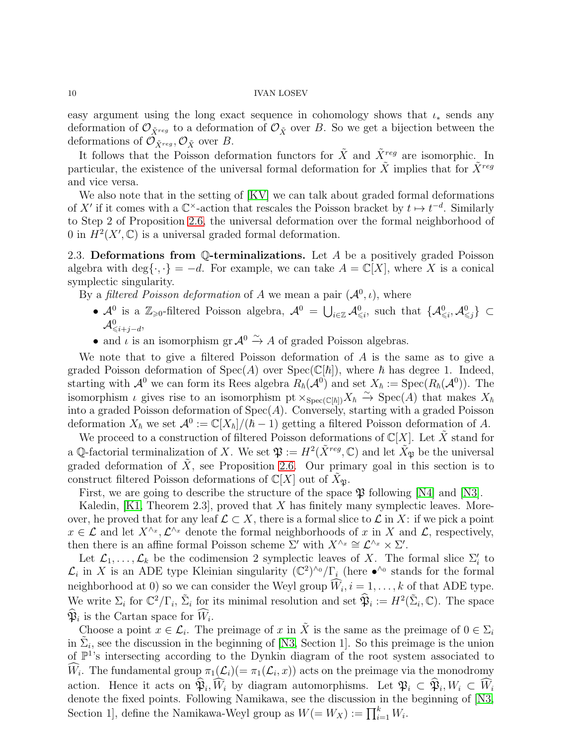easy argument using the long exact sequence in cohomology shows that  $\iota_*$  sends any deformation of  $\mathcal{O}_{\tilde{X}^{reg}}$  to a deformation of  $\mathcal{O}_{\tilde{X}}$  over B. So we get a bijection between the deformations of  $\mathcal{O}_{\tilde{X}^{reg}}$ ,  $\mathcal{O}_{\tilde{X}}$  over B.

It follows that the Poisson deformation functors for  $\tilde{X}$  and  $\tilde{X}^{reg}$  are isomorphic. In particular, the existence of the universal formal deformation for  $\tilde{X}$  implies that for  $\tilde{X}^{reg}$ and vice versa.

We also note that in the setting of [\[KV\]](#page-42-11) we can talk about graded formal deformations of X' if it comes with a  $\mathbb{C}^{\times}$ -action that rescales the Poisson bracket by  $t \mapsto t^{-d}$ . Similarly to Step 2 of Proposition [2.6,](#page-7-0) the universal deformation over the formal neighborhood of 0 in  $H^2(X', \mathbb{C})$  is a universal graded formal deformation.

<span id="page-9-0"></span>2.3. Deformations from  $\mathbb{Q}$ -terminalizations. Let A be a positively graded Poisson algebra with deg{ $\{\cdot,\cdot\} = -d$ . For example, we can take  $A = \mathbb{C}[X]$ , where X is a conical symplectic singularity.

By a *filtered Poisson deformation* of A we mean a pair  $(\mathcal{A}^0, \iota)$ , where

- $\mathcal{A}^0$  is a  $\mathbb{Z}_{\geqslant 0}$ -filtered Poisson algebra,  $\mathcal{A}^0 = \bigcup_{i \in \mathbb{Z}} \mathcal{A}^0_{\leqslant i}$ , such that  $\{\mathcal{A}^0_{\leqslant i}, \mathcal{A}^0_{\leqslant j}\}\subset$  $\mathcal{A}^0_{\leqslant i+j-d},$
- and  $\iota$  is an isomorphism gr  $\mathcal{A}^0 \xrightarrow{\sim} A$  of graded Poisson algebras.

We note that to give a filtered Poisson deformation of A is the same as to give a graded Poisson deformation of  $Spec(A)$  over  $Spec(\mathbb{C}[\hbar])$ , where  $\hbar$  has degree 1. Indeed, starting with  $\mathcal{A}^0$  we can form its Rees algebra  $R_{\hbar}(\mathcal{A}^0)$  and set  $X_{\hbar} := \text{Spec}(R_{\hbar}(\mathcal{A}^0))$ . The isomorphism  $\iota$  gives rise to an isomorphism pt  $\times_{Spec(\mathbb{C}[\hbar])} X_{\hbar} \stackrel{\sim}{\to} Spec(A)$  that makes  $X_{\hbar}$ into a graded Poisson deformation of  $Spec(A)$ . Conversely, starting with a graded Poisson deformation  $X_{\hbar}$  we set  $\mathcal{A}^0 := \mathbb{C}[X_{\hbar}]/(\hbar - 1)$  getting a filtered Poisson deformation of A.

We proceed to a construction of filtered Poisson deformations of  $\mathbb{C}[X]$ . Let X stand for a Q-factorial terminalization of X. We set  $\mathfrak{P} := H^2(\tilde{X}^{reg}, \mathbb{C})$  and let  $\tilde{X}_{\mathfrak{P}}$  be the universal graded deformation of  $\tilde{X}$ , see Proposition [2.6.](#page-7-0) Our primary goal in this section is to construct filtered Poisson deformations of  $\mathbb{C}[X]$  out of  $X_{\mathfrak{P}}$ .

First, we are going to describe the structure of the space  $\mathfrak P$  following [\[N4\]](#page-43-9) and [\[N3\]](#page-43-0).

Kaledin,  $[K1,$  Theorem 2.3, proved that X has finitely many symplectic leaves. Moreover, he proved that for any leaf  $\mathcal{L} \subset X$ , there is a formal slice to  $\mathcal{L}$  in X: if we pick a point  $x \in \mathcal{L}$  and let  $X^{\wedge x}, \mathcal{L}^{\wedge x}$  denote the formal neighborhoods of x in X and  $\mathcal{L}$ , respectively, then there is an affine formal Poisson scheme  $\Sigma'$  with  $X^{\wedge_x} \cong \mathcal{L}^{\wedge_x} \times \Sigma'.$ 

Let  $\mathcal{L}_1, \ldots, \mathcal{L}_k$  be the codimension 2 symplectic leaves of X. The formal slice  $\Sigma'_i$  to  $\mathcal{L}_i$  in X is an ADE type Kleinian singularity  $(\mathbb{C}^2)^{\wedge}$   $/\Gamma_i$  (here  $\bullet^{\wedge}$  stands for the formal neighborhood at 0) so we can consider the Weyl group  $W_i$ ,  $i = 1, \ldots, k$  of that ADE type. We write  $\Sigma_i$  for  $\mathbb{C}^2/\Gamma_i$ ,  $\tilde{\Sigma}_i$  for its minimal resolution and set  $\widehat{\mathfrak{P}}_i := H^2(\tilde{\Sigma}_i, \mathbb{C})$ . The space  $\mathfrak{P}_i$  is the Cartan space for  $W_i$ .

Choose a point  $x \in \mathcal{L}_i$ . The preimage of x in  $\tilde{X}$  is the same as the preimage of  $0 \in \Sigma_i$ in  $\tilde{\Sigma}_i$ , see the discussion in the beginning of [\[N3,](#page-43-0) Section 1]. So this preimage is the union of  $\mathbb{P}^1$ 's intersecting according to the Dynkin diagram of the root system associated to W<sub>i</sub>. The fundamental group  $\pi_1(\mathcal{L}_i) (= \pi_1(\mathcal{L}_i, x))$  acts on the preimage via the monodromy action. Hence it acts on  $\mathfrak{P}_i, W_i$  by diagram automorphisms. Let  $\mathfrak{P}_i \subset \mathfrak{P}_i, W_i \subset W_i$ denote the fixed points. Following Namikawa, see the discussion in the beginning of [\[N3,](#page-43-0) Section 1], define the Namikawa-Weyl group as  $W(=W_X) := \prod_{i=1}^k W_i$ .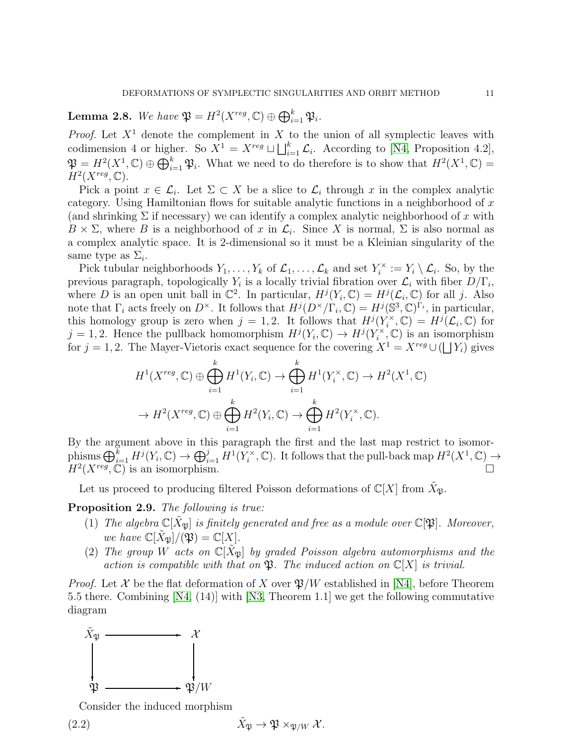<span id="page-10-1"></span>**Lemma 2.8.** We have  $\mathfrak{P} = H^2(X^{reg}, \mathbb{C}) \oplus \bigoplus_{i=1}^k \mathfrak{P}_i$ .

*Proof.* Let  $X^1$  denote the complement in X to the union of all symplectic leaves with codimension 4 or higher. So  $X^1 = X^{reg} \sqcup \bigsqcup_{i=1}^k \mathcal{L}_i$ . According to [\[N4,](#page-43-9) Proposition 4.2],  $\mathfrak{P} = H^2(X^1, \mathbb{C}) \oplus \bigoplus_{i=1}^k \mathfrak{P}_i$ . What we need to do therefore is to show that  $H^2(X^1, \mathbb{C}) =$  $H^2(X^{reg}, \mathbb{C}).$ 

Pick a point  $x \in \mathcal{L}_i$ . Let  $\Sigma \subset X$  be a slice to  $\mathcal{L}_i$  through x in the complex analytic category. Using Hamiltonian flows for suitable analytic functions in a neighborhood of  $x$ (and shrinking  $\Sigma$  if necessary) we can identify a complex analytic neighborhood of x with  $B \times \Sigma$ , where B is a neighborhood of x in  $\mathcal{L}_i$ . Since X is normal,  $\Sigma$  is also normal as a complex analytic space. It is 2-dimensional so it must be a Kleinian singularity of the same type as  $\Sigma_i$ .

Pick tubular neighborhoods  $Y_1, \ldots, Y_k$  of  $\mathcal{L}_1, \ldots, \mathcal{L}_k$  and set  $Y_i^{\times}$  $\mathcal{I}_i^{\times} := Y_i \setminus \mathcal{L}_i$ . So, by the previous paragraph, topologically  $Y_i$  is a locally trivial fibration over  $\mathcal{L}_i$  with fiber  $D/\Gamma_i$ , where D is an open unit ball in  $\mathbb{C}^2$ . In particular,  $H^j(Y_i, \mathbb{C}) = H^j(\mathcal{L}_i, \mathbb{C})$  for all j. Also note that  $\Gamma_i$  acts freely on  $D^{\times}$ . It follows that  $H^j(D^{\times}/\Gamma_i,\mathbb{C})=H^j(\mathbb{S}^3,\mathbb{C})^{\Gamma_i}$ , in particular, this homology group is zero when  $j = 1, 2$ . It follows that  $H^{j}(Y_i^{\times})$  $I_i^{\times}, \mathbb{C}$  =  $H^j(\mathcal{L}_i, \mathbb{C})$  for  $j = 1, 2$ . Hence the pullback homomorphism  $H^j(Y_i, \mathbb{C}) \to H^j(Y_i^{\times})$  $\zeta_i^{\times}, \mathbb{C}$  is an isomorphism for  $j = 1, 2$ . The Mayer-Vietoris exact sequence for the covering  $X^1 = X^{reg} \cup (\bigsqcup Y_i)$  gives

$$
H^1(X^{reg}, \mathbb{C}) \oplus \bigoplus_{i=1}^k H^1(Y_i, \mathbb{C}) \to \bigoplus_{i=1}^k H^1(Y_i^{\times}, \mathbb{C}) \to H^2(X^1, \mathbb{C})
$$
  

$$
\to H^2(X^{reg}, \mathbb{C}) \oplus \bigoplus_{i=1}^k H^2(Y_i, \mathbb{C}) \to \bigoplus_{i=1}^k H^2(Y_i^{\times}, \mathbb{C}).
$$

By the argument above in this paragraph the first and the last map restrict to isomorphisms  $\bigoplus_{i=1}^k H^j(Y_i, \mathbb{C}) \to \bigoplus_{i=1}^j H^1(Y_i^{\times})$  $\zeta_i^{\times}, \mathbb{C}$ . It follows that the pull-back map  $H^2(X^1, \mathbb{C}) \to$  $H^2(X^{reg}, \mathbb{C})$  is an isomorphism.

Let us proceed to producing filtered Poisson deformations of  $\mathbb{C}[X]$  from  $X_{\mathfrak{P}}$ .

<span id="page-10-2"></span>Proposition 2.9. The following is true:

- (1) The algebra  $\mathbb{C}[X_{\mathfrak{B}}]$  is finitely generated and free as a module over  $\mathbb{C}[\mathfrak{B}]$ . Moreover, we have  $\mathbb{C}[X_{\mathfrak{B}}]/(\mathfrak{P}) = \mathbb{C}[X]$ .
- (2) The group W acts on  $\mathbb{C}[\tilde{X}_{\mathfrak{B}}]$  by graded Poisson algebra automorphisms and the action is compatible with that on  $\mathfrak{P}$ . The induced action on  $\mathbb{C}[X]$  is trivial.

*Proof.* Let X be the flat deformation of X over  $\mathfrak{P}/W$  established in [\[N4\]](#page-43-9), before Theorem 5.5 there. Combining [\[N4,](#page-43-9) (14)] with [\[N3,](#page-43-0) Theorem 1.1] we get the following commutative diagram



<span id="page-10-0"></span>Consider the induced morphism

(2.2) 
$$
\tilde{X}_{\mathfrak{P}} \to \mathfrak{P} \times_{\mathfrak{P}/W} \mathcal{X}.
$$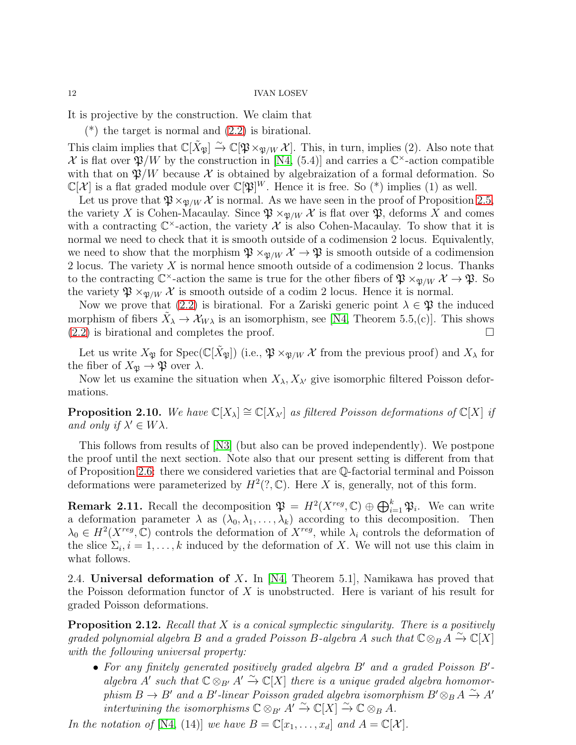It is projective by the construction. We claim that

 $(*)$  the target is normal and  $(2.2)$  is birational.

This claim implies that  $\mathbb{C}[\tilde{X}_{\mathfrak{P}}] \xrightarrow{\sim} \mathbb{C}[\mathfrak{P} \times_{\mathfrak{P}/W} \mathcal{X}]$ . This, in turn, implies (2). Also note that X is flat over  $\mathfrak{P}/W$  by the construction in [\[N4,](#page-43-9) (5.4)] and carries a  $\mathbb{C}^{\times}$ -action compatible with that on  $\mathfrak{P}/W$  because X is obtained by algebraization of a formal deformation. So  $\mathbb{C}[\mathcal{X}]$  is a flat graded module over  $\mathbb{C}[\mathfrak{P}]^W$ . Hence it is free. So (\*) implies (1) as well.

Let us prove that  $\mathfrak{P} \times_{\mathfrak{P}/W} \mathcal{X}$  is normal. As we have seen in the proof of Proposition [2.5,](#page-6-1) the variety X is Cohen-Macaulay. Since  $\mathfrak{P} \times_{\mathfrak{P}/W} \mathcal{X}$  is flat over  $\mathfrak{P}$ , deforms X and comes with a contracting  $\mathbb{C}^{\times}$ -action, the variety X is also Cohen-Macaulay. To show that it is normal we need to check that it is smooth outside of a codimension 2 locus. Equivalently, we need to show that the morphism  $\mathfrak{P} \times_{\mathfrak{P}/W} \mathcal{X} \to \mathfrak{P}$  is smooth outside of a codimension 2 locus. The variety X is normal hence smooth outside of a codimension 2 locus. Thanks to the contracting  $\mathbb{C}^{\times}$ -action the same is true for the other fibers of  $\mathfrak{P} \times_{\mathfrak{P}/W} \mathcal{X} \to \mathfrak{P}$ . So the variety  $\mathfrak{P} \times_{\mathfrak{P}/W} \mathcal{X}$  is smooth outside of a codim 2 locus. Hence it is normal.

Now we prove that [\(2.2\)](#page-10-0) is birational. For a Zariski generic point  $\lambda \in \mathfrak{P}$  the induced morphism of fibers  $\tilde{X}_{\lambda} \to \mathcal{X}_{W\lambda}$  is an isomorphism, see [\[N4,](#page-43-9) Theorem 5.5,(c)]. This shows  $(2.2)$  is birational and completes the proof.

Let us write  $X_{\mathfrak{P}}$  for  $Spec(\mathbb{C}[\tilde{X}_{\mathfrak{P}}])$  (i.e.,  $\mathfrak{P} \times_{\mathfrak{P}/W} \mathcal{X}$  from the previous proof) and  $X_{\lambda}$  for the fiber of  $X_{\mathfrak{P}} \to \mathfrak{P}$  over  $\lambda$ .

Now let us examine the situation when  $X_{\lambda}$ ,  $X_{\lambda}$  give isomorphic filtered Poisson deformations.

<span id="page-11-1"></span>**Proposition 2.10.** We have  $\mathbb{C}[X_\lambda] \cong \mathbb{C}[X_{\lambda'}]$  as filtered Poisson deformations of  $\mathbb{C}[X]$  if and only if  $\lambda' \in W \lambda$ .

This follows from results of [\[N3\]](#page-43-0) (but also can be proved independently). We postpone the proof until the next section. Note also that our present setting is different from that of Proposition [2.6:](#page-7-0) there we considered varieties that are Q-factorial terminal and Poisson deformations were parameterized by  $H^2(?, \mathbb{C})$ . Here X is, generally, not of this form.

**Remark 2.11.** Recall the decomposition  $\mathfrak{P} = H^2(X^{reg}, \mathbb{C}) \oplus \bigoplus_{i=1}^k \mathfrak{P}_i$ . We can write a deformation parameter  $\lambda$  as  $(\lambda_0, \lambda_1, \ldots, \lambda_k)$  according to this decomposition. Then  $\lambda_0 \in H^2(X^{reg}, \mathbb{C})$  controls the deformation of  $X^{reg}$ , while  $\lambda_i$  controls the deformation of the slice  $\Sigma_i, i = 1, \ldots, k$  induced by the deformation of X. We will not use this claim in what follows.

<span id="page-11-0"></span>2.4. Universal deformation of X. In [\[N4,](#page-43-9) Theorem 5.1], Namikawa has proved that the Poisson deformation functor of  $X$  is unobstructed. Here is variant of his result for graded Poisson deformations.

<span id="page-11-2"></span>**Proposition 2.12.** Recall that  $X$  is a conical symplectic singularity. There is a positively graded polynomial algebra B and a graded Poisson B-algebra A such that  $\mathbb{C} \otimes_B A \overset{\sim}{\rightarrow} \mathbb{C}[X]$ with the following universal property:

• For any finitely generated positively graded algebra B' and a graded Poisson B'algebra  $A'$  such that  $\mathbb{C} \otimes_{B'} A' \stackrel{\sim}{\to} \mathbb{C}[X]$  there is a unique graded algebra homomorphism  $B \to B'$  and a B'-linear Poisson graded algebra isomorphism  $B' \otimes_B A \xrightarrow{\sim} A'$ intertwining the isomorphisms  $\mathbb{C} \otimes_{B'} A' \overset{\sim}{\to} \mathbb{C}[X] \overset{\sim}{\to} \mathbb{C} \otimes_B A$ .

In the notation of [\[N4,](#page-43-9) (14)] we have  $B = \mathbb{C}[x_1, \ldots, x_d]$  and  $A = \mathbb{C}[\mathcal{X}]$ .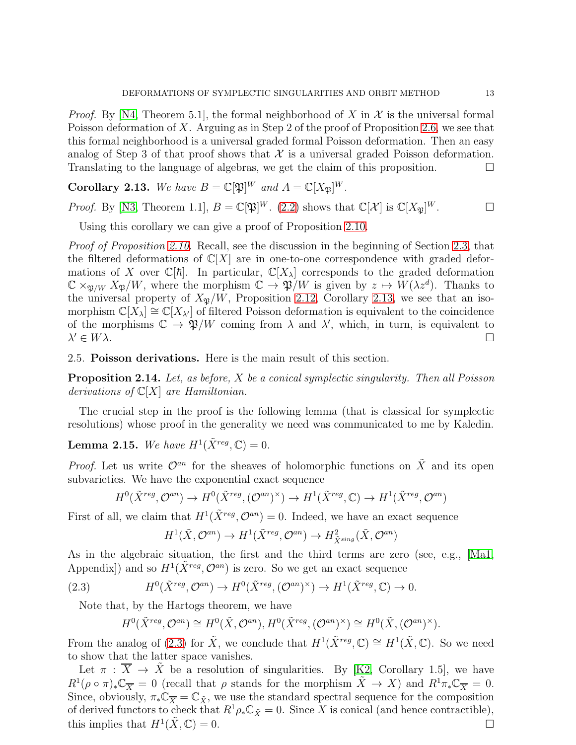*Proof.* By [\[N4,](#page-43-9) Theorem 5.1], the formal neighborhood of X in X is the universal formal Poisson deformation of X. Arguing as in Step 2 of the proof of Proposition [2.6,](#page-7-0) we see that this formal neighborhood is a universal graded formal Poisson deformation. Then an easy analog of Step 3 of that proof shows that  $\mathcal X$  is a universal graded Poisson deformation. Translating to the language of algebras, we get the claim of this proposition.  $\Box$ 

<span id="page-12-1"></span>**Corollary 2.13.** We have  $B = \mathbb{C}[\mathfrak{P}]^W$  and  $A = \mathbb{C}[X_{\mathfrak{P}}]^W$ .

*Proof.* By [\[N3,](#page-43-0) Theorem 1.1],  $B = \mathbb{C}[\mathfrak{P}]^W$ . [\(2.2\)](#page-10-0) shows that  $\mathbb{C}[\mathcal{X}]$  is  $\mathbb{C}[X_{\mathfrak{P}}]^W$ .

Using this corollary we can give a proof of Proposition [2.10.](#page-11-1)

Proof of Proposition [2.10.](#page-11-1) Recall, see the discussion in the beginning of Section [2.3,](#page-9-0) that the filtered deformations of  $\mathbb{C}[X]$  are in one-to-one correspondence with graded deformations of X over  $\mathbb{C}[\hbar]$ . In particular,  $\mathbb{C}[X_\lambda]$  corresponds to the graded deformation  $\mathbb{C} \times_{\mathfrak{P}/W} X_{\mathfrak{P}}/W$ , where the morphism  $\mathbb{C} \to \mathfrak{P}/W$  is given by  $z \mapsto W(\lambda z^d)$ . Thanks to the universal property of  $X_{\mathfrak{B}}/W$ , Proposition [2.12,](#page-11-2) Corollary [2.13,](#page-12-1) we see that an isomorphism  $\mathbb{C}[X_\lambda] \cong \mathbb{C}[X_{\lambda'}]$  of filtered Poisson deformation is equivalent to the coincidence of the morphisms  $\mathbb{C} \to \mathfrak{P}/W$  coming from  $\lambda$  and  $\lambda'$ , which, in turn, is equivalent to  $\lambda' \in W\lambda$ .  $\mathcal{C} \in W\lambda.$ 

<span id="page-12-0"></span>2.5. Poisson derivations. Here is the main result of this section.

<span id="page-12-3"></span>**Proposition 2.14.** Let, as before,  $X$  be a conical symplectic singularity. Then all Poisson derivations of  $\mathbb{C}[X]$  are Hamiltonian.

The crucial step in the proof is the following lemma (that is classical for symplectic resolutions) whose proof in the generality we need was communicated to me by Kaledin.

<span id="page-12-4"></span>**Lemma 2.15.** We have  $H^1(\tilde{X}^{reg}, \mathbb{C}) = 0$ .

*Proof.* Let us write  $\mathcal{O}^{an}$  for the sheaves of holomorphic functions on  $\tilde{X}$  and its open subvarieties. We have the exponential exact sequence

$$
H^0(\tilde{X}^{reg}, \mathcal{O}^{an}) \to H^0(\tilde{X}^{reg}, (\mathcal{O}^{an})^{\times}) \to H^1(\tilde{X}^{reg}, \mathbb{C}) \to H^1(\tilde{X}^{reg}, \mathcal{O}^{an})
$$

First of all, we claim that  $H^1(\tilde{X}^{reg}, \mathcal{O}^{an}) = 0$ . Indeed, we have an exact sequence

$$
H^1(\tilde{X}, \mathcal{O}^{an}) \to H^1(\tilde{X}^{reg}, \mathcal{O}^{an}) \to H^2_{\tilde{X}^{sing}}(\tilde{X}, \mathcal{O}^{an})
$$

As in the algebraic situation, the first and the third terms are zero (see, e.g., [\[Ma1,](#page-43-15) Appendix]) and so  $H^1(\tilde{X}^{reg}, \mathcal{O}^{an})$  is zero. So we get an exact sequence

(2.3) 
$$
H^{0}(\tilde{X}^{reg}, \mathcal{O}^{an}) \to H^{0}(\tilde{X}^{reg}, (\mathcal{O}^{an})^{\times}) \to H^{1}(\tilde{X}^{reg}, \mathbb{C}) \to 0.
$$

Note that, by the Hartogs theorem, we have

<span id="page-12-2"></span>
$$
H^0(\tilde{X}^{reg}, \mathcal{O}^{an}) \cong H^0(\tilde{X}, \mathcal{O}^{an}), H^0(\tilde{X}^{reg}, (\mathcal{O}^{an})^{\times}) \cong H^0(\tilde{X}, (\mathcal{O}^{an})^{\times}).
$$

From the analog of [\(2.3\)](#page-12-2) for  $\tilde{X}$ , we conclude that  $H^1(\tilde{X}^{reg}, \mathbb{C}) \cong H^1(\tilde{X}, \mathbb{C})$ . So we need to show that the latter space vanishes.

Let  $\pi : \overline{X} \to \overline{X}$  be a resolution of singularities. By [\[K2,](#page-42-13) Corollary 1.5], we have  $R^1(\rho \circ \pi)_* \mathbb{C}_{\overline{X}} = 0$  (recall that  $\rho$  stands for the morphism  $\tilde{X} \to X$ ) and  $R^1 \pi_* \mathbb{C}_{\overline{X}} = 0$ . Since, obviously,  $\pi_* \mathbb{C}_{\overline{X}} = \mathbb{C}_{\tilde{X}}$ , we use the standard spectral sequence for the composition of derived functors to check that  $R^1 \rho_* \mathbb{C}_{\tilde{X}} = 0$ . Since X is conical (and hence contractible), this implies that  $H^1(\tilde{X}, \mathbb{C}) = 0$ .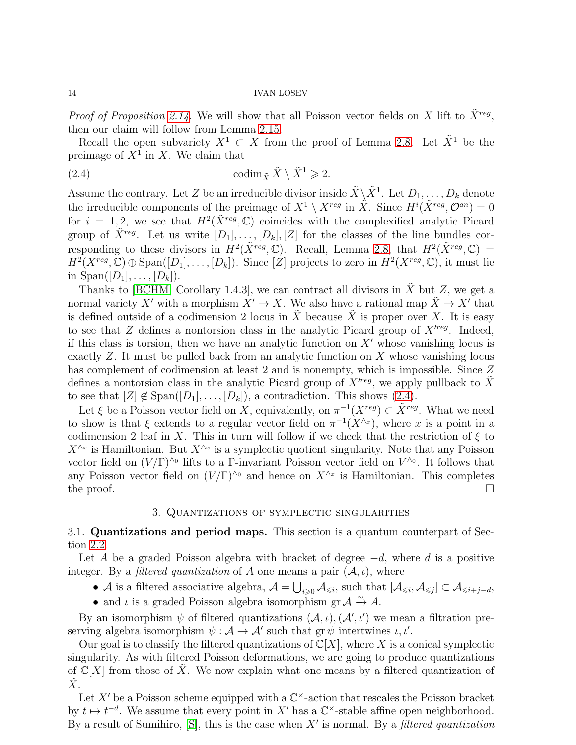*Proof of Proposition [2.14.](#page-12-3)* We will show that all Poisson vector fields on X lift to  $\tilde{X}^{reg}$ , then our claim will follow from Lemma [2.15.](#page-12-4)

Recall the open subvariety  $X^1 \subset X$  from the proof of Lemma [2.8.](#page-10-1) Let  $\tilde{X}^1$  be the preimage of  $X^1$  in  $\tilde{X}$ . We claim that

<span id="page-13-2"></span>(2.4) 
$$
\operatorname{codim}_{\tilde{X}} \tilde{X} \setminus \tilde{X}^1 \geq 2.
$$

Assume the contrary. Let Z be an irreducible divisor inside  $\tilde{X} \backslash \tilde{X}^1$ . Let  $D_1, \ldots, D_k$  denote the irreducible components of the preimage of  $X^1 \setminus X^{reg}$  in  $\tilde{X}$ . Since  $H^i(\tilde{X}^{reg}, \mathcal{O}^{an}) = 0$ for  $i = 1, 2$ , we see that  $H^2(\tilde{X}^{reg}, \mathbb{C})$  coincides with the complexified analytic Picard group of  $\tilde{X}^{reg}$ . Let us write  $[D_1], \ldots, [D_k], [Z]$  for the classes of the line bundles corresponding to these divisors in  $H^2(\tilde{X}^{reg}, \mathbb{C})$ . Recall, Lemma [2.8,](#page-10-1) that  $H^2(\tilde{X}^{reg}, \mathbb{C}) =$  $H^2(X^{reg}, \mathbb{C}) \oplus \text{Span}([D_1], \ldots, [D_k])$ . Since [Z] projects to zero in  $H^2(X^{reg}, \mathbb{C})$ , it must lie in  $\text{Span}([D_1], \ldots, [D_k]).$ 

Thanks to [\[BCHM,](#page-42-14) Corollary 1.4.3], we can contract all divisors in  $\tilde{X}$  but  $Z$ , we get a normal variety X' with a morphism  $X' \to X$ . We also have a rational map  $\tilde{X} \to X'$  that is defined outside of a codimension 2 locus in X because X is proper over X. It is easy to see that  $Z$  defines a nontorsion class in the analytic Picard group of  $X<sup>'reg</sup>$ . Indeed, if this class is torsion, then we have an analytic function on  $X'$  whose vanishing locus is exactly  $Z$ . It must be pulled back from an analytic function on  $X$  whose vanishing locus has complement of codimension at least 2 and is nonempty, which is impossible. Since Z defines a nontorsion class in the analytic Picard group of  $X<sup>'reg</sup>$ , we apply pullback to  $\tilde{X}$ to see that  $[Z] \notin \text{Span}([D_1], \ldots, [D_k])$ , a contradiction. This shows [\(2.4\)](#page-13-2).

Let  $\xi$  be a Poisson vector field on X, equivalently, on  $\pi^{-1}(X^{reg}) \subset \tilde{X}^{reg}$ . What we need to show is that  $\xi$  extends to a regular vector field on  $\pi^{-1}(X^{\wedge x})$ , where x is a point in a codimension 2 leaf in X. This in turn will follow if we check that the restriction of  $\xi$  to  $X^{\wedge_x}$  is Hamiltonian. But  $X^{\wedge_x}$  is a symplectic quotient singularity. Note that any Poisson vector field on  $(V/\Gamma)^{\wedge o}$  lifts to a Γ-invariant Poisson vector field on  $V^{\wedge o}$ . It follows that any Poisson vector field on  $(V/\Gamma)^{\wedge o}$  and hence on  $X^{\wedge x}$  is Hamiltonian. This completes the proof.  $\Box$ 

### 3. Quantizations of symplectic singularities

## <span id="page-13-1"></span><span id="page-13-0"></span>3.1. Quantizations and period maps. This section is a quantum counterpart of Section [2.2.](#page-6-0)

Let A be a graded Poisson algebra with bracket of degree  $-d$ , where d is a positive integer. By a *filtered quantization* of A one means a pair  $(A, \iota)$ , where

- A is a filtered associative algebra,  $A = \bigcup_{i \geq 0} A_{\leq i}$ , such that  $[A_{\leq i}, A_{\leq j}] \subset A_{\leq i+j-d}$ ,
- and  $\iota$  is a graded Poisson algebra isomorphism gr  $\mathcal{A} \xrightarrow{\sim} A$ .

By an isomorphism  $\psi$  of filtered quantizations  $(\mathcal{A}, \iota), (\mathcal{A}', \iota')$  we mean a filtration preserving algebra isomorphism  $\psi : \mathcal{A} \to \mathcal{A}'$  such that  $gr \psi$  intertwines  $\iota, \iota'.$ 

Our goal is to classify the filtered quantizations of  $\mathbb{C}[X]$ , where X is a conical symplectic singularity. As with filtered Poisson deformations, we are going to produce quantizations of  $\mathbb{C}[X]$  from those of X. We now explain what one means by a filtered quantization of  $\tilde{X}$ .

Let X' be a Poisson scheme equipped with a  $\mathbb{C}^{\times}$ -action that rescales the Poisson bracket by  $t \mapsto t^{-d}$ . We assume that every point in X' has a  $\mathbb{C}^{\times}$ -stable affine open neighborhood. By a result of Sumihiro,  $[S]$ , this is the case when  $X'$  is normal. By a *filtered quantization*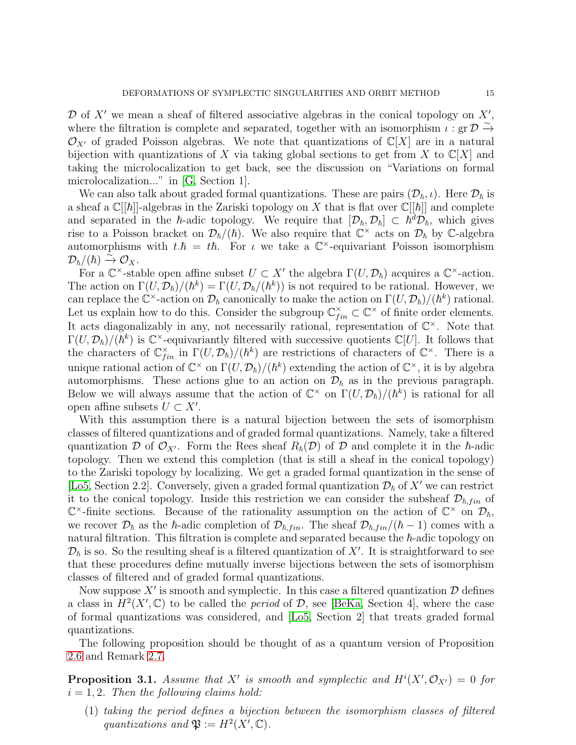$\mathcal D$  of  $X'$  we mean a sheaf of filtered associative algebras in the conical topology on  $X'$ , where the filtration is complete and separated, together with an isomorphism  $\iota$ : gr  $\mathcal{D} \stackrel{\sim}{\rightarrow}$  $\mathcal{O}_{X'}$  of graded Poisson algebras. We note that quantizations of  $\mathbb{C}[X]$  are in a natural bijection with quantizations of X via taking global sections to get from X to  $\mathbb{C}[X]$  and taking the microlocalization to get back, see the discussion on "Variations on formal microlocalization..." in [\[G,](#page-42-15) Section 1].

We can also talk about graded formal quantizations. These are pairs  $(\mathcal{D}_h, \iota)$ . Here  $\mathcal{D}_h$  is a sheaf a  $\mathbb{C}[[\hbar]]$ -algebras in the Zariski topology on X that is flat over  $\mathbb{C}[[\hbar]]$  and complete and separated in the  $\hbar$ -adic topology. We require that  $[D_{\hbar}, \mathcal{D}_{\hbar}] \subset \hbar^d \mathcal{D}_{\hbar}$ , which gives rise to a Poisson bracket on  $\mathcal{D}_{\hbar}/(\hbar)$ . We also require that  $\mathbb{C}^{\times}$  acts on  $\mathcal{D}_{\hbar}$  by C-algebra automorphisms with  $t.\hbar = t\hbar$ . For  $\iota$  we take a  $\mathbb{C}^{\times}$ -equivariant Poisson isomorphism  $\mathcal{D}_\hbar/(\hbar) \xrightarrow{\tilde{\sim}} \mathcal{O}_X.$ 

For a  $\mathbb{C}^{\times}$ -stable open affine subset  $U \subset X'$  the algebra  $\Gamma(U, \mathcal{D}_{\hbar})$  acquires a  $\mathbb{C}^{\times}$ -action. The action on  $\Gamma(U, \mathcal{D}_{\hbar})/(\hbar^k) = \Gamma(U, \mathcal{D}_{\hbar}/(\hbar^k))$  is not required to be rational. However, we can replace the  $\mathbb{C}^{\times}$ -action on  $\mathcal{D}_{\hbar}$  canonically to make the action on  $\Gamma(U, \mathcal{D}_{\hbar})/(\hbar^k)$  rational. Let us explain how to do this. Consider the subgroup  $\mathbb{C}_{fin}^{\times} \subset \mathbb{C}^{\times}$  of finite order elements. It acts diagonalizably in any, not necessarily rational, representation of  $\mathbb{C}^{\times}$ . Note that  $\Gamma(U, \mathcal{D}_{\hbar})/(\hbar^k)$  is  $\mathbb{C}^{\times}$ -equivariantly filtered with successive quotients  $\mathbb{C}[U]$ . It follows that the characters of  $\mathbb{C}_{fin}^{\times}$  in  $\Gamma(U, \mathcal{D}_{\hbar})/(\hbar^k)$  are restrictions of characters of  $\mathbb{C}^{\times}$ . There is a unique rational action of  $\mathbb{C}^\times$  on  $\Gamma(U, \mathcal{D}_\hbar)/(\hbar^k)$  extending the action of  $\mathbb{C}^\times$ , it is by algebra automorphisms. These actions glue to an action on  $\mathcal{D}_{\hbar}$  as in the previous paragraph. Below we will always assume that the action of  $\mathbb{C}^{\times}$  on  $\Gamma(U, \mathcal{D}_{\hbar})/(\hbar^k)$  is rational for all open affine subsets  $U \subset X'$ .

With this assumption there is a natural bijection between the sets of isomorphism classes of filtered quantizations and of graded formal quantizations. Namely, take a filtered quantization D of  $\mathcal{O}_{X'}$ . Form the Rees sheaf  $R_{\hbar}(\mathcal{D})$  of D and complete it in the  $\hbar$ -adic topology. Then we extend this completion (that is still a sheaf in the conical topology) to the Zariski topology by localizing. We get a graded formal quantization in the sense of [\[Lo5,](#page-43-10) Section 2.2]. Conversely, given a graded formal quantization  $\mathcal{D}_{\hbar}$  of X' we can restrict it to the conical topology. Inside this restriction we can consider the subsheaf  $\mathcal{D}_{\hbar,fin}$  of  $\mathbb{C}^{\times}$ -finite sections. Because of the rationality assumption on the action of  $\mathbb{C}^{\times}$  on  $\mathcal{D}_{\hbar}$ , we recover  $\mathcal{D}_{\hbar}$  as the  $\hbar$ -adic completion of  $\mathcal{D}_{\hbar,fin}$ . The sheaf  $\mathcal{D}_{\hbar,fin}/(\hbar - 1)$  comes with a natural filtration. This filtration is complete and separated because the  $\hbar$ -adic topology on  $\mathcal{D}_{\hbar}$  is so. So the resulting sheaf is a filtered quantization of X'. It is straightforward to see that these procedures define mutually inverse bijections between the sets of isomorphism classes of filtered and of graded formal quantizations.

Now suppose  $X'$  is smooth and symplectic. In this case a filtered quantization  $\mathcal D$  defines a class in  $H^2(X', \mathbb{C})$  to be called the *period* of  $\mathcal{D}$ , see [\[BeKa,](#page-42-9) Section 4], where the case of formal quantizations was considered, and [\[Lo5,](#page-43-10) Section 2] that treats graded formal quantizations.

The following proposition should be thought of as a quantum version of Proposition [2.6](#page-7-0) and Remark [2.7.](#page-8-1)

<span id="page-14-0"></span>**Proposition 3.1.** Assume that X' is smooth and symplectic and  $H^{i}(X', \mathcal{O}_{X'}) = 0$  for  $i = 1, 2$ . Then the following claims hold:

(1) taking the period defines a bijection between the isomorphism classes of filtered quantizations and  $\mathfrak{P} := H^2(X', \mathbb{C})$ .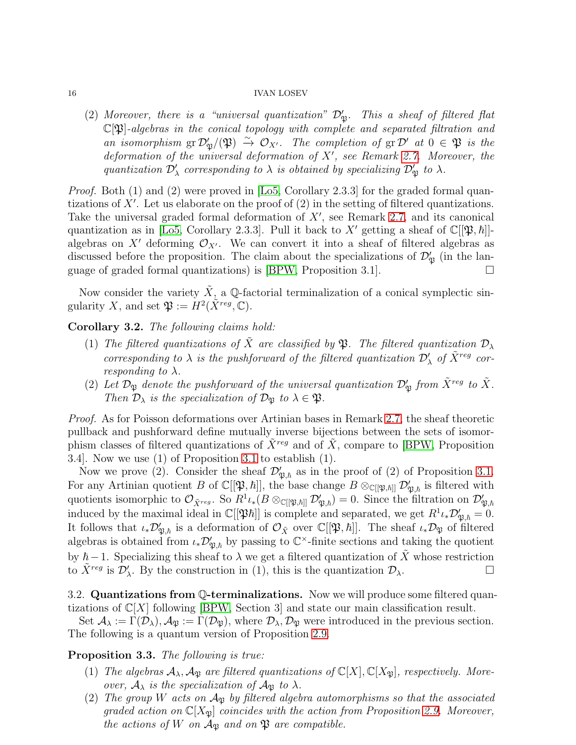(2) Moreover, there is a "universal quantization"  $\mathcal{D}'_{\mathfrak{P}}$ . This a sheaf of filtered flat  $\mathbb{C}[\mathfrak{P}]$ -algebras in the conical topology with complete and separated filtration and an isomorphism  $gr\mathcal{D}'_{\mathfrak{P}}/(\mathfrak{P}) \stackrel{\sim}{\to} \mathcal{O}_{X'}$ . The completion of  $gr\mathcal{D}'$  at  $0 \in \mathfrak{P}$  is the deformation of the universal deformation of X′ , see Remark [2.7.](#page-8-1) Moreover, the quantization  $\mathcal{D}'_\lambda$  corresponding to  $\lambda$  is obtained by specializing  $\mathcal{D}'_\mathfrak{P}$  to  $\lambda$ .

Proof. Both (1) and (2) were proved in [\[Lo5,](#page-43-10) Corollary 2.3.3] for the graded formal quantizations of  $X'$ . Let us elaborate on the proof of  $(2)$  in the setting of filtered quantizations. Take the universal graded formal deformation of  $X'$ , see Remark [2.7,](#page-8-1) and its canonical quantization as in [\[Lo5,](#page-43-10) Corollary 2.3.3]. Pull it back to X' getting a sheaf of  $\mathbb{C}[[\mathfrak{P},\hbar]]$ algebras on X' deforming  $\mathcal{O}_{X'}$ . We can convert it into a sheaf of filtered algebras as discussed before the proposition. The claim about the specializations of  $\mathcal{D}'_{\mathfrak{P}}$  (in the lan-guage of graded formal quantizations) is [\[BPW,](#page-42-2) Proposition 3.1].

Now consider the variety  $\tilde{X}$ , a Q-factorial terminalization of a conical symplectic singularity X, and set  $\mathfrak{P} := H^2(\tilde{X}^{reg}, \mathbb{C}).$ 

<span id="page-15-1"></span>Corollary 3.2. The following claims hold:

- (1) The filtered quantizations of  $\tilde{X}$  are classified by  $\mathfrak{P}$ . The filtered quantization  $\mathcal{D}_{\lambda}$ corresponding to  $\lambda$  is the pushforward of the filtered quantization  $\mathcal{D}'_{\lambda}$  of  $\tilde{X}^{reg}$  cor*responding to*  $\lambda$ .
- (2) Let  $\mathcal{D}_{\mathfrak{P}}$  denote the pushforward of the universal quantization  $\mathcal{D}'_{\mathfrak{P}}$  from  $\tilde{X}^{reg}$  to  $\tilde{X}$ . Then  $\mathcal{D}_{\lambda}$  is the specialization of  $\mathcal{D}_{\mathfrak{P}}$  to  $\lambda \in \mathfrak{P}$ .

Proof. As for Poisson deformations over Artinian bases in Remark [2.7,](#page-8-1) the sheaf theoretic pullback and pushforward define mutually inverse bijections between the sets of isomorphism classes of filtered quantizations of  $\tilde{X}^{reg}$  and of  $\tilde{X}$ , compare to [\[BPW,](#page-42-2) Proposition 3.4]. Now we use (1) of Proposition [3.1](#page-14-0) to establish (1).

Now we prove (2). Consider the sheaf  $\mathcal{D}'_{\mathfrak{P},\hbar}$  as in the proof of (2) of Proposition [3.1.](#page-14-0) For any Artinian quotient B of  $\mathbb{C}[[\mathfrak{P},\hbar]],$  the base change  $B \otimes_{\mathbb{C}[[\mathfrak{P},\hbar]]} \mathcal{D}'_{\mathfrak{P},\hbar}$  is filtered with quotients isomorphic to  $\mathcal{O}_{\tilde{X}^{reg}}$ . So  $R^1\iota_*(B \otimes_{\mathbb{C}[[\mathfrak{P},\hbar]]} \mathcal{D}'_{\mathfrak{P},\hbar}) = 0$ . Since the filtration on  $\mathcal{D}'_{\mathfrak{P},\hbar}$ induced by the maximal ideal in  $\mathbb{C}[[\mathfrak{P}\hbar]]$  is complete and separated, we get  $R^1\iota_*\mathcal{D}'_{\mathfrak{P},\hbar} = 0$ . It follows that  $\iota_*\mathcal{D}'_{\mathfrak{P},\hbar}$  is a deformation of  $\mathcal{O}_{\tilde{X}}$  over  $\mathbb{C}[[\mathfrak{P},\hbar]]$ . The sheaf  $\iota_*\mathcal{D}_{\mathfrak{P}}$  of filtered algebras is obtained from  $\iota_* \mathcal{D}'_{\mathfrak{P},\hbar}$  by passing to  $\mathbb{C}^{\times}$ -finite sections and taking the quotient by  $\hbar-1$ . Specializing this sheaf to  $\lambda$  we get a filtered quantization of X whose restriction to  $\tilde{X}^{reg}$  is  $\mathcal{D}'_{\lambda}$ . By the construction in (1), this is the quantization  $\mathcal{D}_{\lambda}$ .

<span id="page-15-0"></span>3.2. Quantizations from Q-terminalizations. Now we will produce some filtered quantizations of  $\mathbb{C}[X]$  following [\[BPW,](#page-42-2) Section 3] and state our main classification result.

Set  $\mathcal{A}_{\lambda} := \Gamma(\mathcal{D}_{\lambda}), \mathcal{A}_{\mathfrak{P}} := \Gamma(\mathcal{D}_{\mathfrak{P}})$ , where  $\mathcal{D}_{\lambda}, \mathcal{D}_{\mathfrak{P}}$  were introduced in the previous section. The following is a quantum version of Proposition [2.9.](#page-10-2)

## Proposition 3.3. The following is true:

- (1) The algebras  $\mathcal{A}_{\lambda}$ ,  $\mathcal{A}_{\mathfrak{P}}$  are filtered quantizations of  $\mathbb{C}[X], \mathbb{C}[X_{\mathfrak{P}}]$ , respectively. Moreover,  $A_{\lambda}$  is the specialization of  $A_{\mathfrak{P}}$  to  $\lambda$ .
- (2) The group W acts on  $A_{\mathfrak{B}}$  by filtered algebra automorphisms so that the associated graded action on  $\mathbb{C}[X_{\mathfrak{P}}]$  coincides with the action from Proposition [2.9.](#page-10-2) Moreover, the actions of W on  $A_{\mathfrak{B}}$  and on  $\mathfrak{P}$  are compatible.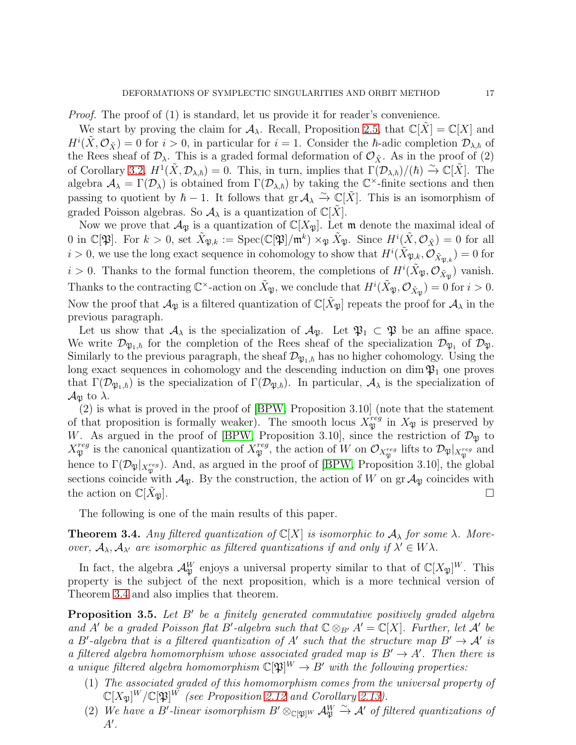Proof. The proof of (1) is standard, let us provide it for reader's convenience.

We start by proving the claim for  $\mathcal{A}_{\lambda}$ . Recall, Proposition [2.5,](#page-6-1) that  $\mathbb{C}[X] = \mathbb{C}[X]$  and  $H^i(\tilde{X}, \mathcal{O}_{\tilde{X}}) = 0$  for  $i > 0$ , in particular for  $i = 1$ . Consider the  $\hbar$ -adic completion  $\mathcal{D}_{\lambda,\hbar}$  of the Rees sheaf of  $\mathcal{D}_{\lambda}$ . This is a graded formal deformation of  $\mathcal{O}_{\tilde{X}}$ . As in the proof of (2) of Corollary [3.2,](#page-15-1)  $H^1(\tilde{X}, \mathcal{D}_{\lambda,\hbar}) = 0$ . This, in turn, implies that  $\Gamma(\mathcal{D}_{\lambda,\hbar})/(\hbar) \stackrel{\sim}{\to} \mathbb{C}[\tilde{X}]$ . The algebra  $\mathcal{A}_{\lambda} = \Gamma(\mathcal{D}_{\lambda})$  is obtained from  $\Gamma(\mathcal{D}_{\lambda,\hbar})$  by taking the  $\mathbb{C}^{\times}$ -finite sections and then passing to quotient by  $\hbar - 1$ . It follows that  $\text{gr } A_\lambda \overset{\sim}{\to} \mathbb{C}[\tilde{X}]$ . This is an isomorphism of graded Poisson algebras. So  $A_{\lambda}$  is a quantization of  $\mathbb{C}[X]$ .

Now we prove that  $\mathcal{A}_{\mathfrak{P}}$  is a quantization of  $\mathbb{C}[X_{\mathfrak{P}}]$ . Let  $\mathfrak{m}$  denote the maximal ideal of 0 in  $\mathbb{C}[\mathfrak{P}].$  For  $k > 0$ , set  $\tilde{X}_{\mathfrak{P},k} := \text{Spec}(\mathbb{C}[\mathfrak{P}]/\mathfrak{m}^k) \times_{\mathfrak{P}} \tilde{X}_{\mathfrak{P}}.$  Since  $H^i(\tilde{X}, \mathcal{O}_{\tilde{X}}) = 0$  for all  $i > 0$ , we use the long exact sequence in cohomology to show that  $H^i(\tilde{X}_{\mathfrak{P},k}, \mathcal{O}_{\tilde{X}_{\mathfrak{P},k}}) = 0$  for  $i > 0$ . Thanks to the formal function theorem, the completions of  $H^i(\tilde{X}_{\frak{P}}, \mathcal{O}_{\tilde{X}_{\frak{P}}})$  vanish. Thanks to the contracting  $\mathbb{C}^{\times}$ -action on  $\tilde{X}_{\mathfrak{P}}$ , we conclude that  $H^{i}(\tilde{X}_{\mathfrak{P}}, \mathcal{O}_{\tilde{X}_{\mathfrak{P}}}) = 0$  for  $i > 0$ . Now the proof that  $\mathcal{A}_{\mathfrak{P}}$  is a filtered quantization of  $\mathbb{C}[\tilde{X}_{\mathfrak{P}}]$  repeats the proof for  $\mathcal{A}_{\lambda}$  in the previous paragraph.

Let us show that  $\mathcal{A}_{\lambda}$  is the specialization of  $\mathcal{A}_{\mathfrak{P}}$ . Let  $\mathfrak{P}_1 \subset \mathfrak{P}$  be an affine space. We write  $\mathcal{D}_{\mathfrak{P}_1,\hbar}$  for the completion of the Rees sheaf of the specialization  $\mathcal{D}_{\mathfrak{P}_1}$  of  $\mathcal{D}_{\mathfrak{P}}$ . Similarly to the previous paragraph, the sheaf  $\mathcal{D}_{\mathfrak{P}_1,h}$  has no higher cohomology. Using the long exact sequences in cohomology and the descending induction on dim  $\mathfrak{P}_1$  one proves that  $\Gamma(\mathcal{D}_{\mathfrak{P}_1,\hbar})$  is the specialization of  $\Gamma(\mathcal{D}_{\mathfrak{P},\hbar})$ . In particular,  $\mathcal{A}_{\lambda}$  is the specialization of  $\mathcal{A}_{\mathfrak{P}}$  to  $\lambda$ .

(2) is what is proved in the proof of [\[BPW,](#page-42-2) Proposition 3.10] (note that the statement of that proposition is formally weaker). The smooth locus  $X_{\mathfrak{P}}^{reg}$  in  $X_{\mathfrak{P}}$  is preserved by W. As argued in the proof of [\[BPW,](#page-42-2) Proposition 3.10], since the restriction of  $\mathcal{D}_{\mathfrak{P}}$  to  $X^{reg}_{\mathfrak A}$  $\mathcal{F}_{\mathfrak{P}}^{reg}$  is the canonical quantization of  $X_{\mathfrak{P}}^{reg}$  $\mathcal{D}_{\mathfrak{P}}^{reg}$ , the action of W on  $\mathcal{O}_{X^{reg}_{\mathfrak{P}}}$  lifts to  $\mathcal{D}_{\mathfrak{P}}|_{X^{reg}_{\mathfrak{P}}}$  and hence to  $\Gamma(\mathcal{D}_{\mathfrak{P}}|_{X^{reg}_{\mathfrak{P}}})$ . And, as argued in the proof of [\[BPW,](#page-42-2) Proposition 3.10], the global sections coincide with  $\mathcal{A}_{\mathfrak{P}}$ . By the construction, the action of W on gr  $\mathcal{A}_{\mathfrak{P}}$  coincides with the action on  $\mathbb{C}[X_{\mathfrak{N}}]$ .

The following is one of the main results of this paper.

<span id="page-16-0"></span>**Theorem 3.4.** Any filtered quantization of  $\mathbb{C}[X]$  is isomorphic to  $\mathcal{A}_{\lambda}$  for some  $\lambda$ . Moreover,  $A_{\lambda}, A_{\lambda'}$  are isomorphic as filtered quantizations if and only if  $\lambda' \in W\lambda$ .

In fact, the algebra  $\mathcal{A}_{\mathfrak{P}}^W$  enjoys a universal property similar to that of  $\mathbb{C}[X_{\mathfrak{P}}]^W$ . This property is the subject of the next proposition, which is a more technical version of Theorem [3.4](#page-16-0) and also implies that theorem.

<span id="page-16-1"></span>**Proposition 3.5.** Let B' be a finitely generated commutative positively graded algebra and A' be a graded Poisson flat B'-algebra such that  $\mathbb{C} \otimes_{B'} A' = \mathbb{C}[X]$ . Further, let A' be a B'-algebra that is a filtered quantization of A' such that the structure map  $B' \to A'$  is a filtered algebra homomorphism whose associated graded map is  $B' \to A'$ . Then there is a unique filtered algebra homomorphism  $\mathbb{C}[\mathfrak{P}]^W \to B'$  with the following properties:

- (1) The associated graded of this homomorphism comes from the universal property of  $\mathbb{C}[X_{\mathfrak{P}}]^W/\mathbb{C}[\mathfrak{P}]^W$  (see Proposition [2.12](#page-11-2) and Corollary [2.13\)](#page-12-1).
- (2) We have a B'-linear isomorphism  $B' \otimes_{\mathbb{C}[\mathfrak{P}]} W \mathcal{A}_{\mathfrak{P}}^W \xrightarrow{\sim} \mathcal{A}'$  of filtered quantizations of  $A^{\prime}$ .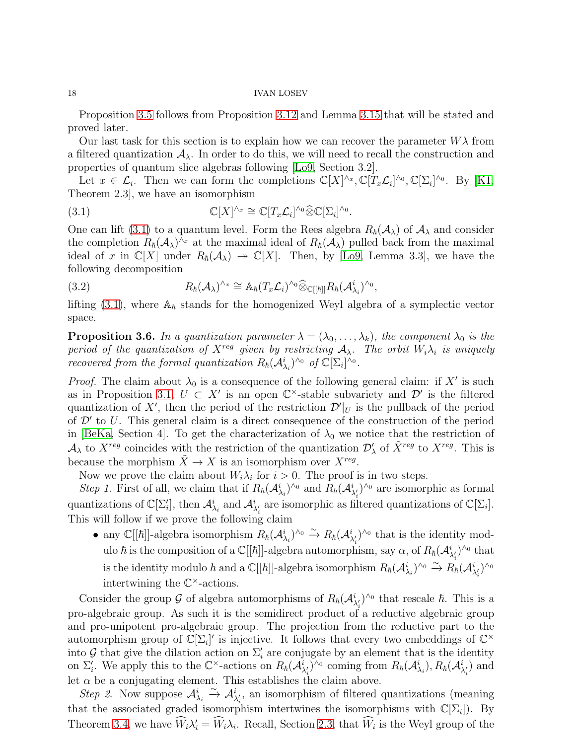Proposition [3.5](#page-16-1) follows from Proposition [3.12](#page-22-1) and Lemma [3.15](#page-23-1) that will be stated and proved later.

Our last task for this section is to explain how we can recover the parameter  $W\lambda$  from a filtered quantization  $A_{\lambda}$ . In order to do this, we will need to recall the construction and properties of quantum slice algebras following [\[Lo9,](#page-43-16) Section 3.2].

Let  $x \in \mathcal{L}_i$ . Then we can form the completions  $\mathbb{C}[X]^{\wedge_x}, \mathbb{C}[T_x \mathcal{L}_i]^{\wedge_0}, \mathbb{C}[\Sigma_i]^{\wedge_0}$ . By [\[K1,](#page-42-12) Theorem 2.3], we have an isomorphism

<span id="page-17-0"></span>(3.1) 
$$
\mathbb{C}[X]^{\wedge_x} \cong \mathbb{C}[T_x \mathcal{L}_i]^{\wedge_0} \widehat{\otimes} \mathbb{C}[\Sigma_i]^{\wedge_0}.
$$

One can lift [\(3.1\)](#page-17-0) to a quantum level. Form the Rees algebra  $R_{\hbar}(\mathcal{A}_{\lambda})$  of  $\mathcal{A}_{\lambda}$  and consider the completion  $R_{\hbar}(\mathcal{A}_{\lambda})^{\wedge x}$  at the maximal ideal of  $R_{\hbar}(\mathcal{A}_{\lambda})$  pulled back from the maximal ideal of x in  $\mathbb{C}[X]$  under  $R_{\hbar}(\mathcal{A}_{\lambda}) \rightarrow \mathbb{C}[X]$ . Then, by [\[Lo9,](#page-43-16) Lemma 3.3], we have the following decomposition

<span id="page-17-2"></span>(3.2) 
$$
R_{\hbar}(\mathcal{A}_{\lambda})^{\wedge x} \cong \mathbb{A}_{\hbar}(T_x\mathcal{L}_i)^{\wedge 0} \widehat{\otimes}_{\mathbb{C}[[\hbar]]} R_{\hbar}(\mathcal{A}_{\lambda_i}^i)^{\wedge 0},
$$

lifting [\(3.1\)](#page-17-0), where  $\mathbb{A}_{\hbar}$  stands for the homogenized Weyl algebra of a symplectic vector space.

<span id="page-17-1"></span>**Proposition 3.6.** In a quantization parameter  $\lambda = (\lambda_0, \dots, \lambda_k)$ , the component  $\lambda_0$  is the period of the quantization of  $X^{reg}$  given by restricting  $A_{\lambda}$ . The orbit  $W_i\lambda_i$  is uniquely recovered from the formal quantization  $R_h(\mathcal{A}_{\lambda_i}^i)^{\wedge o}$  of  $\mathbb{C}[\Sigma_i]^{\wedge o}$ .

*Proof.* The claim about  $\lambda_0$  is a consequence of the following general claim: if X' is such as in Proposition [3.1,](#page-14-0)  $U \subset X'$  is an open  $\mathbb{C}^{\times}$ -stable subvariety and  $\mathcal{D}'$  is the filtered quantization of X', then the period of the restriction  $\mathcal{D}'|_U$  is the pullback of the period of  $\mathcal{D}'$  to U. This general claim is a direct consequence of the construction of the period in [\[BeKa,](#page-42-9) Section 4]. To get the characterization of  $\lambda_0$  we notice that the restriction of  $\mathcal{A}_\lambda$  to  $X^{reg}$  coincides with the restriction of the quantization  $\mathcal{D}'_\lambda$  of  $\tilde{X}^{reg}$  to  $X^{reg}$ . This is because the morphism  $\tilde{X} \to X$  is an isomorphism over  $X^{reg}$ .

Now we prove the claim about  $W_i \lambda_i$  for  $i > 0$ . The proof is in two steps.

Step 1. First of all, we claim that if  $R_{\hbar}(\mathcal{A}_{\lambda_i}^i)^{\wedge o}$  and  $R_{\hbar}(\mathcal{A}_{\lambda'_i}^i)^{\wedge o}$  are isomorphic as formal quantizations of  $\mathbb{C}[\Sigma_i']$ , then  $\mathcal{A}_{\lambda_i}^i$  and  $\mathcal{A}_{\lambda_i'}^i$  are isomorphic as filtered quantizations of  $\mathbb{C}[\Sigma_i]$ . This will follow if we prove the following claim

• any  $\mathbb{C}[[\hbar]]$ -algebra isomorphism  $R_{\hbar}(\mathcal{A}_{\lambda_i}^i)^{\wedge_0} \stackrel{\sim}{\to} R_{\hbar}(\mathcal{A}_{\lambda'_i}^i)^{\wedge_0}$  that is the identity modulo  $\hbar$  is the composition of a  $\mathbb{C}[[\hbar]]$ -algebra automorphism, say  $\alpha$ , of  $R_{\hbar}(\mathcal{A}_{\lambda'_i}^i)^{\wedge_0}$  that is the identity modulo  $\hbar$  and a  $\mathbb{C}[[\hbar]]$ -algebra isomorphism  $R_{\hbar}(\mathcal{A}_{\lambda_i}^i)^{\wedge_0} \xrightarrow{\sim} R_{\hbar}(\mathcal{A}_{\lambda'_i}^i)^{\wedge_0}$ intertwining the  $\mathbb{C}^{\times}$ -actions.

Consider the group G of algebra automorphisms of  $R_{\hbar}(\mathcal{A}_{\lambda_i'}^i)^{\wedge_0}$  that rescale  $\hbar$ . This is a pro-algebraic group. As such it is the semidirect product of a reductive algebraic group and pro-unipotent pro-algebraic group. The projection from the reductive part to the automorphism group of  $\mathbb{C}[\Sigma_i]'$  is injective. It follows that every two embeddings of  $\mathbb{C}^\times$ into G that give the dilation action on  $\Sigma'_{i}$  are conjugate by an element that is the identity on  $\Sigma'_i$ . We apply this to the  $\mathbb{C}^{\times}$ -actions on  $R_h(\mathcal{A}_{\lambda'_i}^i)^{\wedge_0}$  coming from  $R_h(\mathcal{A}_{\lambda_i}^i)$ ,  $R_h(\mathcal{A}_{\lambda'_i}^i)$  and let  $\alpha$  be a conjugating element. This establishes the claim above.

Step 2. Now suppose  $\mathcal{A}_{\lambda_i}^i$   $\stackrel{\sim}{\rightarrow} \mathcal{A}_{\lambda_i'}^i$ , an isomorphism of filtered quantizations (meaning that the associated graded isomorphism intertwines the isomorphisms with  $\mathbb{C}[\Sigma_i]$ . By Theorem [3.4,](#page-16-0) we have  $\hat{W}_i \lambda'_i = \hat{W}_i \lambda_i$ . Recall, Section [2.3,](#page-9-0) that  $\hat{W}_i$  is the Weyl group of the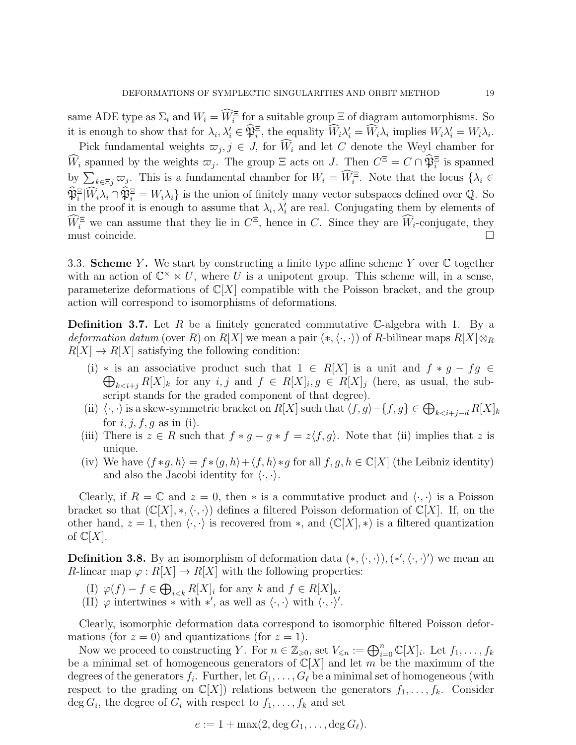same ADE type as  $\Sigma_i$  and  $W_i = W_i^{\Xi}$  for a suitable group  $\Xi$  of diagram automorphisms. So it is enough to show that for  $\lambda_i, \lambda'_i \in \mathfrak{P}_i^{\Xi}$ , the equality  $\widetilde{W}_i \lambda'_i = \widetilde{W}_i \lambda_i$  implies  $W_i \lambda'_i = W_i \lambda_i$ .

Pick fundamental weights  $\overline{\omega}_j, j \in J$ , for  $W_i$  and let C denote the Weyl chamber for  $\hat{W}_i$  spanned by the weights  $\varpi_j$ . The group  $\Xi$  acts on J. Then  $C^{\Xi} = C \cap \hat{\mathfrak{P}}_i^{\Xi}$  is spanned by  $\sum_{k\in\Xi_j}\overline{\omega}_j$ . This is a fundamental chamber for  $W_i = \widehat{W}_i^{\Xi}$ . Note that the locus  $\{\lambda_i \in$  $\mathfrak{P}_i^{\Xi}[W_i\lambda_i\cap \mathfrak{P}_i^{\Xi}] = W_i\lambda_i$  is the union of finitely many vector subspaces defined over Q. So in the proof it is enough to assume that  $\lambda_i, \lambda'_i$  are real. Conjugating them by elements of  $W_i^{\Xi}$  we can assume that they lie in  $C^{\Xi}$ , hence in C. Since they are  $W_i$ -conjugate, they must coincide.

<span id="page-18-0"></span>3.3. Scheme Y. We start by constructing a finite type affine scheme Y over  $\mathbb C$  together with an action of  $\mathbb{C}^{\times} \ltimes U$ , where U is a unipotent group. This scheme will, in a sense, parameterize deformations of  $\mathbb{C}[X]$  compatible with the Poisson bracket, and the group action will correspond to isomorphisms of deformations.

<span id="page-18-1"></span>**Definition 3.7.** Let R be a finitely generated commutative C-algebra with 1. By a *deformation datum* (over R) on  $R[X]$  we mean a pair  $(*,\langle \cdot,\cdot \rangle)$  of R-bilinear maps  $R[X] \otimes_R$  $R[X] \to R[X]$  satisfying the following condition:

- (i) \* is an associative product such that  $1 \in R[X]$  is a unit and  $f * g fg \in$  $\bigoplus_{k \leq i+j} R[X]_k$  for any  $i, j$  and  $f \in R[X]_i, g \in R[X]_j$  (here, as usual, the subscript stands for the graded component of that degree).
- (ii)  $\langle \cdot, \cdot \rangle$  is a skew-symmetric bracket on  $R[X]$  such that  $\langle f, g \rangle \{f, g\} \in \bigoplus_{k \leq i+j-d} R[X]_k$ for  $i, j, f, g$  as in (i).
- (iii) There is  $z \in R$  such that  $f * g g * f = z \langle f, g \rangle$ . Note that (ii) implies that z is unique.
- (iv) We have  $\langle f * g, h \rangle = f * \langle g, h \rangle + \langle f, h \rangle * g$  for all  $f, g, h \in \mathbb{C}[X]$  (the Leibniz identity) and also the Jacobi identity for  $\langle \cdot, \cdot \rangle$ .

Clearly, if  $R = \mathbb{C}$  and  $z = 0$ , then  $*$  is a commutative product and  $\langle \cdot, \cdot \rangle$  is a Poisson bracket so that  $(\mathbb{C}[X],*,\langle\cdot,\cdot\rangle)$  defines a filtered Poisson deformation of  $\mathbb{C}[X]$ . If, on the other hand,  $z = 1$ , then  $\langle \cdot, \cdot \rangle$  is recovered from  $\ast$ , and  $(\mathbb{C}[X], \ast)$  is a filtered quantization of  $\mathbb{C}[X]$ .

**Definition 3.8.** By an isomorphism of deformation data  $(*, \langle \cdot, \cdot \rangle), (*', \langle \cdot, \cdot \rangle')$  we mean an R-linear map  $\varphi: R[X] \to R[X]$  with the following properties:

- (I)  $\varphi(f) f \in \bigoplus_{i < k} R[X]_i$  for any k and  $f \in R[X]_k$ .
- (II)  $\varphi$  intertwines  $*$  with  $*'$ , as well as  $\langle \cdot, \cdot \rangle$  with  $\langle \cdot, \cdot \rangle'$ .

Clearly, isomorphic deformation data correspond to isomorphic filtered Poisson deformations (for  $z = 0$ ) and quantizations (for  $z = 1$ ).

Now we proceed to constructing Y. For  $n \in \mathbb{Z}_{\geqslant 0}$ , set  $V_{\leqslant n} := \bigoplus_{i=0}^n \mathbb{C}[X]_i$ . Let  $f_1, \ldots, f_k$ be a minimal set of homogeneous generators of  $\mathbb{C}[X]$  and let m be the maximum of the degrees of the generators  $f_i$ . Further, let  $G_1, \ldots, G_\ell$  be a minimal set of homogeneous (with respect to the grading on  $\mathbb{C}[X]$ ) relations between the generators  $f_1, \ldots, f_k$ . Consider  $\deg G_i$ , the degree of  $G_i$  with respect to  $f_1, \ldots, f_k$  and set

$$
e := 1 + \max(2, \deg G_1, \ldots, \deg G_\ell).
$$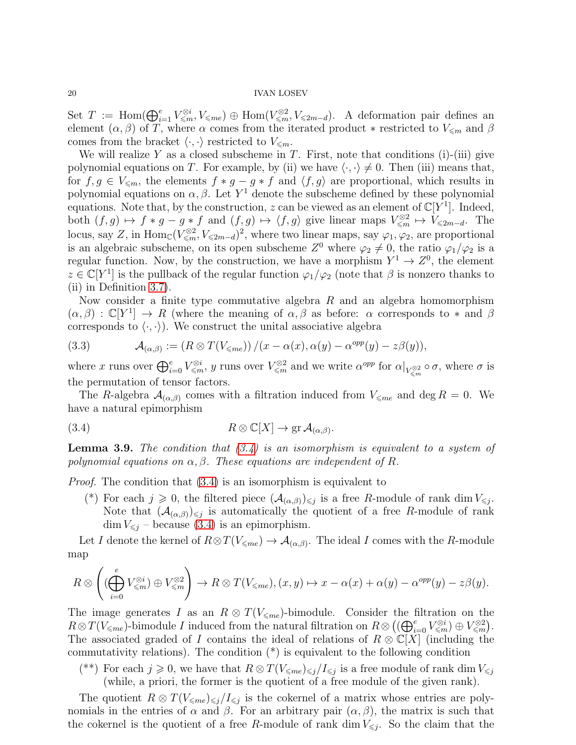Set  $T := \text{Hom}(\bigoplus_{i=1}^e V_{\leqslant m}^{\otimes i}, V_{\leqslant m} \infty) \oplus \text{Hom}(V_{\leqslant m}^{\otimes 2}, V_{\leqslant 2m-d})$ . A deformation pair defines an element  $(\alpha, \beta)$  of T, where  $\alpha$  comes from the iterated product \* restricted to  $V_{\leq m}$  and  $\beta$ comes from the bracket  $\langle \cdot, \cdot \rangle$  restricted to  $V_{\leq m}$ .

We will realize Y as a closed subscheme in T. First, note that conditions  $(i)$ -(iii) give polynomial equations on T. For example, by (ii) we have  $\langle \cdot, \cdot \rangle \neq 0$ . Then (iii) means that, for  $f, g \in V_{\leq m}$ , the elements  $f * g - g * f$  and  $\langle f, g \rangle$  are proportional, which results in polynomial equations on  $\alpha, \beta$ . Let Y<sup>1</sup> denote the subscheme defined by these polynomial equations. Note that, by the construction, z can be viewed as an element of  $\mathbb{C}[Y^1]$ . Indeed, both  $(f, g) \mapsto f * g - g * f$  and  $(f, g) \mapsto \langle f, g \rangle$  give linear maps  $V_{\leq m}^{\otimes 2} \mapsto V_{\leq 2m-d}$ . The locus, say Z, in  $\text{Hom}_{\mathbb{C}}(V_{\leqslant m}^{\otimes2}, V_{\leqslant 2m-d})^2$ , where two linear maps, say  $\varphi_1, \varphi_2$ , are proportional is an algebraic subscheme, on its open subscheme  $Z^0$  where  $\varphi_2 \neq 0$ , the ratio  $\varphi_1/\varphi_2$  is a regular function. Now, by the construction, we have a morphism  $Y^1 \to Z^0$ , the element  $z \in \mathbb{C}[Y^1]$  is the pullback of the regular function  $\varphi_1/\varphi_2$  (note that  $\beta$  is nonzero thanks to (ii) in Definition [3.7\)](#page-18-1).

Now consider a finite type commutative algebra  $R$  and an algebra homomorphism  $(\alpha, \beta) : \mathbb{C}[Y^1] \to R$  (where the meaning of  $\alpha, \beta$  as before:  $\alpha$  corresponds to  $*$  and  $\beta$ corresponds to  $\langle \cdot, \cdot \rangle$ . We construct the unital associative algebra

<span id="page-19-2"></span>(3.3) 
$$
\mathcal{A}_{(\alpha,\beta)} := (R \otimes T(V_{\leqslant me}))/(x - \alpha(x), \alpha(y) - \alpha^{opp}(y) - z\beta(y)),
$$

where x runs over  $\bigoplus_{i=0}^e V_{\leqslant m}^{\otimes i}$ , y runs over  $V_{\leqslant m}^{\otimes 2}$  and we write  $\alpha^{opp}$  for  $\alpha|_{V_{\leqslant m}^{\otimes 2}} \circ \sigma$ , where  $\sigma$  is the permutation of tensor factors.

The R-algebra  $\mathcal{A}_{(\alpha,\beta)}$  comes with a filtration induced from  $V_{\leq m_e}$  and deg  $R = 0$ . We have a natural epimorphism

<span id="page-19-0"></span>(3.4) 
$$
R \otimes \mathbb{C}[X] \to \text{gr } \mathcal{A}_{(\alpha,\beta)}.
$$

<span id="page-19-1"></span>**Lemma 3.9.** The condition that  $(3.4)$  is an isomorphism is equivalent to a system of polynomial equations on  $\alpha, \beta$ . These equations are independent of R.

Proof. The condition that [\(3.4\)](#page-19-0) is an isomorphism is equivalent to

(\*) For each  $j \geq 0$ , the filtered piece  $(\mathcal{A}_{(\alpha,\beta)})_{\leq j}$  is a free R-module of rank dim  $V_{\leq j}$ . Note that  $(A_{(\alpha,\beta)})_{\leq j}$  is automatically the quotient of a free R-module of rank  $\dim V_{\leq i}$  – because [\(3.4\)](#page-19-0) is an epimorphism.

Let I denote the kernel of  $R \otimes T(V_{\leq m} \to \mathcal{A}_{(\alpha,\beta)}$ . The ideal I comes with the R-module map

$$
R \otimes \left( (\bigoplus_{i=0}^{e} V_{\leq m}^{\otimes i}) \oplus V_{\leq m}^{\otimes 2} \right) \to R \otimes T(V_{\leq m e}), (x, y) \mapsto x - \alpha(x) + \alpha(y) - \alpha^{opp}(y) - z\beta(y).
$$

The image generates I as an  $R \otimes T(V_{\leq m}e)$ -bimodule. Consider the filtration on the  $R \otimes T(V_{\leqslant me})$ -bimodule I induced from the natural filtration on  $R \otimes ((\bigoplus_{i=0}^{e} V_{\leqslant m}^{\otimes i}) \oplus V_{\leqslant m}^{\otimes 2})$ . The associated graded of I contains the ideal of relations of  $R \otimes \mathbb{C}[X]$  (including the commutativity relations). The condition  $(*)$  is equivalent to the following condition

<sup>(\*\*)</sup> For each  $j \geqslant 0$ , we have that  $R \otimes T(V_{\leqslant me}) \leqslant j / I \leqslant j$  is a free module of rank dim  $V_{\leqslant j}$ (while, a priori, the former is the quotient of a free module of the given rank).

The quotient  $R \otimes T(V_{\leq m}e)_{\leq j}/I_{\leq j}$  is the cokernel of a matrix whose entries are polynomials in the entries of  $\alpha$  and  $\beta$ . For an arbitrary pair  $(\alpha, \beta)$ , the matrix is such that the cokernel is the quotient of a free R-module of rank dim  $V_{\leq j}$ . So the claim that the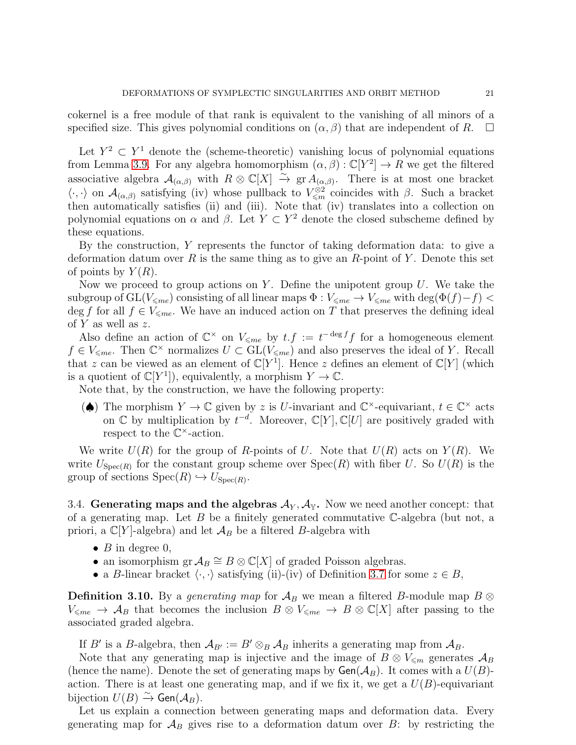cokernel is a free module of that rank is equivalent to the vanishing of all minors of a specified size. This gives polynomial conditions on  $(\alpha, \beta)$  that are independent of R.  $\square$ 

Let  $Y^2 \subset Y^1$  denote the (scheme-theoretic) vanishing locus of polynomial equations from Lemma [3.9.](#page-19-1) For any algebra homomorphism  $(\alpha, \beta) : \mathbb{C}[Y^2] \to R$  we get the filtered associative algebra  $\mathcal{A}_{(\alpha,\beta)}$  with  $R \otimes \mathbb{C}[X] \stackrel{\sim}{\to} \text{gr } \mathcal{A}_{(\alpha,\beta)}$ . There is at most one bracket  $\langle \cdot, \cdot \rangle$  on  $\mathcal{A}_{(\alpha,\beta)}$  satisfying (iv) whose pullback to  $V_{\leq m}^{\otimes 2}$  coincides with  $\beta$ . Such a bracket then automatically satisfies (ii) and (iii). Note that (iv) translates into a collection on polynomial equations on  $\alpha$  and  $\beta$ . Let  $Y \subset Y^2$  denote the closed subscheme defined by these equations.

By the construction, Y represents the functor of taking deformation data: to give a deformation datum over R is the same thing as to give an R-point of Y. Denote this set of points by  $Y(R)$ .

Now we proceed to group actions on Y. Define the unipotent group  $U$ . We take the subgroup of  $GL(V_{\leq me})$  consisting of all linear maps  $\Phi : V_{\leq me} \to V_{\leq me}$  with  $\deg(\Phi(f)-f)$ deg f for all  $f \in V_{\leq me}$ . We have an induced action on T that preserves the defining ideal of Y as well as z.

Also define an action of  $\mathbb{C}^{\times}$  on  $V_{\leqslant me}$  by  $t.f := t^{-\deg f}f$  for a homogeneous element  $f \in V_{\leq me}$ . Then  $\mathbb{C}^{\times}$  normalizes  $U \subset GL(V_{\leq me})$  and also preserves the ideal of Y. Recall that z can be viewed as an element of  $\mathbb{C}[Y]$ . Hence z defines an element of  $\mathbb{C}[Y]$  (which is a quotient of  $\mathbb{C}[Y^1]$ , equivalently, a morphism  $Y \to \mathbb{C}$ .

Note that, by the construction, we have the following property:

( $\spadesuit$ ) The morphism  $Y \to \mathbb{C}$  given by z is U-invariant and  $\mathbb{C}^{\times}$ -equivariant,  $t \in \mathbb{C}^{\times}$  acts on  $\mathbb C$  by multiplication by  $t^{-d}$ . Moreover,  $\mathbb C[Y], \mathbb C[U]$  are positively graded with respect to the  $\mathbb{C}^{\times}$ -action.

We write  $U(R)$  for the group of R-points of U. Note that  $U(R)$  acts on  $Y(R)$ . We write  $U_{\text{Spec}(R)}$  for the constant group scheme over  $\text{Spec}(R)$  with fiber U. So  $U(R)$  is the group of sections  $Spec(R) \hookrightarrow U_{Spec(R)}$ .

<span id="page-20-0"></span>3.4. Generating maps and the algebras  $A_Y$ ,  $A_Y$ . Now we need another concept: that of a generating map. Let  $B$  be a finitely generated commutative  $\mathbb{C}\text{-algebra}$  (but not, a priori, a  $\mathbb{C}[Y]$ -algebra) and let  $\mathcal{A}_B$  be a filtered B-algebra with

- $B$  in degree 0,
- an isomorphism  $\operatorname{gr} \mathcal{A}_B \cong B \otimes \mathbb{C}[X]$  of graded Poisson algebras.
- a B-linear bracket  $\langle \cdot, \cdot \rangle$  satisfying (ii)-(iv) of Definition [3.7](#page-18-1) for some  $z \in B$ ,

**Definition 3.10.** By a *generating map* for  $A_B$  we mean a filtered B-module map  $B \otimes$  $V_{\leq me} \to A_B$  that becomes the inclusion  $B \otimes V_{\leq me} \to B \otimes \mathbb{C}[X]$  after passing to the associated graded algebra.

If B' is a B-algebra, then  $\mathcal{A}_{B'} := B' \otimes_B \mathcal{A}_B$  inherits a generating map from  $\mathcal{A}_B$ .

Note that any generating map is injective and the image of  $B \otimes V_{\leq m}$  generates  $\mathcal{A}_B$ (hence the name). Denote the set of generating maps by  $Gen(\mathcal{A}_B)$ . It comes with a  $U(B)$ action. There is at least one generating map, and if we fix it, we get a  $U(B)$ -equivariant bijection  $U(B) \xrightarrow{\sim} \mathsf{Gen}(\mathcal{A}_B)$ .

Let us explain a connection between generating maps and deformation data. Every generating map for  $\mathcal{A}_B$  gives rise to a deformation datum over B: by restricting the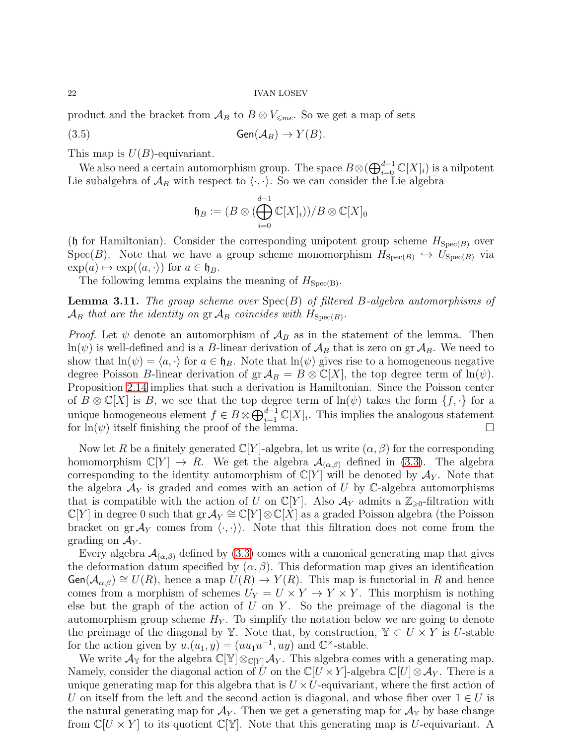product and the bracket from  $\mathcal{A}_B$  to  $B \otimes V_{\leq m e}$ . So we get a map of sets

(3.5) 
$$
\mathsf{Gen}(\mathcal{A}_B) \to Y(B).
$$

This map is  $U(B)$ -equivariant.

We also need a certain automorphism group. The space  $B\otimes (\bigoplus_{i=0}^{d-1} \mathbb{C}[X]_i)$  is a nilpotent Lie subalgebra of  $\mathcal{A}_B$  with respect to  $\langle \cdot, \cdot \rangle$ . So we can consider the Lie algebra

$$
\mathfrak{h}_B := (B \otimes (\bigoplus_{i=0}^{d-1} \mathbb{C}[X]_i))/B \otimes \mathbb{C}[X]_0
$$

(h for Hamiltonian). Consider the corresponding unipotent group scheme  $H_{\text{Spec}(B)}$  over Spec(B). Note that we have a group scheme monomorphism  $H_{Spec(B)} \hookrightarrow U_{Spec(B)}$  via  $\exp(a) \mapsto \exp(\langle a, \cdot \rangle)$  for  $a \in \mathfrak{h}_B$ .

The following lemma explains the meaning of  $H_{\text{Spec}(B)}$ .

**Lemma 3.11.** The group scheme over  $Spec(B)$  of filtered B-algebra automorphisms of  $\mathcal{A}_B$  that are the identity on  $\operatorname{gr} \mathcal{A}_B$  coincides with  $H_{\operatorname{Spec}(B)}$ .

*Proof.* Let  $\psi$  denote an automorphism of  $\mathcal{A}_B$  as in the statement of the lemma. Then  $ln(\psi)$  is well-defined and is a B-linear derivation of  $\mathcal{A}_B$  that is zero on gr $\mathcal{A}_B$ . We need to show that  $ln(\psi) = \langle a, \cdot \rangle$  for  $a \in \mathfrak{h}_B$ . Note that  $ln(\psi)$  gives rise to a homogeneous negative degree Poisson B-linear derivation of  $\operatorname{gr} A_B = B \otimes \mathbb{C}[X]$ , the top degree term of  $\ln(\psi)$ . Proposition [2.14](#page-12-3) implies that such a derivation is Hamiltonian. Since the Poisson center of  $B \otimes \mathbb{C}[X]$  is B, we see that the top degree term of  $\ln(\psi)$  takes the form  $\{f, \cdot\}$  for a unique homogeneous element  $f \in B \otimes \bigoplus_{i=1}^{d-1} \mathbb{C}[X]_i$ . This implies the analogous statement for  $\ln(\psi)$  itself finishing the proof of the lemma.

Now let R be a finitely generated  $\mathbb{C}[Y]$ -algebra, let us write  $(\alpha, \beta)$  for the corresponding homomorphism  $\mathbb{C}[Y] \to R$ . We get the algebra  $\mathcal{A}_{(\alpha,\beta)}$  defined in [\(3.3\)](#page-19-2). The algebra corresponding to the identity automorphism of  $\mathbb{C}[Y]$  will be denoted by  $\mathcal{A}_Y$ . Note that the algebra  $\mathcal{A}_Y$  is graded and comes with an action of U by C-algebra automorphisms that is compatible with the action of U on  $\mathbb{C}[Y]$ . Also  $\mathcal{A}_Y$  admits a  $\mathbb{Z}_{\geq 0}$ -filtration with  $\mathbb{C}[Y]$  in degree 0 such that gr  $\mathcal{A}_Y \cong \mathbb{C}[Y] \otimes \mathbb{C}[X]$  as a graded Poisson algebra (the Poisson bracket on gr  $\mathcal{A}_Y$  comes from  $\langle \cdot, \cdot \rangle$ . Note that this filtration does not come from the grading on  $A_Y$ .

Every algebra  $\mathcal{A}_{(\alpha,\beta)}$  defined by [\(3.3\)](#page-19-2) comes with a canonical generating map that gives the deformation datum specified by  $(\alpha, \beta)$ . This deformation map gives an identification  $Gen(\mathcal{A}_{\alpha,\beta}) \cong U(R)$ , hence a map  $U(R) \to Y(R)$ . This map is functorial in R and hence comes from a morphism of schemes  $U_Y = U \times Y \to Y \times Y$ . This morphism is nothing else but the graph of the action of  $U$  on  $Y$ . So the preimage of the diagonal is the automorphism group scheme  $H_Y$ . To simplify the notation below we are going to denote the preimage of the diagonal by Y. Note that, by construction,  $Y \subset U \times Y$  is U-stable for the action given by  $u.(u_1, y) = (uu_1u^{-1}, uy)$  and  $\mathbb{C}^{\times}$ -stable.

We write  $\mathcal{A}_{\mathbb{Y}}$  for the algebra  $\mathbb{C}[\mathbb{Y}]\otimes_{\mathbb{C}[Y]} \mathcal{A}_Y$ . This algebra comes with a generating map. Namely, consider the diagonal action of U on the  $\mathbb{C}[U \times Y]$ -algebra  $\mathbb{C}[U] \otimes \mathcal{A}_Y$ . There is a unique generating map for this algebra that is  $U \times U$ -equivariant, where the first action of U on itself from the left and the second action is diagonal, and whose fiber over  $1 \in U$  is the natural generating map for  $\mathcal{A}_Y$ . Then we get a generating map for  $\mathcal{A}_Y$  by base change from  $\mathbb{C}[U \times Y]$  to its quotient  $\mathbb{C}[\mathbb{Y}]$ . Note that this generating map is U-equivariant. A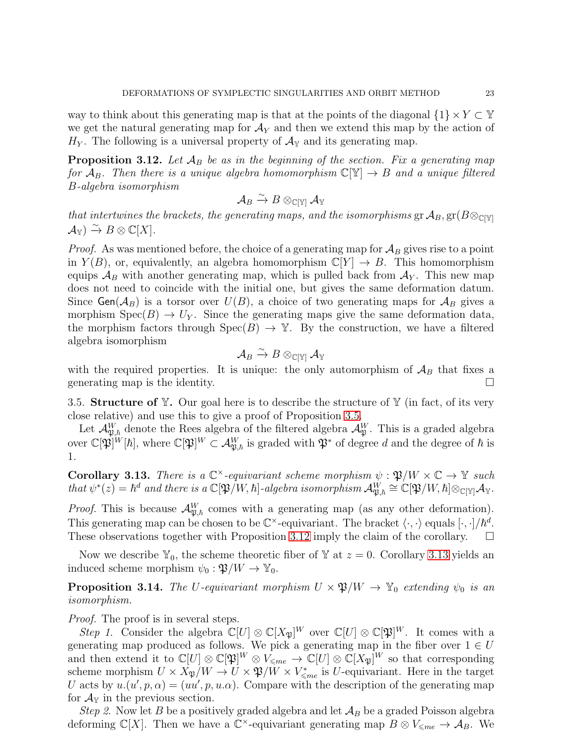way to think about this generating map is that at the points of the diagonal  $\{1\} \times Y \subset Y$ we get the natural generating map for  $\mathcal{A}_Y$  and then we extend this map by the action of  $H_Y$ . The following is a universal property of  $\mathcal{A}_{\mathbb{Y}}$  and its generating map.

<span id="page-22-1"></span>**Proposition 3.12.** Let  $A_B$  be as in the beginning of the section. Fix a generating map for  $A_B$ . Then there is a unique algebra homomorphism  $\mathbb{C}[\mathbb{Y}] \to B$  and a unique filtered B-algebra isomorphism

$$
\mathcal{A}_B \xrightarrow{\sim} B \otimes_{\mathbb{C}[\mathbb{Y}]} \mathcal{A}_\mathbb{Y}
$$

that intertwines the brackets, the generating maps, and the isomorphisms  $\operatorname{gr} \mathcal{A}_B, \operatorname{gr}(B \otimes_{\mathbb{C}[\mathbb{Y}]}$  $\mathcal{A}_{\mathbb{Y}}$ )  $\stackrel{\sim}{\to}$   $B \otimes \mathbb{C}[X]$ .

*Proof.* As was mentioned before, the choice of a generating map for  $\mathcal{A}_B$  gives rise to a point in  $Y(B)$ , or, equivalently, an algebra homomorphism  $\mathbb{C}[Y] \to B$ . This homomorphism equips  $\mathcal{A}_B$  with another generating map, which is pulled back from  $\mathcal{A}_Y$ . This new map does not need to coincide with the initial one, but gives the same deformation datum. Since  $Gen(\mathcal{A}_B)$  is a torsor over  $U(B)$ , a choice of two generating maps for  $\mathcal{A}_B$  gives a morphism  $Spec(B) \to U_Y$ . Since the generating maps give the same deformation data, the morphism factors through  $Spec(B) \to \mathbb{Y}$ . By the construction, we have a filtered algebra isomorphism

$$
\mathcal{A}_B\stackrel{\sim}{\to}B\otimes_{\mathbb{C}[\mathbb{Y}]}\mathcal{A}_\mathbb{Y}
$$

with the required properties. It is unique: the only automorphism of  $A_B$  that fixes a generating map is the identity.  $\Box$ 

<span id="page-22-0"></span>3.5. Structure of  $\mathbb{Y}$ . Our goal here is to describe the structure of  $\mathbb{Y}$  (in fact, of its very close relative) and use this to give a proof of Proposition [3.5.](#page-16-1)

Let  $\mathcal{A}^W_{\mathfrak{P},\hbar}$  denote the Rees algebra of the filtered algebra  $\mathcal{A}^W_\mathfrak{P}$ . This is a graded algebra over  $\mathbb{C}[\mathfrak{P}]^W[\hbar],$  where  $\mathbb{C}[\mathfrak{P}]^W \subset \mathcal{A}_{\mathfrak{P},\hbar}^W$  is graded with  $\mathfrak{P}^*$  of degree  $d$  and the degree of  $\hbar$  is 1.

<span id="page-22-2"></span>**Corollary 3.13.** There is a  $\mathbb{C}^{\times}$ -equivariant scheme morphism  $\psi : \mathfrak{P}/W \times \mathbb{C} \to \mathbb{Y}$  such  $that~\psi^*(z) = \hbar^d~and~there~ is~a~\mathbb{C}[\mathfrak{P}/W,\hbar] \textrm{-}algebra~isomorphism~\mathcal{A}^{\dot{W}}_{\mathfrak{P},\hbar}\cong \mathbb{C}[\mathfrak{P}/W,\hbar] \otimes_{\mathbb{C}[\mathbb{Y}]}\mathcal{A}_{\mathbb{Y}}.$ 

*Proof.* This is because  $\mathcal{A}_{\mathfrak{P},\hbar}^W$  comes with a generating map (as any other deformation). This generating map can be chosen to be  $\mathbb{C}^{\times}$ -equivariant. The bracket  $\langle \cdot, \cdot \rangle$  equals  $[\cdot, \cdot]/\hbar^{d}$ . These observations together with Proposition [3.12](#page-22-1) imply the claim of the corollary.  $\square$ 

Now we describe  $\mathbb{Y}_0$ , the scheme theoretic fiber of  $\mathbb{Y}$  at  $z = 0$ . Corollary [3.13](#page-22-2) yields an induced scheme morphism  $\psi_0 : \mathfrak{P}/W \to \mathbb{Y}_0$ .

<span id="page-22-3"></span>**Proposition 3.14.** The U-equivariant morphism  $U \times \mathfrak{P}/W \rightarrow \mathbb{Y}_0$  extending  $\psi_0$  is an isomorphism.

*Proof.* The proof is in several steps.

Step 1. Consider the algebra  $\mathbb{C}[U] \otimes \mathbb{C}[X_{\mathfrak{P}}]^W$  over  $\mathbb{C}[U] \otimes \mathbb{C}[\mathfrak{P}]^W$ . It comes with a generating map produced as follows. We pick a generating map in the fiber over  $1 \in U$ and then extend it to  $\mathbb{C}[U] \otimes \mathbb{C}[\mathfrak{P}]^W \otimes V_{\leq m e} \to \mathbb{C}[U] \otimes \mathbb{C}[X_{\mathfrak{P}}]^W$  so that corresponding scheme morphism  $U \times X_{\mathfrak{P}}/W \to U \times \mathfrak{P}/W \times V_{\leq me}^*$  is U-equivariant. Here in the target U acts by  $u(u', p, \alpha) = (uu', p, u, \alpha)$ . Compare with the description of the generating map for  $\mathcal{A}_{\mathbb{Y}}$  in the previous section.

Step 2. Now let B be a positively graded algebra and let  $\mathcal{A}_B$  be a graded Poisson algebra deforming  $\mathbb{C}[X]$ . Then we have a  $\mathbb{C}^{\times}$ -equivariant generating map  $B \otimes V_{\leq m} \to \mathcal{A}_{B}$ . We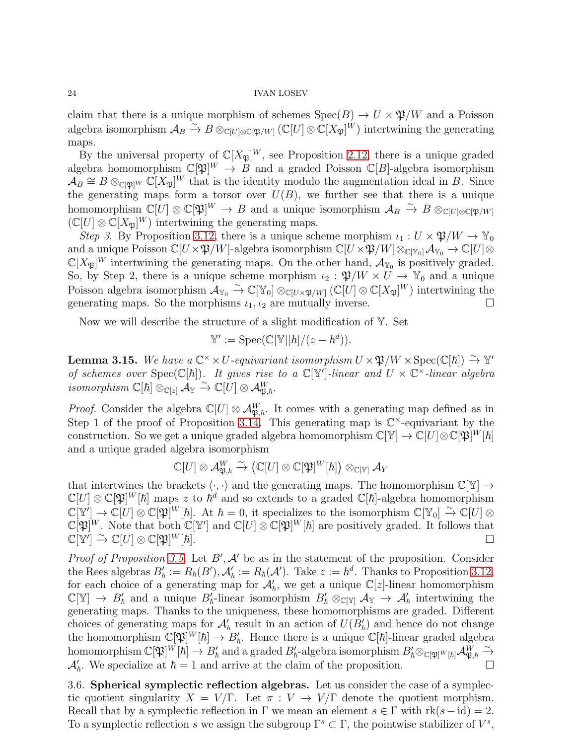claim that there is a unique morphism of schemes  $Spec(B) \to U \times \mathfrak{P}/W$  and a Poisson algebra isomorphism  $\mathcal{A}_B \xrightarrow{\sim} B \otimes_{\mathbb{C}[U] \otimes \mathbb{C}[\mathfrak{P}/W]} (\mathbb{C}[U] \otimes \mathbb{C}[X_{\mathfrak{P}}]^{W})$  intertwining the generating maps.

By the universal property of  $\mathbb{C}[X_{\mathfrak{P}}]^W$ , see Proposition [2.12,](#page-11-2) there is a unique graded algebra homomorphism  $\mathbb{C}[\mathfrak{P}]^W \to B$  and a graded Poisson  $\mathbb{C}[B]$ -algebra isomorphism  $\mathcal{A}_B \cong B \otimes_{\mathbb{C}[\mathfrak{P}]^W} \mathbb{C}[X_{\mathfrak{P}}]^W$  that is the identity modulo the augmentation ideal in B. Since the generating maps form a torsor over  $U(B)$ , we further see that there is a unique homomorphism  $\mathbb{C}[U] \otimes \mathbb{C}[\mathfrak{P}]^W \to B$  and a unique isomorphism  $\mathcal{A}_B \xrightarrow{\sim} B \otimes_{\mathbb{C}[U] \otimes \mathbb{C}[\mathfrak{P}/W]}$  $(\mathbb{C}[U] \otimes \mathbb{C}[X_{\mathfrak{P}}]^W)$  intertwining the generating maps.

Step 3. By Proposition [3.12,](#page-22-1) there is a unique scheme morphism  $\iota_1: U \times \mathfrak{P}/W \to \mathbb{Y}_0$ and a unique Poisson  $\mathbb{C}[U \times \mathfrak{P}/W]$ -algebra isomorphism  $\mathbb{C}[U \times \mathfrak{P}/W] \otimes_{\mathbb{C}[\mathbb{Y}_0]} \mathcal{A}_{\mathbb{Y}_0} \to \mathbb{C}[U] \otimes$  $\mathbb{C}[X_{\mathfrak{P}}]^W$  intertwining the generating maps. On the other hand,  $\mathcal{A}_{Y_0}$  is positively graded. So, by Step 2, there is a unique scheme morphism  $\iota_2 : \mathfrak{P}/W \times U \to \mathbb{Y}_0$  and a unique Poisson algebra isomorphism  $\mathcal{A}_{\mathbb{Y}_0} \overset{\sim}{\to} \mathbb{C}[\mathbb{Y}_0] \otimes_{\mathbb{C}[U \times \mathfrak{P}/W]} (\mathbb{C}[U] \otimes \mathbb{C}[X_{\mathfrak{P}}]^W)$  intertwining the generating maps. So the morphisms  $\iota_1, \iota_2$  are mutually inverse.

Now we will describe the structure of a slight modification of  $\mathbb{Y}$ . Set

$$
\mathbb{Y}' := \mathrm{Spec}(\mathbb{C}[\mathbb{Y}][\hbar]/(z - \hbar^d)).
$$

<span id="page-23-1"></span>**Lemma 3.15.** We have a  $\mathbb{C}^{\times} \times U$ -equivariant isomorphism  $U \times \mathfrak{P}/W \times \text{Spec}(\mathbb{C}[\hbar]) \xrightarrow{\sim} \mathbb{Y}'$ of schemes over  $Spec(\mathbb{C}[\hbar])$ . It gives rise to a  $\mathbb{C}[Y']$ -linear and  $U \times \mathbb{C}^{\times}$ -linear algebra  $isomorphism~\mathbb{C}[\hbar] \otimes_{\mathbb{C}[z]} \mathcal{A}_{\mathbb{Y}} \overset{\sim}{\to} \mathbb{C}[\tilde{U}] \otimes \mathcal{A}_{\mathfrak{P},\hbar}^W.$ 

*Proof.* Consider the algebra  $\mathbb{C}[U] \otimes \mathcal{A}_{\mathfrak{P},h}^W$ . It comes with a generating map defined as in Step 1 of the proof of Proposition [3.14.](#page-22-3) This generating map is  $\mathbb{C}^{\times}$ -equivariant by the construction. So we get a unique graded algebra homomorphism  $\mathbb{C}[\mathbb{Y}] \to \mathbb{C}[U] \otimes \mathbb{C}[\mathfrak{P}]^W[\hbar]$ and a unique graded algebra isomorphism

$$
\mathbb{C}[U]\otimes \mathcal{A}^W_{\mathfrak{P},\hbar}\xrightarrow{\sim} \left(\mathbb{C}[U]\otimes \mathbb{C}[\mathfrak{P}]^W[\hbar]\right)\otimes_{\mathbb{C}[\mathbb{Y}]}\mathcal{A}_Y
$$

that intertwines the brackets  $\langle \cdot, \cdot \rangle$  and the generating maps. The homomorphism  $\mathbb{C}[\mathbb{Y}] \to$  $\mathbb{C}[U] \otimes \mathbb{C}[\mathfrak{P}]^W[\hbar]$  maps z to  $\hbar^d$  and so extends to a graded  $\mathbb{C}[\hbar]$ -algebra homomorphism  $\mathbb{C}[\mathbb{Y}'] \to \mathbb{C}[U] \otimes \mathbb{C}[\mathfrak{P}]^W[\hbar]$ . At  $\hbar = 0$ , it specializes to the isomorphism  $\mathbb{C}[\mathbb{Y}_0] \xrightarrow{\sim} \mathbb{C}[U] \otimes$  $\mathbb{C}[\mathfrak{P}]^W$ . Note that both  $\mathbb{C}[\mathbb{Y}']$  and  $\mathbb{C}[U] \otimes \mathbb{C}[\mathfrak{P}]^W[\hbar]$  are positively graded. It follows that  $\mathbb{C}[\mathbb{Y}'] \overset{\sim}{\to} \mathbb{C}[U] \otimes \mathbb{C}[\mathfrak{P}]$  $W[\hbar].$ 

*Proof of Proposition [3.5.](#page-16-1)* Let  $B'$ ,  $A'$  be as in the statement of the proposition. Consider the Rees algebras  $B'_h := R_h(B')$ ,  $\mathcal{A}'_h := R_h(\mathcal{A}')$ . Take  $z := h^d$ . Thanks to Proposition [3.12,](#page-22-1) for each choice of a generating map for  $\mathcal{A}'_{\hbar}$ , we get a unique  $\mathbb{C}[z]$ -linear homomorphism  $\mathbb{C}[\mathbb{Y}] \to B'_{\hbar}$  and a unique  $B'_{\hbar}$ -linear isomorphism  $B'_{\hbar} \otimes_{\mathbb{C}[\mathbb{Y}]} A_{\mathbb{Y}} \to A'_{\hbar}$  intertwining the generating maps. Thanks to the uniqueness, these homomorphisms are graded. Different choices of generating maps for  $\mathcal{A}'_\hbar$  result in an action of  $U(B'_\hbar)$  and hence do not change the homomorphism  $\mathbb{C}[\mathfrak{P}]^W[\hbar] \to B'_{\hbar}$ . Hence there is a unique  $\mathbb{C}[\hbar]$ -linear graded algebra  $\text{homomorphism }\mathbb{C}[\mathfrak{P}]^W[\hbar]\to B'_{\hbar} \text{ and a graded }B'_{\hbar}\text{-algebra isomorphism }B'_{\hbar}\otimes_{\mathbb{C}[\mathfrak{P}]^W[\hbar]}\mathcal{A}^{\bar{W}}_{\mathfrak{P},\hbar}\stackrel{\sim}{\to}$  $\mathcal{A}'_{\hbar}$ . We specialize at  $\hbar = 1$  and arrive at the claim of the proposition.

<span id="page-23-0"></span>3.6. Spherical symplectic reflection algebras. Let us consider the case of a symplectic quotient singularity  $X = V/\Gamma$ . Let  $\pi : V \to V/\Gamma$  denote the quotient morphism. Recall that by a symplectic reflection in  $\Gamma$  we mean an element  $s \in \Gamma$  with  $rk(s - id) = 2$ . To a symplectic reflection s we assign the subgroup  $\Gamma^s \subset \Gamma$ , the pointwise stabilizer of  $V^s$ ,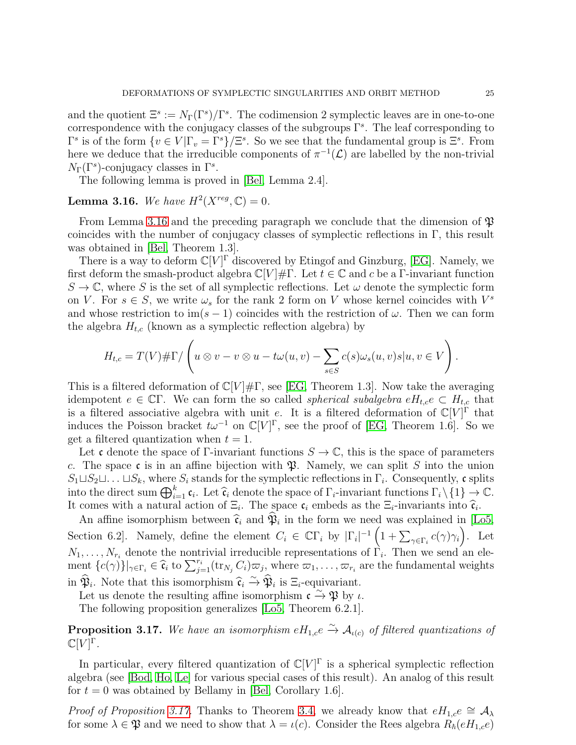and the quotient  $\Xi^s := N_\Gamma(\Gamma^s)/\Gamma^s$ . The codimension 2 symplectic leaves are in one-to-one correspondence with the conjugacy classes of the subgroups  $\Gamma<sup>s</sup>$ . The leaf corresponding to  $\Gamma^s$  is of the form  $\{v \in V | \Gamma_v = \Gamma^s\}/\Xi^s$ . So we see that the fundamental group is  $\Xi^s$ . From here we deduce that the irreducible components of  $\pi^{-1}(\mathcal{L})$  are labelled by the non-trivial  $N_{\Gamma}(\Gamma^s)$ -conjugacy classes in  $\Gamma^s$ .

The following lemma is proved in [\[Bel,](#page-42-4) Lemma 2.4].

# <span id="page-24-0"></span>**Lemma 3.16.** We have  $H^2(X^{reg}, \mathbb{C}) = 0$ .

From Lemma [3.16](#page-24-0) and the preceding paragraph we conclude that the dimension of  $\mathfrak{P}$ coincides with the number of conjugacy classes of symplectic reflections in Γ, this result was obtained in [\[Bel,](#page-42-4) Theorem 1.3].

There is a way to deform  $\mathbb{C}[V]^{\Gamma}$  discovered by Etingof and Ginzburg, [\[EG\]](#page-42-3). Namely, we first deform the smash-product algebra  $\mathbb{C}[V]\# \Gamma$ . Let  $t \in \mathbb{C}$  and c be a Γ-invariant function  $S \to \mathbb{C}$ , where S is the set of all symplectic reflections. Let  $\omega$  denote the symplectic form on V. For  $s \in S$ , we write  $\omega_s$  for the rank 2 form on V whose kernel coincides with  $V^s$ and whose restriction to im(s – 1) coincides with the restriction of  $\omega$ . Then we can form the algebra  $H_{t,c}$  (known as a symplectic reflection algebra) by

$$
H_{t,c}=T(V)\#\Gamma/\left(u\otimes v-v\otimes u-t\omega(u,v)-\sum_{s\in S}c(s)\omega_s(u,v)s|u,v\in V\right).
$$

This is a filtered deformation of  $\mathbb{C}[V]\# \Gamma$ , see [\[EG,](#page-42-3) Theorem 1.3]. Now take the averaging idempotent  $e \in \mathbb{C}\Gamma$ . We can form the so called *spherical subalgebra*  $eH_{t,c}e \subset H_{t,c}$  that is a filtered associative algebra with unit e. It is a filtered deformation of  $\mathbb{C}[V]^{\Gamma}$  that induces the Poisson bracket  $t\omega^{-1}$  on  $\mathbb{C}[V]^{\Gamma}$ , see the proof of [\[EG,](#page-42-3) Theorem 1.6]. So we get a filtered quantization when  $t = 1$ .

Let c denote the space of Γ-invariant functions  $S \to \mathbb{C}$ , this is the space of parameters c. The space c is in an affine bijection with  $\mathfrak{P}$ . Namely, we can split S into the union  $S_1 \sqcup S_2 \sqcup \ldots \sqcup S_k$ , where  $S_i$  stands for the symplectic reflections in  $\Gamma_i$ . Consequently, c splits into the direct sum  $\bigoplus_{i=1}^k \mathfrak{c}_i$ . Let  $\widehat{\mathfrak{c}}_i$  denote the space of  $\Gamma_i$ -invariant functions  $\Gamma_i \setminus \{1\} \to \mathbb{C}$ . It comes with a natural action of  $\Xi_i$ . The space  $c_i$  embeds as the  $\Xi_i$ -invariants into  $\hat{c}_i$ .

An affine isomorphism between  $\hat{\mathfrak{c}}_i$  and  $\mathfrak{P}_i$  in the form we need was explained in [\[Lo5,](#page-43-10) Section 6.2]. Namely, define the element  $C_i \in \mathbb{C}\Gamma_i$  by  $|\Gamma_i|^{-1} \left(1 + \sum_{\gamma \in \Gamma_i} c(\gamma)\gamma_i\right)$ . Let  $N_1, \ldots, N_{r_i}$  denote the nontrivial irreducible representations of  $\Gamma_i$ . Then we send an element  ${c(\gamma)}\big|_{\gamma \in \Gamma_i} \in \hat{\mathfrak{c}}_i$  to  $\sum_{j=1}^{r_i} (\text{tr}_{N_j} C_i) \overline{\omega_j}$ , where  $\overline{\omega_1}, \ldots, \overline{\omega_{r_i}}$  are the fundamental weights in  $\hat{\mathfrak{P}}_i$ . Note that this isomorphism  $\hat{\mathfrak{c}}_i \overset{\sim}{\rightarrow} \hat{\mathfrak{P}}_i$  is  $\Xi_i$ -equivariant.

Let us denote the resulting affine isomorphism  $\mathfrak{c} \to \mathfrak{P}$  by  $\iota$ .

The following proposition generalizes [\[Lo5,](#page-43-10) Theorem 6.2.1].

<span id="page-24-1"></span>**Proposition 3.17.** We have an isomorphism  $eH_{1,c}e \overset{\sim}{\rightarrow} \mathcal{A}_{\iota(c)}$  of filtered quantizations of  $\mathbb{C}[V]^\Gamma$  .

In particular, every filtered quantization of  $\mathbb{C}[V]^{\Gamma}$  is a spherical symplectic reflection algebra (see [\[Bod,](#page-42-16) [Ho,](#page-42-17) [Le\]](#page-43-17) for various special cases of this result). An analog of this result for  $t = 0$  was obtained by Bellamy in [\[Bel,](#page-42-4) Corollary 1.6].

*Proof of Proposition [3.17.](#page-24-1)* Thanks to Theorem [3.4,](#page-16-0) we already know that  $eH_{1,c}e \cong A_{\lambda}$ for some  $\lambda \in \mathfrak{P}$  and we need to show that  $\lambda = \iota(c)$ . Consider the Rees algebra  $R_{\hbar}(eH_{1,c}e)$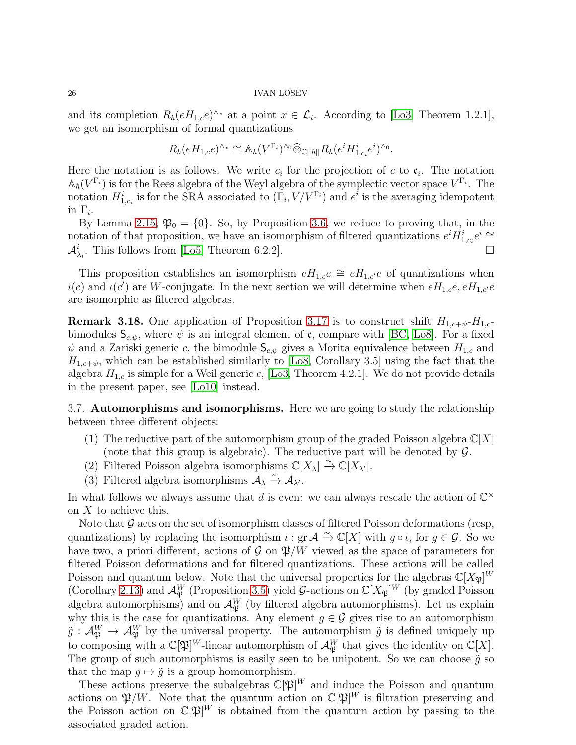and its completion  $R_{\hbar} (eH_{1,c}e)^{\wedge x}$  at a point  $x \in \mathcal{L}_i$ . According to [\[Lo3,](#page-43-18) Theorem 1.2.1], we get an isomorphism of formal quantizations

$$
R_{\hbar}(eH_{1,c}e)^{\wedge_x} \cong \mathbb{A}_{\hbar}(V^{\Gamma_i})^{\wedge_0} \widehat{\otimes}_{\mathbb{C}[[\hbar]]} R_{\hbar}(e^i H_{1,c_i}^i e^i)^{\wedge_0}.
$$

Here the notation is as follows. We write  $c_i$  for the projection of c to  $c_i$ . The notation  $\mathbb{A}_{\hbar}(V^{\Gamma_i})$  is for the Rees algebra of the Weyl algebra of the symplectic vector space  $V^{\Gamma_i}$ . The notation  $H_{1,c_i}^i$  is for the SRA associated to  $(\Gamma_i, V/V^{\Gamma_i})$  and  $e^i$  is the averaging idempotent in  $\Gamma_i$ .

By Lemma [2.15,](#page-12-4)  $\mathfrak{P}_0 = \{0\}$ . So, by Proposition [3.6,](#page-17-1) we reduce to proving that, in the notation of that proposition, we have an isomorphism of filtered quantizations  $e^{i}H_{1,c_i}^{i}e^{i} \cong$  $\mathcal{A}_{\lambda_i}^i$ . This follows from [\[Lo5,](#page-43-10) Theorem 6.2.2].

This proposition establishes an isomorphism  $eH_{1,c}e \cong eH_{1,c'}e$  of quantizations when  $\iota(c)$  and  $\iota(c')$  are W-conjugate. In the next section we will determine when  $eH_{1,c}e$ ,  $eH_{1,c'}e$ are isomorphic as filtered algebras.

**Remark 3.18.** One application of Proposition [3.17](#page-24-1) is to construct shift  $H_{1,c+w}$ - $H_{1,c}$ bimodules  $S_{c,\psi}$ , where  $\psi$  is an integral element of c, compare with [\[BC,](#page-42-18) [Lo8\]](#page-43-19). For a fixed  $\psi$  and a Zariski generic c, the bimodule  $S_{c,\psi}$  gives a Morita equivalence between  $H_{1,c}$  and  $H_{1,c+\psi}$ , which can be established similarly to [\[Lo8,](#page-43-19) Corollary 3.5] using the fact that the algebra  $H_{1,c}$  is simple for a Weil generic c, [\[Lo3,](#page-43-18) Theorem 4.2.1]. We do not provide details in the present paper, see [\[Lo10\]](#page-43-1) instead.

<span id="page-25-0"></span>3.7. Automorphisms and isomorphisms. Here we are going to study the relationship between three different objects:

- (1) The reductive part of the automorphism group of the graded Poisson algebra  $\mathbb{C}[X]$ (note that this group is algebraic). The reductive part will be denoted by  $\mathcal{G}$ .
- (2) Filtered Poisson algebra isomorphisms  $\mathbb{C}[X_{\lambda}] \xrightarrow{\sim} \mathbb{C}[X_{\lambda'}].$
- (3) Filtered algebra isomorphisms  $A_{\lambda} \xrightarrow{\sim} A_{\lambda'}$ .

In what follows we always assume that d is even: we can always rescale the action of  $\mathbb{C}^{\times}$ on X to achieve this.

Note that  $\mathcal G$  acts on the set of isomorphism classes of filtered Poisson deformations (resp, quantizations) by replacing the isomorphism  $\iota : \operatorname{gr} \mathcal{A} \stackrel{\sim}{\to} \mathbb{C}[X]$  with  $g \circ \iota$ , for  $g \in \mathcal{G}$ . So we have two, a priori different, actions of  $\mathcal{G}$  on  $\mathfrak{P}/W$  viewed as the space of parameters for filtered Poisson deformations and for filtered quantizations. These actions will be called Poisson and quantum below. Note that the universal properties for the algebras  $\mathbb{C}[X_{\mathfrak{P}}]^W$ (Corollary [2.13\)](#page-12-1) and  $\mathcal{A}_{\mathfrak{P}}^W$  (Proposition [3.5\)](#page-16-1) yield G-actions on  $\mathbb{C}[X_{\mathfrak{P}}]^W$  (by graded Poisson algebra automorphisms) and on  $\mathcal{A}_{\mathfrak{P}}^W$  (by filtered algebra automorphisms). Let us explain why this is the case for quantizations. Any element  $g \in \mathcal{G}$  gives rise to an automorphism  $\tilde{g}: \mathcal{A}_{\mathfrak{P}}^W \to \mathcal{A}_{\mathfrak{P}}^W$  by the universal property. The automorphism  $\tilde{g}$  is defined uniquely up to composing with a  $\mathbb{C}[\mathfrak{P}]^W$ -linear automorphism of  $\mathcal{A}_{\mathfrak{P}}^W$  that gives the identity on  $\mathbb{C}[X]$ . The group of such automorphisms is easily seen to be unipotent. So we can choose  $\tilde{g}$  so that the map  $q \mapsto \tilde{q}$  is a group homomorphism.

These actions preserve the subalgebras  $\mathbb{C}[\mathfrak{P}]^W$  and induce the Poisson and quantum actions on  $\mathfrak{P}/W$ . Note that the quantum action on  $\mathbb{C}[\mathfrak{P}]^W$  is filtration preserving and the Poisson action on  $\mathbb{C}[\mathfrak{P}]^W$  is obtained from the quantum action by passing to the associated graded action.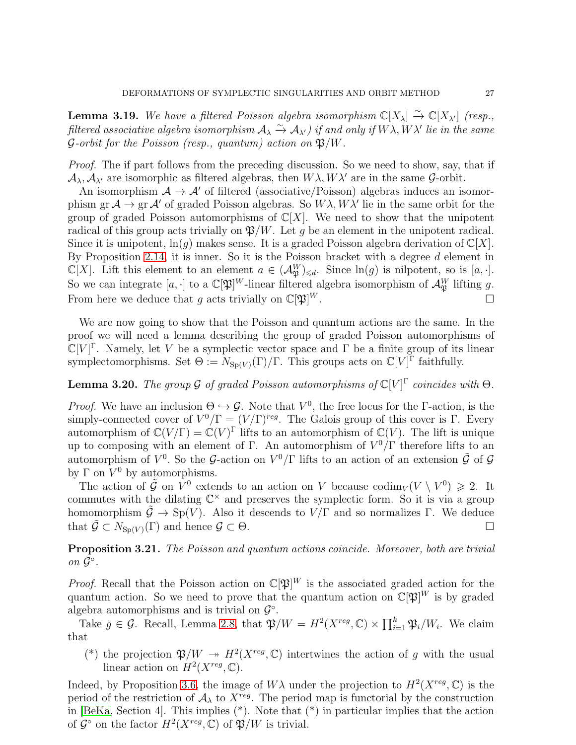<span id="page-26-2"></span>**Lemma 3.19.** We have a filtered Poisson algebra isomorphism  $\mathbb{C}[X_{\lambda}] \xrightarrow{\sim} \mathbb{C}[X_{\lambda'}]$  (resp., filtered associative algebra isomorphism  $A_\lambda \overset{\sim}{\to} A_{\lambda'}$  ) if and only if  $W\lambda, W\lambda'$  lie in the same  $\mathcal G$ -orbit for the Poisson (resp., quantum) action on  $\mathfrak{P}/W$ .

Proof. The if part follows from the preceding discussion. So we need to show, say, that if  $\mathcal{A}_{\lambda}, \mathcal{A}_{\lambda'}$  are isomorphic as filtered algebras, then  $W\lambda, W\lambda'$  are in the same G-orbit.

An isomorphism  $A \rightarrow A'$  of filtered (associative/Poisson) algebras induces an isomorphism gr  $\mathcal{A} \to \text{gr } \mathcal{A}'$  of graded Poisson algebras. So  $W\lambda$ ,  $W\lambda'$  lie in the same orbit for the group of graded Poisson automorphisms of  $\mathbb{C}[X]$ . We need to show that the unipotent radical of this group acts trivially on  $\mathfrak{P}/W$ . Let g be an element in the unipotent radical. Since it is unipotent,  $\ln(g)$  makes sense. It is a graded Poisson algebra derivation of  $\mathbb{C}[X]$ . By Proposition [2.14,](#page-12-3) it is inner. So it is the Poisson bracket with a degree  $d$  element in  $\mathbb{C}[X]$ . Lift this element to an element  $a \in (\mathcal{A}_{\mathfrak{P}}^W)_{\leq d}$ . Since  $\ln(g)$  is nilpotent, so is  $[a, \cdot]$ . So we can integrate  $[a, \cdot]$  to a  $\mathbb{C}[\mathfrak{P}]^W$ -linear filtered algebra isomorphism of  $\mathcal{A}_{\mathfrak{P}}^W$  lifting g. From here we deduce that g acts trivially on  $\mathbb{C}[\mathfrak{P}]^W$ .  $W$  .

We are now going to show that the Poisson and quantum actions are the same. In the proof we will need a lemma describing the group of graded Poisson automorphisms of  $\mathbb{C}[V]^{\Gamma}$ . Namely, let V be a symplectic vector space and  $\Gamma$  be a finite group of its linear symplectomorphisms. Set  $\Theta := N_{\text{Sp}(V)}(\Gamma)/\Gamma$ . This groups acts on  $\mathbb{C}[V]^{\Gamma}$  faithfully.

# <span id="page-26-0"></span>**Lemma 3.20.** The group G of graded Poisson automorphisms of  $\mathbb{C}[V]^{\Gamma}$  coincides with  $\Theta$ .

*Proof.* We have an inclusion  $\Theta \hookrightarrow \mathcal{G}$ . Note that  $V^0$ , the free locus for the  $\Gamma$ -action, is the simply-connected cover of  $V^0/\Gamma = (V/\Gamma)^{reg}$ . The Galois group of this cover is  $\Gamma$ . Every automorphism of  $\mathbb{C}(V/\Gamma) = \mathbb{C}(V)^{\Gamma}$  lifts to an automorphism of  $\mathbb{C}(V)$ . The lift is unique up to composing with an element of  $\Gamma$ . An automorphism of  $V^0/\Gamma$  therefore lifts to an automorphism of  $V^0$ . So the G-action on  $V^0/\Gamma$  lifts to an action of an extension  $\tilde{\mathcal{G}}$  of G by  $\Gamma$  on  $V^0$  by automorphisms.

The action of  $\tilde{\mathcal{G}}$  on  $V^0$  extends to an action on V because  $\text{codim}_V(V \setminus V^0) \geq 2$ . It commutes with the dilating  $\mathbb{C}^{\times}$  and preserves the symplectic form. So it is via a group homomorphism  $\tilde{\mathcal{G}} \to Sp(V)$ . Also it descends to  $V/\Gamma$  and so normalizes  $\Gamma$ . We deduce that  $\tilde{\mathcal{G}} \subset N_{\text{Sn}(V)}(\Gamma)$  and hence  $\mathcal{G} \subset \Theta$ .

<span id="page-26-1"></span>Proposition 3.21. The Poisson and quantum actions coincide. Moreover, both are trivial on  $\mathcal{G}^{\circ}$ .

*Proof.* Recall that the Poisson action on  $\mathbb{C}[\mathfrak{P}]^W$  is the associated graded action for the quantum action. So we need to prove that the quantum action on  $\mathbb{C}[\mathfrak{P}]^W$  is by graded algebra automorphisms and is trivial on  $\mathcal{G}^{\circ}$ .

Take  $g \in \mathcal{G}$ . Recall, Lemma [2.8,](#page-10-1) that  $\mathfrak{P}/W = H^2(X^{reg}, \mathbb{C}) \times \prod_{i=1}^k \mathfrak{P}_i/W_i$ . We claim that

(\*) the projection  $\mathfrak{P}/W \to H^2(X^{reg}, \mathbb{C})$  intertwines the action of g with the usual linear action on  $H^2(X^{reg}, \mathbb{C})$ .

Indeed, by Proposition [3.6,](#page-17-1) the image of  $W\lambda$  under the projection to  $H^2(X^{reg}, \mathbb{C})$  is the period of the restriction of  $A_{\lambda}$  to  $X^{reg}$ . The period map is functorial by the construction in [\[BeKa,](#page-42-9) Section 4]. This implies (\*). Note that (\*) in particular implies that the action of  $\mathcal{G}^{\circ}$  on the factor  $H^2(X^{reg}, \mathbb{C})$  of  $\mathfrak{P}/W$  is trivial.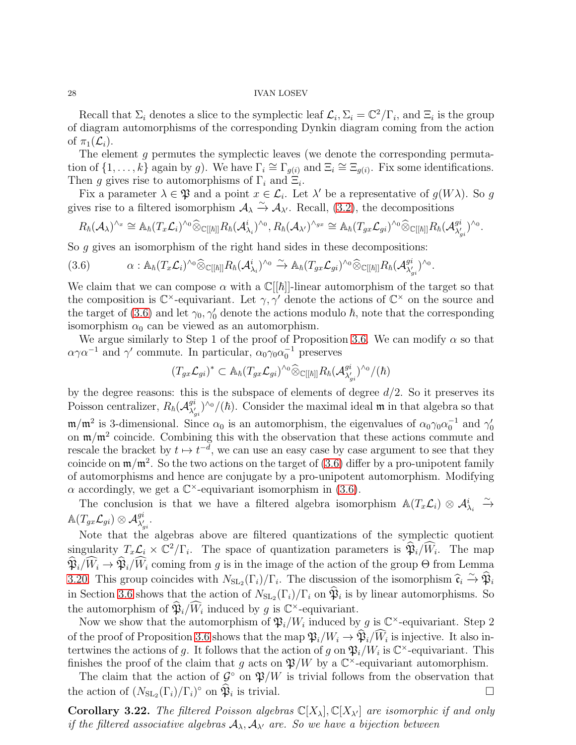Recall that  $\Sigma_i$  denotes a slice to the symplectic leaf  $\mathcal{L}_i$ ,  $\Sigma_i = \mathbb{C}^2/\Gamma_i$ , and  $\Xi_i$  is the group of diagram automorphisms of the corresponding Dynkin diagram coming from the action of  $\pi_1(\mathcal{L}_i)$ .

The element g permutes the symplectic leaves (we denote the corresponding permutation of  $\{1,\ldots,k\}$  again by g). We have  $\Gamma_i \cong \Gamma_{g(i)}$  and  $\Xi_i \cong \Xi_{g(i)}$ . Fix some identifications. Then g gives rise to automorphisms of  $\Gamma_i$  and  $\Xi_i$ .

Fix a parameter  $\lambda \in \mathfrak{P}$  and a point  $x \in \mathcal{L}_i$ . Let  $\lambda'$  be a representative of  $g(W\lambda)$ . So g gives rise to a filtered isomorphism  $\mathcal{A}_{\lambda} \xrightarrow{\sim} \mathcal{A}_{\lambda'}$ . Recall, [\(3.2\)](#page-17-2), the decompositions

$$
R_{\hbar}(\mathcal{A}_{\lambda})^{\wedge_x} \cong \mathbb{A}_{\hbar}(T_x\mathcal{L}_i)^{\wedge_0} \widehat{\otimes}_{\mathbb{C}[[\hbar]]} R_{\hbar}(\mathcal{A}_{\lambda_i}^i)^{\wedge_0}, R_{\hbar}(\mathcal{A}_{\lambda'})^{\wedge_{gx}} \cong \mathbb{A}_{\hbar}(T_{gx}\mathcal{L}_{gi})^{\wedge_0} \widehat{\otimes}_{\mathbb{C}[[\hbar]]} R_{\hbar}(\mathcal{A}_{\lambda'_{gi}}^{gi})^{\wedge_0}.
$$

So g gives an isomorphism of the right hand sides in these decompositions:

<span id="page-27-0"></span>
$$
(3.6) \qquad \alpha: \mathbb{A}_{\hbar}(T_x\mathcal{L}_i)^{\wedge_0} \widehat{\otimes}_{\mathbb{C}[[\hbar]]} R_{\hbar}(\mathcal{A}_{\lambda_i}^i)^{\wedge_0} \xrightarrow{\sim} \mathbb{A}_{\hbar}(T_{gx}\mathcal{L}_{gi})^{\wedge_0} \widehat{\otimes}_{\mathbb{C}[[\hbar]]} R_{\hbar}(\mathcal{A}_{\lambda'_{gi}}^{gi})^{\wedge_0}.
$$

We claim that we can compose  $\alpha$  with a  $\mathbb{C}[[\hbar]]$ -linear automorphism of the target so that the composition is  $\mathbb{C}^{\times}$ -equivariant. Let  $\gamma, \gamma'$  denote the actions of  $\mathbb{C}^{\times}$  on the source and the target of [\(3.6\)](#page-27-0) and let  $\gamma_0, \gamma'_0$  denote the actions modulo  $\hbar$ , note that the corresponding isomorphism  $\alpha_0$  can be viewed as an automorphism.

We argue similarly to Step 1 of the proof of Proposition [3.6.](#page-17-1) We can modify  $\alpha$  so that  $\alpha \gamma \alpha^{-1}$  and  $\gamma'$  commute. In particular,  $\alpha_0 \gamma_0 \alpha_0^{-1}$  preserves

$$
(T_{gx}\mathcal{L}_{gi})^* \subset \mathbb{A}_{\hbar}(T_{gx}\mathcal{L}_{gi})^{\wedge_0} \widehat{\otimes}_{\mathbb{C}[[\hbar]]} R_{\hbar}(\mathcal{A}_{\lambda'_{gi}}^{gi})^{\wedge_0}/(\hbar)
$$

by the degree reasons: this is the subspace of elements of degree  $d/2$ . So it preserves its Poisson centralizer,  $R_{\hbar}(\mathcal{A}_{\lambda'}^{gi})$  $\frac{g_i}{\lambda'_{gi}}$  /^0/( $\hbar$ ). Consider the maximal ideal **m** in that algebra so that  $m/m^2$  is 3-dimensional. Since  $\alpha_0$  is an automorphism, the eigenvalues of  $\alpha_0\gamma_0\alpha_0^{-1}$  and  $\gamma'_0$ on  $\mathfrak{m}/\mathfrak{m}^2$  coincide. Combining this with the observation that these actions commute and rescale the bracket by  $t \mapsto t^{-d}$ , we can use an easy case by case argument to see that they coincide on  $\mathfrak{m}/\mathfrak{m}^2$ . So the two actions on the target of [\(3.6\)](#page-27-0) differ by a pro-unipotent family of automorphisms and hence are conjugate by a pro-unipotent automorphism. Modifying  $\alpha$  accordingly, we get a  $\mathbb{C}^{\times}$ -equivariant isomorphism in [\(3.6\)](#page-27-0).

The conclusion is that we have a filtered algebra isomorphism  $\mathbb{A}(T_x \mathcal{L}_i) \otimes \mathcal{A}_{\lambda_i}^i \xrightarrow{\sim}$  $\mathbb{A}(T_{gx}\mathcal{L}_{gi})\otimes \mathcal{A}_{\lambda'_{gi}}^{gi}.$ 

Note that the algebras above are filtered quantizations of the symplectic quotient singularity  $T_x \mathcal{L}_i \times \mathbb{C}^2/\Gamma_i$ . The space of quantization parameters is  $\hat{\mathfrak{P}}_i/\hat{W}_i$ . The map  $\widehat{\mathfrak{P}}_i/\widehat{W}_i \to \widehat{\mathfrak{P}}_i/\widehat{W}_i$  coming from g is in the image of the action of the group  $\Theta$  from Lemma [3.20.](#page-26-0) This group coincides with  $N_{\text{SL}_2}(\Gamma_i)/\Gamma_i$ . The discussion of the isomorphism  $\hat{\mathfrak{c}}_i \overset{\sim}{\rightarrow} \hat{\mathfrak{P}}_i$ in Section [3.6](#page-23-0) shows that the action of  $N_{\text{SL}_2}(\Gamma_i)/\Gamma_i$  on  $\mathfrak{P}_i$  is by linear automorphisms. So the automorphism of  $\mathfrak{P}_i/\widetilde{W}_i$  induced by g is  $\mathbb{C}^\times$ -equivariant.

Now we show that the automorphism of  $\mathfrak{P}_i/W_i$  induced by g is  $\mathbb{C}^{\times}$ -equivariant. Step 2 of the proof of Proposition [3.6](#page-17-1) shows that the map  $\mathfrak{P}_i/W_i \to \mathfrak{P}_i/W_i$  is injective. It also intertwines the actions of g. It follows that the action of g on  $\mathfrak{P}_i/W_i$  is  $\mathbb{C}^{\times}$ -equivariant. This finishes the proof of the claim that g acts on  $\mathfrak{P}/W$  by a  $\mathbb{C}^{\times}$ -equivariant automorphism.

The claim that the action of  $\mathcal{G}^{\circ}$  on  $\mathfrak{P}/W$  is trivial follows from the observation that the action of  $(N_{\text{SL}_2}(\Gamma_i)/\Gamma_i)^\circ$  on  $\hat{\mathfrak{P}}_i$  is trivial.

**Corollary 3.22.** The filtered Poisson algebras  $\mathbb{C}[X_{\lambda}], \mathbb{C}[X_{\lambda'}]$  are isomorphic if and only if the filtered associative algebras  $A_{\lambda}, A_{\lambda'}$  are. So we have a bijection between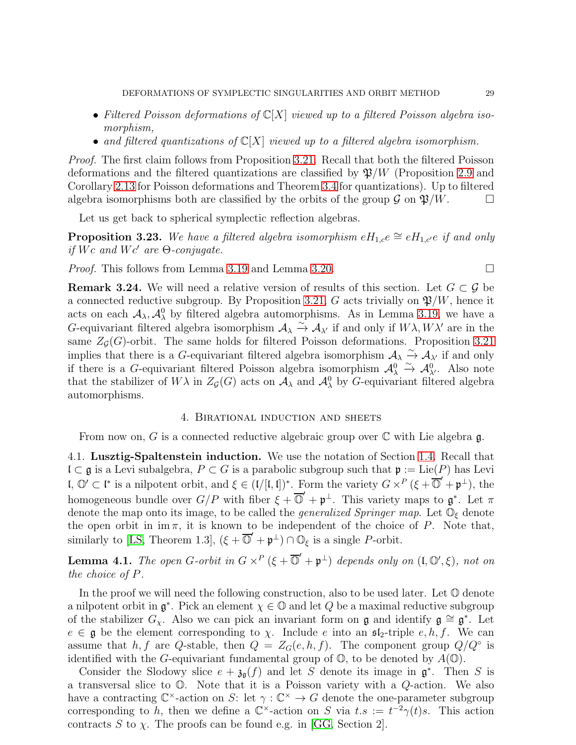- Filtered Poisson deformations of  $\mathbb{C}[X]$  viewed up to a filtered Poisson algebra isomorphism,
- and filtered quantizations of  $\mathbb{C}[X]$  viewed up to a filtered algebra isomorphism.

Proof. The first claim follows from Proposition [3.21.](#page-26-1) Recall that both the filtered Poisson deformations and the filtered quantizations are classified by  $\mathfrak{P}/W$  (Proposition [2.9](#page-10-2) and Corollary [2.13](#page-12-1) for Poisson deformations and Theorem [3.4](#page-16-0) for quantizations). Up to filtered algebra isomorphisms both are classified by the orbits of the group  $\mathcal G$  on  $\mathfrak P/W$ .

Let us get back to spherical symplectic reflection algebras.

**Proposition 3.23.** We have a filtered algebra isomorphism  $eH_{1,c}e \cong eH_{1,c'}e$  if and only if Wc and Wc' are  $\Theta$ -conjugate.

*Proof.* This follows from Lemma [3.19](#page-26-2) and Lemma [3.20.](#page-26-0)

<span id="page-28-3"></span>**Remark 3.24.** We will need a relative version of results of this section. Let  $G \subset \mathcal{G}$  be a connected reductive subgroup. By Proposition [3.21,](#page-26-1) G acts trivially on  $\mathfrak{P}/W$ , hence it acts on each  $A_{\lambda}, A_{\lambda}^{0}$  by filtered algebra automorphisms. As in Lemma [3.19,](#page-26-2) we have a G-equivariant filtered algebra isomorphism  $A_{\lambda} \stackrel{\sim}{\to} A_{\lambda'}$  if and only if  $W\lambda, W\lambda'$  are in the same  $Z<sub>G</sub>(G)$ -orbit. The same holds for filtered Poisson deformations. Proposition [3.21](#page-26-1) implies that there is a G-equivariant filtered algebra isomorphism  $\mathcal{A}_{\lambda} \xrightarrow{\sim} \mathcal{A}_{\lambda'}$  if and only if there is a G-equivariant filtered Poisson algebra isomorphism  $\mathcal{A}^0_\lambda \overset{\sim}{\rightarrow} \mathcal{A}^0_{\lambda'}$ . Also note that the stabilizer of  $W\lambda$  in  $Z_{\mathcal{G}}(G)$  acts on  $\mathcal{A}_{\lambda}$  and  $\mathcal{A}_{\lambda}^{0}$  by G-equivariant filtered algebra automorphisms.

### 4. Birational induction and sheets

<span id="page-28-1"></span><span id="page-28-0"></span>From now on, G is a connected reductive algebraic group over  $\mathbb C$  with Lie algebra g.

4.1. Lusztig-Spaltenstein induction. We use the notation of Section [1.4.](#page-3-0) Recall that  $\mathfrak{l} \subset \mathfrak{g}$  is a Levi subalgebra,  $P \subset G$  is a parabolic subgroup such that  $\mathfrak{p} := \text{Lie}(P)$  has Levi **l**,  $\mathbb{O}' \subset \mathfrak{l}^*$  is a nilpotent orbit, and  $\xi \in (\mathfrak{l}/[\mathfrak{l},\mathfrak{l}])^*$ . Form the variety  $G \times^P (\xi + \overline{\mathbb{O}}' + \mathfrak{p}^{\perp})$ , the homogeneous bundle over  $G/P$  with fiber  $\xi + \overline{\mathbb{O}}' + \mathfrak{p}^{\perp}$ . This variety maps to  $\mathfrak{g}^*$ . Let  $\pi$ denote the map onto its image, to be called the *generalized Springer map*. Let  $\mathbb{O}_{\xi}$  denote the open orbit in  $im \pi$ , it is known to be independent of the choice of P. Note that, similarly to [\[LS,](#page-43-4) Theorem 1.3],  $(\xi + \overline{\mathbb{O}}' + \mathfrak{p}^{\perp}) \cap \mathbb{O}_{\xi}$  is a single P-orbit.

<span id="page-28-2"></span>**Lemma 4.1.** The open G-orbit in  $G \times^P (\xi + \overline{O}' + \mathfrak{p}^{\perp})$  depends only on  $(\mathfrak{l}, \mathbb{O}', \xi)$ , not on the choice of P.

In the proof we will need the following construction, also to be used later. Let  $\mathbb O$  denote a nilpotent orbit in  $\mathfrak{g}^*$ . Pick an element  $\chi \in \mathbb{O}$  and let Q be a maximal reductive subgroup of the stabilizer  $G_{\chi}$ . Also we can pick an invariant form on g and identify  $\mathfrak{g} \cong \mathfrak{g}^*$ . Let  $e \in \mathfrak{g}$  be the element corresponding to  $\chi$ . Include e into an  $\mathfrak{sl}_2$ -triple  $e, h, f$ . We can assume that h, f are Q-stable, then  $Q = Z_G(e, h, f)$ . The component group  $Q/Q^{\circ}$  is identified with the G-equivariant fundamental group of  $\mathbb{O}$ , to be denoted by  $A(\mathbb{O})$ .

Consider the Slodowy slice  $e + \mathfrak{z}_{\mathfrak{g}}(f)$  and let S denote its image in  $\mathfrak{g}^*$ . Then S is a transversal slice to O. Note that it is a Poisson variety with a Q-action. We also have a contracting  $\mathbb{C}^{\times}$ -action on S: let  $\gamma : \mathbb{C}^{\times} \to G$  denote the one-parameter subgroup corresponding to h, then we define a  $\mathbb{C}^{\times}$ -action on S via  $t.s := t^{-2}\gamma(t)s$ . This action contracts S to  $\chi$ . The proofs can be found e.g. in [\[GG,](#page-42-19) Section 2].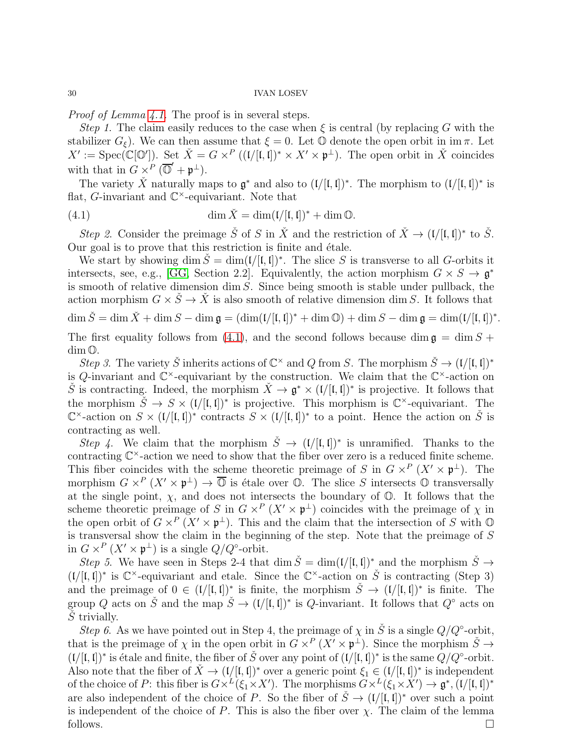Proof of Lemma [4.1.](#page-28-2) The proof is in several steps.

Step 1. The claim easily reduces to the case when  $\xi$  is central (by replacing G with the stabilizer  $G_{\xi}$ ). We can then assume that  $\xi = 0$ . Let  $\mathbb{O}$  denote the open orbit in im  $\pi$ . Let  $X' := \mathrm{Spec}(\mathbb{C}[\mathbb{O}'])$ . Set  $\check{X} = G \times^P ((\mathfrak{l} / [\mathfrak{l}, \mathfrak{l}])^* \times X' \times \mathfrak{p}^{\perp})$ . The open orbit in  $\check{X}$  coincides with that in  $G \times^P (\overline{\mathbb{O}}' + \mathfrak{p}^{\perp}).$ 

The variety  $\check{X}$  naturally maps to  $\mathfrak{g}^*$  and also to  $(\mathfrak{l}/[\mathfrak{l},\mathfrak{l}])^*$ . The morphism to  $(\mathfrak{l}/[\mathfrak{l},\mathfrak{l}])^*$  is flat, G-invariant and  $\mathbb{C}^{\times}$ -equivariant. Note that

<span id="page-29-0"></span>(4.1) 
$$
\dim \check{X} = \dim(\mathfrak{l}/[\mathfrak{l},\mathfrak{l}])^* + \dim \mathbb{O}.
$$

Step 2. Consider the preimage  $\check{S}$  of S in  $\check{X}$  and the restriction of  $\check{X} \to (\mathfrak{l}/[\mathfrak{l},\mathfrak{l}])^*$  to  $\check{S}$ . Our goal is to prove that this restriction is finite and étale.

We start by showing dim  $\check{S} = \dim(\mathfrak{l}/[\mathfrak{l},\mathfrak{l}])^*$ . The slice S is transverse to all G-orbits it intersects, see, e.g., [\[GG,](#page-42-19) Section 2.2]. Equivalently, the action morphism  $G \times S \to \mathfrak{g}^*$ is smooth of relative dimension dim S. Since being smooth is stable under pullback, the action morphism  $G \times \dot{S} \to \dot{X}$  is also smooth of relative dimension dim S. It follows that  $\dim \check{S} = \dim \check{X} + \dim S - \dim \mathfrak{g} = (\dim (\mathfrak{l}/[\mathfrak{l},\mathfrak{l}])^* + \dim \mathbb{O}) + \dim S - \dim \mathfrak{g} = \dim (\mathfrak{l}/[\mathfrak{l},\mathfrak{l}])^*.$ The first equality follows from [\(4.1\)](#page-29-0), and the second follows because dim  $\mathfrak{g} = \dim S +$ dim O. Step 3. The variety  $\check{S}$  inherits actions of  $\mathbb{C}^\times$  and Q from S. The morphism  $\check{S} \to (\mathfrak{l}/[\mathfrak{l},\mathfrak{l}])^*$ is Q-invariant and  $\mathbb{C}^{\times}$ -equivariant by the construction. We claim that the  $\mathbb{C}^{\times}$ -action on

S is contracting. Indeed, the morphism  $\check{X} \to \mathfrak{g}^* \times (\mathfrak{l}/[\mathfrak{l},\mathfrak{l}])^*$  is projective. It follows that the morphism  $\tilde{S} \to S \times (1/[(1,1])^*)$  is projective. This morphism is  $\mathbb{C}^{\times}$ -equivariant. The  $\mathbb{C}^{\times}$ -action on  $S \times (1/[(I, I])^*)$  contracts  $S \times (1/[(I, I])^*)$  to a point. Hence the action on  $\check{S}$  is contracting as well.

Step 4. We claim that the morphism  $\check{S} \to (1/[(1,1])^*)$  is unramified. Thanks to the contracting  $\mathbb{C}^{\times}$ -action we need to show that the fiber over zero is a reduced finite scheme. This fiber coincides with the scheme theoretic preimage of S in  $G \times^P (X' \times \mathfrak{p}^{\perp})$ . The morphism  $G \times^P (X' \times \mathfrak{p}^{\perp}) \to \overline{\mathbb{O}}$  is étale over  $\mathbb{O}$ . The slice S intersects  $\mathbb{O}$  transversally at the single point,  $\chi$ , and does not intersects the boundary of  $\mathbb{O}$ . It follows that the scheme theoretic preimage of S in  $G \times^P (X' \times \mathfrak{p}^{\perp})$  coincides with the preimage of  $\chi$  in the open orbit of  $G \times^P (X' \times \mathfrak{p}^{\perp})$ . This and the claim that the intersection of S with  $\mathbb{O}$ is transversal show the claim in the beginning of the step. Note that the preimage of S in  $G \times^P (X' \times \mathfrak{p}^{\perp})$  is a single  $Q/Q^{\circ}$ -orbit.

Step 5. We have seen in Steps 2-4 that dim  $\check{S} = \dim(\mathfrak{l}/[\mathfrak{l},\mathfrak{l}])^*$  and the morphism  $\check{S} \to$  $(L/[I, I])^*$  is  $\mathbb{C}^{\times}$ -equivariant and etale. Since the  $\mathbb{C}^{\times}$ -action on  $\check{S}$  is contracting (Step 3) and the preimage of  $0 \in (1/[1,1])^*$  is finite, the morphism  $\check{S} \to (1/[1,1])^*$  is finite. The group Q acts on  $\check{S}$  and the map  $\check{S} \to (\mathfrak{l}/[\mathfrak{l},\mathfrak{l}])^*$  is Q-invariant. It follows that  $Q^{\circ}$  acts on  $S$  trivially.

Step 6. As we have pointed out in Step 4, the preimage of  $\chi$  in  $\check{S}$  is a single  $Q/Q^{\circ}$ -orbit, that is the preimage of  $\chi$  in the open orbit in  $G \times^P (X' \times \mathfrak{p}^{\perp})$ . Since the morphism  $\check{S} \to$  $(L/[i, l])^*$  is étale and finite, the fiber of  $\check{S}$  over any point of  $(L/[i, l])^*$  is the same  $Q/Q^{\circ}$ -orbit. Also note that the fiber of  $\check{X} \to (\mathfrak{l}/[\mathfrak{l},\mathfrak{l}])^*$  over a generic point  $\xi_1 \in (\mathfrak{l}/[\mathfrak{l},\mathfrak{l}])^*$  is independent of the choice of P: this fiber is  $G \times^L (\xi_1 \times X')$ . The morphisms  $G \times^L (\xi_1 \times X') \to \mathfrak{g}^*, (1/[\mathfrak{l}, \mathfrak{l}])^*$ are also independent of the choice of P. So the fiber of  $\check{S} \to (\mathfrak{l}/[\mathfrak{l},\mathfrak{l}])^*$  over such a point is independent of the choice of P. This is also the fiber over  $\chi$ . The claim of the lemma follows.  $\Box$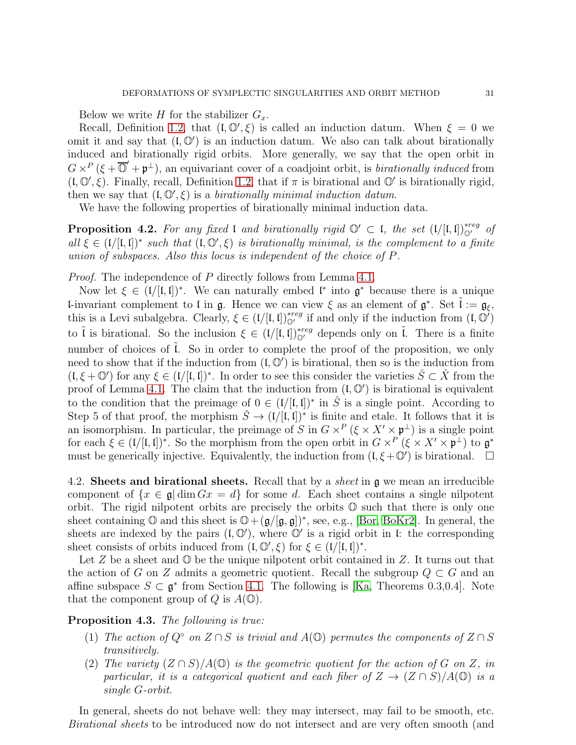Below we write H for the stabilizer  $G_x$ .

Recall, Definition [1.2,](#page-3-2) that  $(I, \mathbb{O}', \xi)$  is called an induction datum. When  $\xi = 0$  we omit it and say that  $(I, \mathbb{O}')$  is an induction datum. We also can talk about birationally induced and birationally rigid orbits. More generally, we say that the open orbit in  $G \times^P (\xi + \overline{\mathbb{O}}' + \mathfrak{p}^{\perp})$ , an equivariant cover of a coadjoint orbit, is *birationally induced* from  $(I, \mathbb{O}', \xi)$ . Finally, recall, Definition [1.2,](#page-3-2) that if  $\pi$  is birational and  $\mathbb{O}'$  is birationally rigid, then we say that  $(I, \mathbb{O}', \xi)$  is a *birationally minimal induction datum*.

We have the following properties of birationally minimal induction data.

<span id="page-30-1"></span>**Proposition 4.2.** For any fixed l and birationally rigid  $\mathbb{O}' \subset I$ , the set  $(I/[I, I])_{\mathbb{O}'}^{*reg}$  of all  $\xi \in (1/[(1,1])^*)$  such that  $(1,0^{\prime},\xi)$  is birationally minimal, is the complement to a finite union of subspaces. Also this locus is independent of the choice of P.

Proof. The independence of P directly follows from Lemma [4.1.](#page-28-2)

Now let  $\xi \in (1/[(1,1])^*)$ . We can naturally embed  $\mathfrak{l}^*$  into  $\mathfrak{g}^*$  because there is a unique **l**-invariant complement to l in  $\mathfrak{g}$ . Hence we can view  $\xi$  as an element of  $\mathfrak{g}^*$ . Set  $\tilde{\mathfrak{l}} := \mathfrak{g}_{\xi}$ , this is a Levi subalgebra. Clearly,  $\xi \in (1/[1,1])_{\mathbb{Q}'}^{*reg}$  if and only if the induction from  $(1,\mathbb{Q}')$ to  $\tilde{l}$  is birational. So the inclusion  $\xi \in (l/[l, l])_{\mathbb{Q}'}^{reg}$  depends only on  $\tilde{l}$ . There is a finite number of choices of  $\tilde{l}$ . So in order to complete the proof of the proposition, we only need to show that if the induction from  $(I, \mathbb{O}')$  is birational, then so is the induction from  $(I, \xi + \mathbb{O}^{\prime})$  for any  $\xi \in (I/[I, I])^*$ . In order to see this consider the varieties  $\check{S} \subset \check{X}$  from the proof of Lemma [4.1.](#page-28-2) The claim that the induction from  $(1, \mathbb{O}^{\prime})$  is birational is equivalent to the condition that the preimage of  $0 \in (1/[1,1])^*$  in  $\check{S}$  is a single point. According to Step 5 of that proof, the morphism  $\check{S} \to (1/[(1,1])^*)$  is finite and etale. It follows that it is an isomorphism. In particular, the preimage of S in  $G \times^P (\xi \times X' \times \mathfrak{p}^{\perp})$  is a single point for each  $\xi \in (1/[(1,1])^*)$ . So the morphism from the open orbit in  $G \times^P (\xi \times X' \times \mathfrak{p}^{\perp})$  to  $\mathfrak{g}^*$ must be generically injective. Equivalently, the induction from  $(I, \xi + \mathbb{O}')$  is birational.  $\Box$ 

<span id="page-30-0"></span>4.2. Sheets and birational sheets. Recall that by a *sheet* in  $\mathfrak g$  we mean an irreducible component of  $\{x \in \mathfrak{g} \mid \dim Gx = d\}$  for some d. Each sheet contains a single nilpotent orbit. The rigid nilpotent orbits are precisely the orbits O such that there is only one sheet containing  $\mathbb{O}$  and this sheet is  $\mathbb{O}+(\mathfrak{g}/[\mathfrak{g},\mathfrak{g}])^*$ , see, e.g., [\[Bor,](#page-42-20) [BoKr2\]](#page-42-21). In general, the sheets are indexed by the pairs  $(I, \mathbb{O}')$ , where  $\mathbb{O}'$  is a rigid orbit in l: the corresponding sheet consists of orbits induced from  $(I, \mathbb{O}', \xi)$  for  $\xi \in (I/[I, I])^*$ .

Let Z be a sheet and  $\mathbb{O}$  be the unique nilpotent orbit contained in Z. It turns out that the action of G on Z admits a geometric quotient. Recall the subgroup  $Q \subset G$  and an affine subspace  $S \subset \mathfrak{g}^*$  from Section [4.1.](#page-28-1) The following is [\[Ka,](#page-42-22) Theorems 0.3,0.4]. Note that the component group of  $Q$  is  $A(\mathbb{O})$ .

## <span id="page-30-2"></span>Proposition 4.3. The following is true:

- (1) The action of  $Q^{\circ}$  on  $Z \cap S$  is trivial and  $A(\mathbb{Q})$  permutes the components of  $Z \cap S$ transitively.
- (2) The variety  $(Z \cap S)/A(\mathbb{O})$  is the geometric quotient for the action of G on Z, in particular, it is a categorical quotient and each fiber of  $Z \to (Z \cap S)/A(\mathbb{O})$  is a single G-orbit.

In general, sheets do not behave well: they may intersect, may fail to be smooth, etc. Birational sheets to be introduced now do not intersect and are very often smooth (and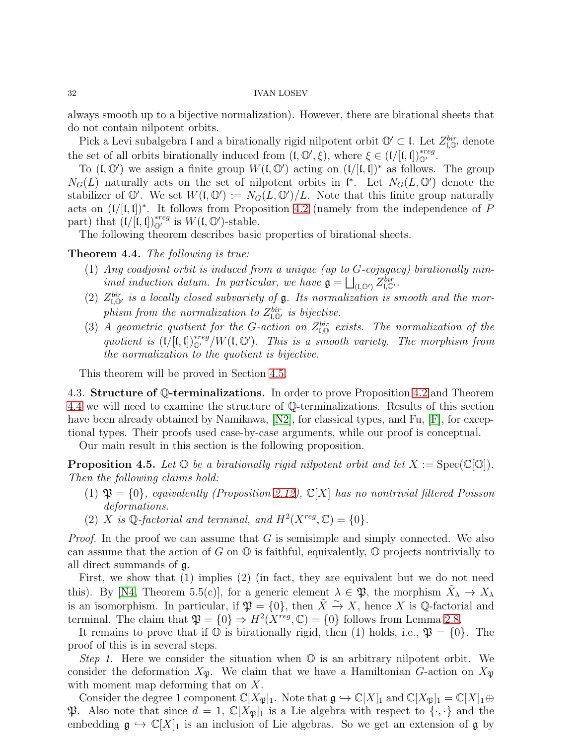always smooth up to a bijective normalization). However, there are birational sheets that do not contain nilpotent orbits.

Pick a Levi subalgebra l and a birationally rigid nilpotent orbit  $\mathbb{O}' \subset \mathfrak{l}$ . Let  $Z_{\mathfrak{l},\mathbb{O}'}^{bir}$  denote the set of all orbits birationally induced from  $(I, \mathbb{O}', \xi)$ , where  $\xi \in (I/[I, I])_{\mathbb{O}'}^{*reg}$ .

To  $(I, \mathbb{O}')$  we assign a finite group  $W(I, \mathbb{O}')$  acting on  $(I/[I, I])^*$  as follows. The group  $N_G(L)$  naturally acts on the set of nilpotent orbits in  $\mathfrak{l}^*$ . Let  $N_G(L, \mathbb{O}^{\prime})$  denote the stabilizer of  $\mathbb{O}'$ . We set  $W(\mathfrak{l}, \mathbb{O}') := N_G(L, \mathbb{O}')/L$ . Note that this finite group naturally acts on  $(V)[I, I])^*$ . It follows from Proposition [4.2](#page-30-1) (namely from the independence of P part) that  $(I/[\mathfrak{l},\mathfrak{l}])_{\mathbb{Q}'}^{*reg}$  is  $W(\mathfrak{l},\mathbb{O}')$ -stable.

The following theorem describes basic properties of birational sheets.

## <span id="page-31-1"></span>Theorem 4.4. The following is true:

- (1) Any coadjoint orbit is induced from a unique (up to G-cojugacy) birationally minimal induction datum. In particular, we have  $\mathfrak{g} = \bigsqcup_{(\mathfrak{l},\mathbb{O}')} Z_{\mathfrak{l},\mathbb{O}'}^{bir}$ .
- (2)  $Z_{\mathfrak{l},\mathbb{O}'}^{bir}$  is a locally closed subvariety of  $\mathfrak{g}$ . Its normalization is smooth and the morphism from the normalization to  $Z_{\mathfrak{l},\mathbb{O}'}^{bir}$  is bijective.
- (3) A geometric quotient for the G-action on  $Z_{\mathfrak{l},\mathbb{Q}}^{bir}$  exists. The normalization of the quotient is  $(V[I, I])_{\mathbb{Q}'}^{*reg}/W(I, \mathbb{Q}')$ . This is a smooth variety. The morphism from the normalization to the quotient is bijective.

<span id="page-31-0"></span>This theorem will be proved in Section [4.5.](#page-35-0)

4.3. Structure of Q-terminalizations. In order to prove Proposition [4.2](#page-30-1) and Theorem [4.4](#page-31-1) we will need to examine the structure of Q-terminalizations. Results of this section have been already obtained by Namikawa, [\[N2\]](#page-43-11), for classical types, and Fu, [\[F\]](#page-42-10), for exceptional types. Their proofs used case-by-case arguments, while our proof is conceptual.

Our main result in this section is the following proposition.

<span id="page-31-2"></span>**Proposition 4.5.** Let  $\mathbb{O}$  be a birationally rigid nilpotent orbit and let  $X := \text{Spec}(\mathbb{C}[\mathbb{O}]).$ Then the following claims hold:

- (1)  $\mathfrak{P} = \{0\}$ , equivalently (Proposition [2.12\)](#page-11-2),  $\mathbb{C}[X]$  has no nontrivial filtered Poisson deformations.
- (2) X is  $\mathbb{Q}$ -factorial and terminal, and  $H^2(X^{reg}, \mathbb{C}) = \{0\}.$

*Proof.* In the proof we can assume that  $G$  is semisimple and simply connected. We also can assume that the action of G on  $\mathbb O$  is faithful, equivalently,  $\mathbb O$  projects nontrivially to all direct summands of g.

First, we show that (1) implies (2) (in fact, they are equivalent but we do not need this). By [\[N4,](#page-43-9) Theorem 5.5(c)], for a generic element  $\lambda \in \mathfrak{P}$ , the morphism  $\tilde{X}_{\lambda} \to X_{\lambda}$ is an isomorphism. In particular, if  $\mathfrak{P} = \{0\}$ , then  $\tilde{X} \xrightarrow{\sim} X$ , hence X is Q-factorial and terminal. The claim that  $\mathfrak{P} = \{0\} \Rightarrow H^2(X^{reg}, \mathbb{C}) = \{0\}$  follows from Lemma [2.8.](#page-10-1)

It remains to prove that if  $\mathbb O$  is birationally rigid, then (1) holds, i.e.,  $\mathfrak{P} = \{0\}$ . The proof of this is in several steps.

Step 1. Here we consider the situation when  $\mathbb O$  is an arbitrary nilpotent orbit. We consider the deformation  $X_{\mathfrak{P}}$ . We claim that we have a Hamiltonian G-action on  $X_{\mathfrak{P}}$ with moment map deforming that on X.

Consider the degree 1 component  $\mathbb{C}[X_{\mathfrak{P}}]_1$ . Note that  $\mathfrak{g} \hookrightarrow \mathbb{C}[X]_1$  and  $\mathbb{C}[X_{\mathfrak{P}}]_1 = \mathbb{C}[X]_1 \oplus$ **P.** Also note that since  $d = 1$ ,  $\mathbb{C}[X_{\mathfrak{P}}]_1$  is a Lie algebra with respect to  $\{\cdot,\cdot\}$  and the embedding  $\mathfrak{g} \hookrightarrow \mathbb{C}[X]_1$  is an inclusion of Lie algebras. So we get an extension of  $\mathfrak{g}$  by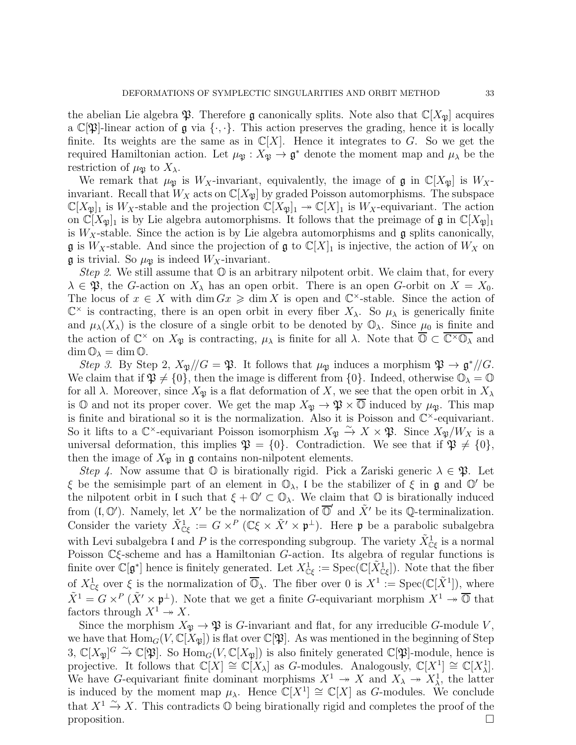the abelian Lie algebra  $\mathfrak P$ . Therefore g canonically splits. Note also that  $\mathbb C[X_{\mathfrak P}]$  acquires a  $\mathbb{C}[\mathfrak{P}]$ -linear action of  $\mathfrak g$  via  $\{\cdot,\cdot\}$ . This action preserves the grading, hence it is locally finite. Its weights are the same as in  $\mathbb{C}[X]$ . Hence it integrates to G. So we get the required Hamiltonian action. Let  $\mu_{\mathfrak{P}} : X_{\mathfrak{P}} \to \mathfrak{g}^*$  denote the moment map and  $\mu_{\lambda}$  be the restriction of  $\mu_{\mathfrak{B}}$  to  $X_{\lambda}$ .

We remark that  $\mu_{\mathfrak{B}}$  is  $W_X$ -invariant, equivalently, the image of g in  $\mathbb{C}[X_{\mathfrak{B}}]$  is  $W_X$ invariant. Recall that  $W_X$  acts on  $\mathbb{C}[X_{\mathfrak{P}}]$  by graded Poisson automorphisms. The subspace  $\mathbb{C}[X_{\mathfrak{P}}]_1$  is  $W_X$ -stable and the projection  $\mathbb{C}[X_{\mathfrak{P}}]_1 \to \mathbb{C}[X]_1$  is  $W_X$ -equivariant. The action on  $\mathbb{C}[X_{\mathfrak{P}}]_1$  is by Lie algebra automorphisms. It follows that the preimage of  $\mathfrak{g}$  in  $\mathbb{C}[X_{\mathfrak{P}}]_1$ is  $W_X$ -stable. Since the action is by Lie algebra automorphisms and  $\mathfrak g$  splits canonically,  $\mathfrak g$  is  $W_X$ -stable. And since the projection of  $\mathfrak g$  to  $\mathbb C[X]_1$  is injective, the action of  $W_X$  on **g** is trivial. So  $\mu_{\mathfrak{B}}$  is indeed  $W_X$ -invariant.

*Step 2.* We still assume that  $\mathbb{O}$  is an arbitrary nilpotent orbit. We claim that, for every  $\lambda \in \mathfrak{P}$ , the G-action on  $X_{\lambda}$  has an open orbit. There is an open G-orbit on  $X = X_0$ . The locus of  $x \in X$  with  $\dim Gx \geq \dim X$  is open and  $\mathbb{C}^{\times}$ -stable. Since the action of  $\mathbb{C}^\times$  is contracting, there is an open orbit in every fiber  $X_\lambda$ . So  $\mu_\lambda$  is generically finite and  $\mu_{\lambda}(X_{\lambda})$  is the closure of a single orbit to be denoted by  $\mathbb{O}_{\lambda}$ . Since  $\mu_0$  is finite and the action of  $\mathbb{C}^{\times}$  on  $X_{\mathfrak{P}}$  is contracting,  $\mu_{\lambda}$  is finite for all  $\lambda$ . Note that  $\overline{\mathbb{O}} \subset \overline{\mathbb{C}^{\times} \mathbb{O}_{\lambda}}$  and  $\dim \mathbb{O}_{\lambda} = \dim \mathbb{O}.$ 

Step 3. By Step 2,  $X_{\mathfrak{P}}/G = \mathfrak{P}$ . It follows that  $\mu_{\mathfrak{P}}$  induces a morphism  $\mathfrak{P} \to \mathfrak{g}^*/G$ . We claim that if  $\mathfrak{P} \neq \{0\}$ , then the image is different from  $\{0\}$ . Indeed, otherwise  $\mathbb{O}_{\lambda} = \mathbb{O}$ for all  $\lambda$ . Moreover, since  $X_{\mathfrak{P}}$  is a flat deformation of X, we see that the open orbit in  $X_{\lambda}$ is  $\mathbb{O}$  and not its proper cover. We get the map  $X_{\mathfrak{P}} \to \mathfrak{P} \times \overline{\mathfrak{O}}$  induced by  $\mu_{\mathfrak{P}}$ . This map is finite and birational so it is the normalization. Also it is Poisson and  $\mathbb{C}^{\times}$ -equivariant. So it lifts to a  $\mathbb{C}^{\times}$ -equivariant Poisson isomorphism  $X_{\mathfrak{P}} \stackrel{\sim}{\to} X \times \mathfrak{P}$ . Since  $X_{\mathfrak{P}}/W_X$  is a universal deformation, this implies  $\mathfrak{P} = \{0\}$ . Contradiction. We see that if  $\mathfrak{P} \neq \{0\}$ , then the image of  $X_{\mathfrak{P}}$  in  $\mathfrak g$  contains non-nilpotent elements.

Step 4. Now assume that  $\mathbb O$  is birationally rigid. Pick a Zariski generic  $\lambda \in \mathfrak{P}$ . Let ξ be the semisimple part of an element in  $\mathbb{O}_{\lambda}$ , l be the stabilizer of ξ in **g** and  $\mathbb{O}'$  be the nilpotent orbit in l such that  $\xi + \mathbb{O}' \subset \mathbb{O}_{\lambda}$ . We claim that  $\mathbb O$  is birationally induced from  $(\tilde{\mathfrak{l}}, \mathbb{O}')$ . Namely, let X' be the normalization of  $\overline{\mathbb{O}}'$  and  $\tilde{X}'$  be its Q-terminalization. Consider the variety  $\tilde{X}^1_{\mathbb{C}\xi} := G \times^P (\mathbb{C}\xi \times \tilde{X}' \times \mathfrak{p}^{\perp})$ . Here  $\mathfrak{p}$  be a parabolic subalgebra with Levi subalgebra l and P is the corresponding subgroup. The variety  $\tilde{X}^1_{\mathbb{C}\xi}$  is a normal Poisson  $\mathbb{C}\xi$ -scheme and has a Hamiltonian G-action. Its algebra of regular functions is finite over  $\mathbb{C}[\mathfrak{g}^*]$  hence is finitely generated. Let  $X^1_{\mathbb{C}\xi} := \text{Spec}(\mathbb{C}[\tilde{X}^1_{\mathbb{C}\xi}])$ . Note that the fiber of  $X^1_{\mathbb{C}\xi}$  over  $\xi$  is the normalization of  $\overline{\mathbb{O}}_{\lambda}$ . The fiber over 0 is  $X^1 := \text{Spec}(\mathbb{C}[\tilde{X}^1])$ , where  $\tilde{X}^1 = G \times^P (\tilde{X}' \times \mathfrak{p}^{\perp})$ . Note that we get a finite G-equivariant morphism  $X^1 \to \overline{\mathbb{O}}$  that factors through  $X^1 \rightarrow X$ .

Since the morphism  $X_{\mathfrak{B}} \to \mathfrak{P}$  is G-invariant and flat, for any irreducible G-module V, we have that  $\text{Hom}_G(V,\mathbb{C}[X_{\mathfrak{B}}])$  is flat over  $\mathbb{C}[\mathfrak{B}]$ . As was mentioned in the beginning of Step 3,  $\mathbb{C}[X_{\mathfrak{P}}]^G \xrightarrow{\sim} \mathbb{C}[\mathfrak{P}].$  So  $\text{Hom}_G(V, \mathbb{C}[X_{\mathfrak{P}}])$  is also finitely generated  $\mathbb{C}[\mathfrak{P}]$ -module, hence is projective. It follows that  $\mathbb{C}[X] \cong \mathbb{C}[X_\lambda]$  as G-modules. Analogously,  $\mathbb{C}[X] \cong \mathbb{C}[X_\lambda^1]$ . We have G-equivariant finite dominant morphisms  $X^1 \to X$  and  $X_\lambda \to X^1_\lambda$ , the latter is induced by the moment map  $\mu_{\lambda}$ . Hence  $\mathbb{C}[X] \cong \mathbb{C}[X]$  as G-modules. We conclude that  $X^1 \nightharpoonup X$ . This contradicts  $\mathbb O$  being birationally rigid and completes the proof of the proposition.  $\Box$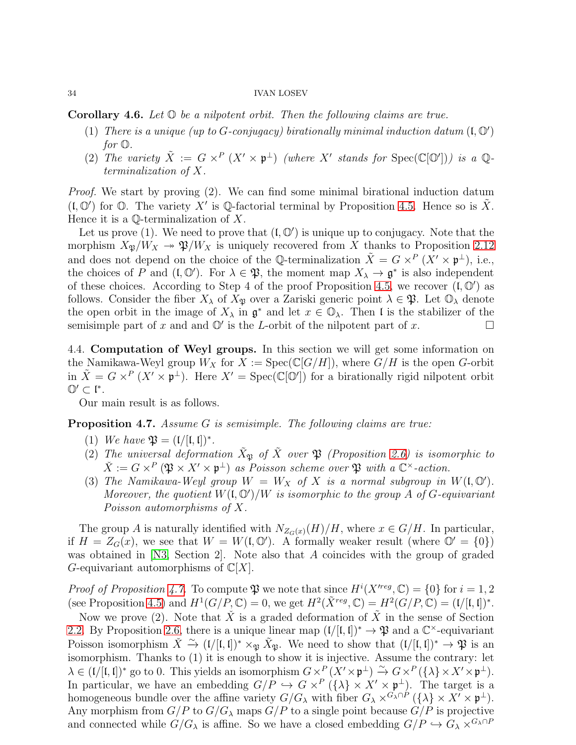<span id="page-33-2"></span>**Corollary 4.6.** Let  $\mathbb{O}$  be a nilpotent orbit. Then the following claims are true.

- (1) There is a unique (up to G-conjugacy) birationally minimal induction datum  $(I, \mathbb{O}')$ for O.
- (2) The variety  $\tilde{X} := G \times^P (X' \times \mathfrak{p}^{\perp})$  (where X' stands for  $Spec(\mathbb{C}[\mathbb{O}'])$ ) is a  $\mathbb{Q}$ terminalization of X.

Proof. We start by proving (2). We can find some minimal birational induction datum  $($ I,  $\mathbb{O}'$  for  $\mathbb{O}$ . The variety  $X'$  is  $\mathbb{Q}$ -factorial terminal by Proposition [4.5.](#page-31-2) Hence so is  $\tilde{X}$ . Hence it is a  $\mathbb{Q}$ -terminalization of X.

Let us prove  $(1)$ . We need to prove that  $(0, \mathbb{O}')$  is unique up to conjugacy. Note that the morphism  $X_{\mathfrak{P}}/W_X \to \mathfrak{P}/W_X$  is uniquely recovered from X thanks to Proposition [2.12](#page-11-2) and does not depend on the choice of the Q-terminalization  $\tilde{X} = G \times^P (X' \times \mathfrak{p}^{\perp})$ , i.e., the choices of P and  $(I, \mathbb{O}')$ . For  $\lambda \in \mathfrak{P}$ , the moment map  $X_{\lambda} \to \mathfrak{g}^*$  is also independent of these choices. According to Step 4 of the proof Proposition [4.5,](#page-31-2) we recover  $(1, \mathbb{O}^{\prime})$  as follows. Consider the fiber  $X_{\lambda}$  of  $X_{\mathfrak{P}}$  over a Zariski generic point  $\lambda \in \mathfrak{P}$ . Let  $\mathbb{O}_{\lambda}$  denote the open orbit in the image of  $X_{\lambda}$  in  $\mathfrak{g}^*$  and let  $x \in \mathbb{O}_{\lambda}$ . Then l is the stabilizer of the semisimple part of x and and  $\mathbb{O}'$  is the L-orbit of the nilpotent part of x.

<span id="page-33-0"></span>4.4. Computation of Weyl groups. In this section we will get some information on the Namikawa-Weyl group  $W_X$  for  $X := \text{Spec}(\mathbb{C}[G/H])$ , where  $G/H$  is the open G-orbit in  $\tilde{X} = G \times^P (X' \times \mathfrak{p}^{\perp})$ . Here  $X' = \text{Spec}(\mathbb{C}[\mathbb{O}'])$  for a birationally rigid nilpotent orbit  $\mathbb{O}' \subset \mathfrak{l}^*.$ 

Our main result is as follows.

<span id="page-33-1"></span>Proposition 4.7. Assume G is semisimple. The following claims are true:

- (1) We have  $\mathfrak{P} = (\mathfrak{l}/[\mathfrak{l},\mathfrak{l}])^*$ .
- (2) The universal deformation  $\tilde{X}_{\mathfrak{B}}$  of  $\tilde{X}$  over  $\mathfrak{P}$  (Proposition [2.6\)](#page-7-0) is isomorphic to  $\check{X} := G \times^P (\mathfrak{P} \times X' \times \mathfrak{p}^{\perp})$  as Poisson scheme over  $\mathfrak{P}$  with a  $\mathbb{C}^{\times}$ -action.
- (3) The Namikawa-Weyl group  $W = W_X$  of X is a normal subgroup in  $W(\mathfrak{l}, \mathbb{O}')$ . Moreover, the quotient  $W(\mathfrak{l}, \mathbb{O}')/W$  is isomorphic to the group A of G-equivariant Poisson automorphisms of X.

The group A is naturally identified with  $N_{Z_G(x)}(H)/H$ , where  $x \in G/H$ . In particular, if  $H = Z_G(x)$ , we see that  $W = W(\mathfrak{l}, \mathbb{O}')$ . A formally weaker result (where  $\mathbb{O}' = \{0\}$ ) was obtained in [\[N3,](#page-43-0) Section 2]. Note also that A coincides with the group of graded G-equivariant automorphisms of  $\mathbb{C}[X]$ .

*Proof of Proposition [4.7.](#page-33-1)* To compute  $\mathfrak P$  we note that since  $H^i(X^{reg}, \mathbb C) = \{0\}$  for  $i = 1, 2$ (see Proposition [4.5\)](#page-31-2) and  $H^1(G/P, \mathbb{C}) = 0$ , we get  $H^2(\tilde{X}^{reg}, \mathbb{C}) = H^2(G/P, \mathbb{C}) = (\mathfrak{l}/[\mathfrak{l}, \mathfrak{l}])^*$ .

Now we prove (2). Note that  $\check{X}$  is a graded deformation of  $\check{X}$  in the sense of Section [2.2.](#page-6-0) By Proposition [2.6,](#page-7-0) there is a unique linear map  $((/ [I, I])^* \to \mathfrak{P}$  and a  $\mathbb{C}^{\times}$ -equivariant Poisson isomorphism  $\check{X} \stackrel{\sim}{\to} (I/[I,I])^* \times_{\mathfrak{P}} \check{X}_{\mathfrak{P}}$ . We need to show that  $(I/[I,I])^* \to \mathfrak{P}$  is an isomorphism. Thanks to (1) it is enough to show it is injective. Assume the contrary: let  $\lambda \in (1/[1,1])^*$  go to 0. This yields an isomorphism  $G \times^P (X' \times \mathfrak{p}^{\perp}) \stackrel{\sim}{\rightarrow} G \times^P (\{\lambda\} \times X' \times \mathfrak{p}^{\perp}).$ In particular, we have an embedding  $G/P \hookrightarrow G \times^P (\{\lambda\} \times X' \times \mathfrak{p}^{\perp})$ . The target is a homogeneous bundle over the affine variety  $G/G_\lambda$  with fiber  $G_\lambda \times^{G_\lambda \cap P} (\{\lambda\} \times X' \times \mathfrak{p}^{\perp}).$ Any morphism from  $G/P$  to  $G/G_\lambda$  maps  $G/P$  to a single point because  $G/P$  is projective and connected while  $G/G_\lambda$  is affine. So we have a closed embedding  $G/P \hookrightarrow G_\lambda \times^{G_\lambda \cap P}$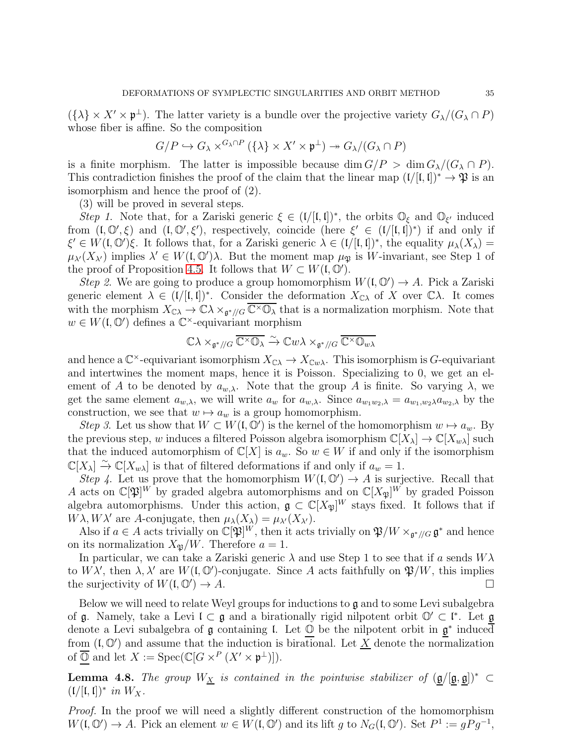$({\lambda} \times X' \times \mathfrak{p}^{\perp})$ . The latter variety is a bundle over the projective variety  $G_{\lambda}/(G_{\lambda} \cap P)$ whose fiber is affine. So the composition

$$
G/P \hookrightarrow G_{\lambda} \times^{G_{\lambda} \cap P} (\{\lambda\} \times X' \times \mathfrak{p}^{\perp}) \twoheadrightarrow G_{\lambda}/(G_{\lambda} \cap P)
$$

is a finite morphism. The latter is impossible because dim  $G/P > \dim G_\lambda/(G_\lambda \cap P)$ . This contradiction finishes the proof of the claim that the linear map  $((/[(, \mathfrak{l}]))^* \to \mathfrak{P})$  is an isomorphism and hence the proof of (2).

(3) will be proved in several steps.

Step 1. Note that, for a Zariski generic  $\xi \in (1/[(1,1])^*)$ , the orbits  $\mathbb{O}_{\xi}$  and  $\mathbb{O}_{\xi'}$  induced from  $(I, \mathbb{O}', \xi)$  and  $(I, \mathbb{O}', \xi')$ , respectively, coincide (here  $\xi' \in (I/[I, I])^*)$  if and only if  $\xi' \in W(\mathfrak{l}, \mathbb{O}')\xi$ . It follows that, for a Zariski generic  $\lambda \in (\mathfrak{l}/[\mathfrak{l}, \mathfrak{l}])^*$ , the equality  $\mu_{\lambda}(X_{\lambda}) =$  $\mu_{\lambda'}(X_{\lambda'})$  implies  $\lambda' \in W(\mathfrak{l}, \mathbb{O}')\lambda$ . But the moment map  $\mu_{\mathfrak{P}}$  is W-invariant, see Step 1 of the proof of Proposition [4.5.](#page-31-2) It follows that  $W \subset W(\mathfrak{l}, \mathbb{O}').$ 

Step 2. We are going to produce a group homomorphism  $W(\mathfrak{l}, \mathbb{O}') \to A$ . Pick a Zariski generic element  $\lambda \in (1/[(1,1])^*)$ . Consider the deformation  $X_{\mathbb{C}\lambda}$  of X over  $\mathbb{C}\lambda$ . It comes with the morphism  $X_{\mathbb{C}\lambda} \to \mathbb{C}\lambda \times_{\mathfrak{g}^*/\!/G} \overline{\mathbb{C}^\times \mathbb{O}_\lambda}$  that is a normalization morphism. Note that  $w \in W(\mathfrak{l}, \mathbb{O})$  defines a  $\mathbb{C}^{\times}$ -equivariant morphism

$$
\mathbb{C}\lambda \times_{\mathfrak{g}^*/\!/ G} \overline{\mathbb{C}^\times \mathbb{O}_\lambda} \xrightarrow{\sim} \mathbb{C} w\lambda \times_{\mathfrak{g}^*/\!/ G} \overline{\mathbb{C}^\times \mathbb{O}_{w\lambda}}
$$

and hence a  $\mathbb{C}^{\times}$ -equivariant isomorphism  $X_{\mathbb{C}\lambda} \to X_{\mathbb{C}w\lambda}$ . This isomorphism is G-equivariant and intertwines the moment maps, hence it is Poisson. Specializing to 0, we get an element of A to be denoted by  $a_{w,\lambda}$ . Note that the group A is finite. So varying  $\lambda$ , we get the same element  $a_{w,\lambda}$ , we will write  $a_w$  for  $a_{w,\lambda}$ . Since  $a_{w_1w_2,\lambda} = a_{w_1,w_2\lambda}a_{w_2,\lambda}$  by the construction, we see that  $w \mapsto a_w$  is a group homomorphism.

Step 3. Let us show that  $W \subset W(\mathfrak{l}, \mathbb{O}')$  is the kernel of the homomorphism  $w \mapsto a_w$ . By the previous step, w induces a filtered Poisson algebra isomorphism  $\mathbb{C}[X_\lambda] \to \mathbb{C}[X_{w\lambda}]$  such that the induced automorphism of  $\mathbb{C}[X]$  is  $a_w$ . So  $w \in W$  if and only if the isomorphism  $\mathbb{C}[X_{\lambda}] \stackrel{\sim}{\to} \mathbb{C}[X_{w\lambda}]$  is that of filtered deformations if and only if  $a_w = 1$ .

Step 4. Let us prove that the homomorphism  $W(\mathfrak{l}, \mathbb{O}') \to A$  is surjective. Recall that A acts on  $\mathbb{C}[\mathfrak{P}]^W$  by graded algebra automorphisms and on  $\mathbb{C}[X_{\mathfrak{P}}]^W$  by graded Poisson algebra automorphisms. Under this action,  $\mathfrak{g} \subset \mathbb{C}[X_{\mathfrak{P}}]^W$  stays fixed. It follows that if  $W\lambda, W\lambda'$  are A-conjugate, then  $\mu_{\lambda}(X_{\lambda}) = \mu_{\lambda'}(X_{\lambda'}).$ 

Also if  $a \in A$  acts trivially on  $\mathbb{C}[\mathfrak{P}]^W$ , then it acts trivially on  $\mathfrak{P}/W \times_{\mathfrak{g}^*/\!/G} \mathfrak{g}^*$  and hence on its normalization  $X_{\mathfrak{B}}/W$ . Therefore  $a = 1$ .

In particular, we can take a Zariski generic  $\lambda$  and use Step 1 to see that if a sends  $W\lambda$ to  $W\lambda'$ , then  $\lambda, \lambda'$  are  $W(\mathfrak{l}, \mathbb{O}')$ -conjugate. Since A acts faithfully on  $\mathfrak{P}/W$ , this implies the surjectivity of  $W(\mathfrak{l}, \mathbb{O}') \to A$ .  $) \rightarrow A.$ 

Below we will need to relate Weyl groups for inductions to g and to some Levi subalgebra of  $\mathfrak g$ . Namely, take a Levi  $\mathfrak l \subset \mathfrak g$  and a birationally rigid nilpotent orbit  $\mathbb O' \subset \mathfrak l^*$ . Let  $\mathfrak g$ denote a Levi subalgebra of  $\mathfrak g$  containing l. Let  $\mathbb O$  be the nilpotent orbit in  $\mathfrak g^*$  induced from  $(I, \mathbb{O}')$  and assume that the induction is birational. Let  $\underline{X}$  denote the normalization of  $\overline{\mathbb{O}}$  and let  $X := \text{Spec}(\mathbb{C}[G \times^P (X' \times \mathfrak{p}^{\perp})]).$ 

<span id="page-34-0"></span>**Lemma 4.8.** The group  $W_{\underline{X}}$  is contained in the pointwise stabilizer of  $(\mathfrak{g}/[\mathfrak{g}, \mathfrak{g}])^*$  $(\mathfrak{l}/[\mathfrak{l},\mathfrak{l}])^*$  in  $W_X$ .

Proof. In the proof we will need a slightly different construction of the homomorphism  $W(\mathfrak{l}, \mathbb{O}') \to A$ . Pick an element  $w \in W(\mathfrak{l}, \mathbb{O}')$  and its lift g to  $N_G(\mathfrak{l}, \mathbb{O}')$ . Set  $P^1 := gPg^{-1}$ ,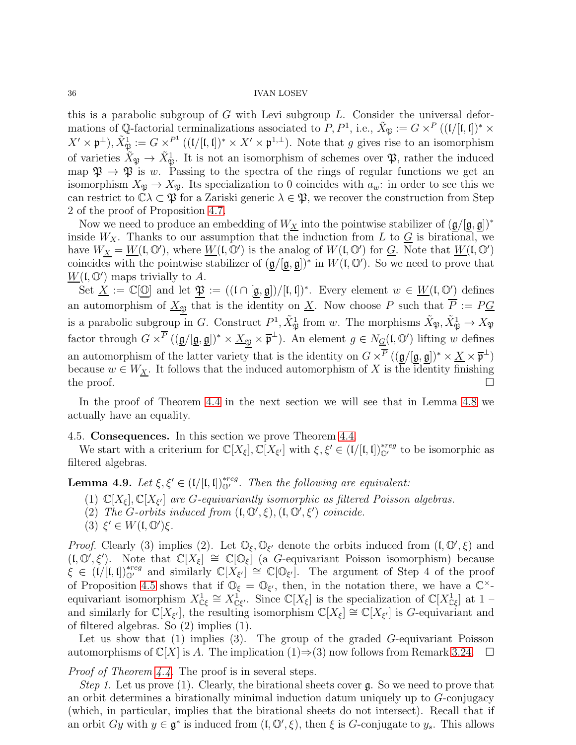this is a parabolic subgroup of  $G$  with Levi subgroup  $L$ . Consider the universal deformations of Q-factorial terminalizations associated to  $P, P<sup>1</sup>$ , i.e.,  $\tilde{X}_{\mathfrak{P}} := G \times^P ((\mathfrak{l} / [\mathfrak{l}, \mathfrak{l}])^* \times$  $X' \times \mathfrak{p}^{\perp}$ ),  $\tilde{X}_{\mathfrak{P}}^1 := G \times^{P^1} ((1/[\mathfrak{l}, \mathfrak{l}])^* \times X' \times \mathfrak{p}^{1, \perp})$ . Note that g gives rise to an isomorphism of varieties  $\tilde{X}_{\mathfrak{P}} \to \tilde{X}_{\mathfrak{P}}^1$ . It is not an isomorphism of schemes over  $\mathfrak{P}$ , rather the induced map  $\mathfrak{P} \to \mathfrak{P}$  is w. Passing to the spectra of the rings of regular functions we get an isomorphism  $X_{\mathfrak{P}} \to X_{\mathfrak{P}}$ . Its specialization to 0 coincides with  $a_w$ : in order to see this we can restrict to  $\mathbb{C}\lambda\subset\mathfrak{P}$  for a Zariski generic  $\lambda\in\mathfrak{P}$ , we recover the construction from Step 2 of the proof of Proposition [4.7.](#page-33-1)

Now we need to produce an embedding of  $W_{\underline{X}}$  into the pointwise stabilizer of  $(\underline{\mathfrak{g}}/[\underline{\mathfrak{g}},\underline{\mathfrak{g}}])^*$ inside  $W_X$ . Thanks to our assumption that the induction from L to  $\underline{G}$  is birational, we have  $W_{\underline{X}} = \underline{W}(\mathfrak{l}, \mathbb{O}')$ , where  $\underline{W}(\mathfrak{l}, \mathbb{O}')$  is the analog of  $W(\mathfrak{l}, \mathbb{O}')$  for  $\underline{G}$ . Note that  $\underline{W}(\mathfrak{l}, \mathbb{O}')$ coincides with the pointwise stabilizer of  $(\mathfrak{g}/[\mathfrak{g},\mathfrak{g}])^*$  in  $W(\mathfrak{l},\mathbb{O}')$ . So we need to prove that  $W(\mathfrak{l}, \mathbb{O}')$  maps trivially to A.

Set  $\underline{X} := \mathbb{C}[\mathbb{O}]$  and let  $\mathfrak{P} := ((\mathfrak{l} \cap [\mathfrak{g}, \mathfrak{g}])/[\mathfrak{l}, \mathfrak{l}])^*$ . Every element  $w \in \underline{W}(\mathfrak{l}, \mathbb{O}')$  defines an automorphism of  $\underline{X}_{\mathfrak{P}}$  that is the identity on  $\underline{X}$ . Now choose P such that  $\overline{P} := P \underline{G}$ is a parabolic subgroup in G. Construct  $P^1$ ,  $\tilde{X}_{\mathfrak{P}}^1$  from w. The morphisms  $\tilde{X}_{\mathfrak{P}}, \tilde{X}_{\mathfrak{P}}^1 \to X_{\mathfrak{P}}$ factor through  $G \times^{\overline{P}} ((\underline{\mathfrak{g}}/[\underline{\mathfrak{g}}, \underline{\mathfrak{g}}])^* \times \underline{X}_{\mathfrak{P}} \times \overline{\mathfrak{p}}^{\perp}).$  An element  $g \in N_{\underline{G}}(\mathfrak{l}, \mathbb{O}')$  lifting w defines an automorphism of the latter variety that is the identity on  $G \times^{\overline{P}} ((\mathfrak{g}/[\mathfrak{g}, \mathfrak{g}])^* \times \underline{X} \times \overline{\mathfrak{p}}^{\perp})$ because  $w \in W_X$ . It follows that the induced automorphism of X is the identity finishing the proof.  $\Box$ 

In the proof of Theorem [4.4](#page-31-1) in the next section we will see that in Lemma [4.8](#page-34-0) we actually have an equality.

## <span id="page-35-0"></span>4.5. Consequences. In this section we prove Theorem [4.4.](#page-31-1)

We start with a criterium for  $\mathbb{C}[X_{\xi}], \mathbb{C}[X_{\xi'}]$  with  $\xi, \xi' \in (1/[(1,1])_{\mathbb{O}'}^{*reg}$  to be isomorphic as filtered algebras.

<span id="page-35-1"></span>**Lemma 4.9.** Let  $\xi, \xi' \in (1/[(1,1])_{\mathbb{O}'}^{*reg})$ . Then the following are equivalent:

- (1)  $\mathbb{C}[X_{\xi}], \mathbb{C}[X_{\xi'}]$  are *G*-equivariantly isomorphic as filtered Poisson algebras.
- (2) The G-orbits induced from  $(I, \mathbb{O}', \xi)$ ,  $(I, \mathbb{O}', \xi')$  coincide.
- (3)  $\xi' \in W(\mathfrak{l}, \mathbb{O}')\xi$ .

*Proof.* Clearly (3) implies (2). Let  $\mathbb{O}_{\xi}, \mathbb{O}_{\xi'}$  denote the orbits induced from  $(\mathfrak{l}, \mathbb{O}', \xi)$  and  $(I, \mathbb{O}', \xi')$ . Note that  $\mathbb{C}[X_{\xi}] \cong \mathbb{C}[\mathbb{O}_{\xi}]$  (a G-equivariant Poisson isomorphism) because  $\zeta \in (I/[I,I])_{\mathbb{Q}'}^{*reg}$  and similarly  $\mathbb{C}[X_{\xi'}] \cong \mathbb{C}[\mathbb{Q}_{\xi'}].$  The argument of Step 4 of the proof of Proposition [4.5](#page-31-2) shows that if  $\mathbb{O}_{\xi} = \mathbb{O}_{\xi'}$ , then, in the notation there, we have a  $\mathbb{C}^{\times}$ equivariant isomorphism  $X_{\mathbb{C}\xi}^1 \cong X_{\mathbb{C}\xi'}^1$ . Since  $\mathbb{C}[X_{\xi}]$  is the specialization of  $\mathbb{C}[X_{\mathbb{C}\xi}^1]$  at  $1$  – and similarly for  $\mathbb{C}[X_{\xi'}],$  the resulting isomorphism  $\mathbb{C}[X_{\xi}] \cong \mathbb{C}[X_{\xi'}]$  is G-equivariant and of filtered algebras. So (2) implies (1).

Let us show that (1) implies (3). The group of the graded G-equivariant Poisson automorphisms of  $\mathbb{C}[X]$  is A. The implication  $(1) \Rightarrow (3)$  now follows from Remark [3.24.](#page-28-3)  $\Box$ 

Proof of Theorem [4.4.](#page-31-1) The proof is in several steps.

Step 1. Let us prove (1). Clearly, the birational sheets cover  $\mathfrak{g}$ . So we need to prove that an orbit determines a birationally minimal induction datum uniquely up to G-conjugacy (which, in particular, implies that the birational sheets do not intersect). Recall that if an orbit  $Gy$  with  $y \in \mathfrak{g}^*$  is induced from  $(\mathfrak{l}, \mathbb{O}', \xi)$ , then  $\xi$  is G-conjugate to  $y_s$ . This allows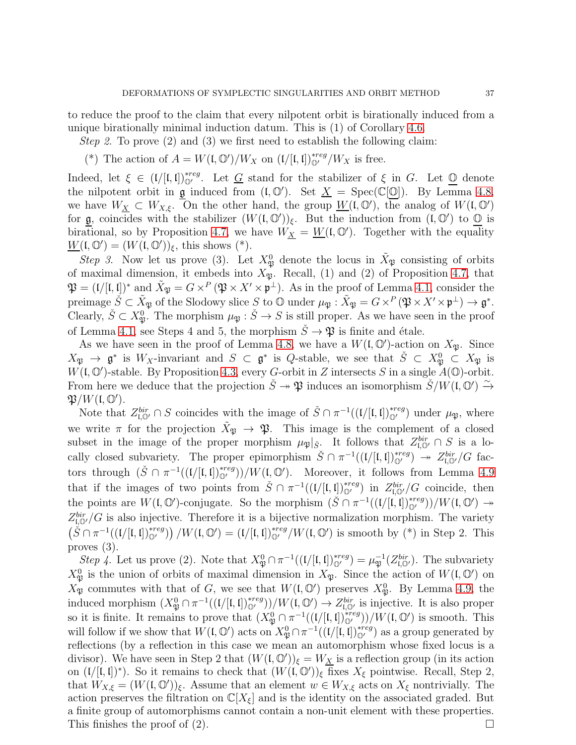to reduce the proof to the claim that every nilpotent orbit is birationally induced from a unique birationally minimal induction datum. This is (1) of Corollary [4.6.](#page-33-2)

Step 2. To prove (2) and (3) we first need to establish the following claim:

(\*) The action of  $A = W(\mathfrak{l}, \mathbb{O}')/W_X$  on  $(\mathfrak{l}/[\mathfrak{l}, \mathfrak{l}])_{\mathbb{O}'}^{*reg}/W_X$  is free.

Indeed, let  $\xi \in (1/[(1,1])_{\mathbb{Q}'}^{*reg}$ . Let <u>G</u> stand for the stabilizer of  $\xi$  in G. Let  $\underline{\mathbb{Q}}$  denote the nilpotent orbit in g induced from  $(I, \mathbb{O}')$ . Set  $\underline{X} = \text{Spec}(\mathbb{C}[\mathbb{O}])$ . By Lemma [4.8,](#page-34-0) we have  $W_{\underline{X}} \subset W_{X,\xi}$ . On the other hand, the group  $\underline{W}(\mathfrak{l},\mathbb{O}')$ , the analog of  $W(\mathfrak{l},\mathbb{O}')$ for  $\mathfrak g$ , coincides with the stabilizer  $(W(\mathfrak l, \mathbb O'))_{\xi}$ . But the induction from  $(\mathfrak l, \mathbb O')$  to  $\mathbb O$  is birational, so by Proposition [4.7,](#page-33-1) we have  $W_{\underline{X}} = \underline{W}(\mathfrak{l}, \mathbb{O}')$ . Together with the equality  $\underline{W}(\mathfrak{l},\mathbb{O}')=(W(\mathfrak{l},\mathbb{O}'))_{\xi}$ , this shows (\*).

Step 3. Now let us prove (3). Let  $X^0_{\mathfrak{P}}$  denote the locus in  $\tilde{X}_{\mathfrak{P}}$  consisting of orbits of maximal dimension, it embeds into  $X_{\mathfrak{P}}$ . Recall, (1) and (2) of Proposition [4.7,](#page-33-1) that  $\mathfrak{P} = (\mathfrak{l}/[\mathfrak{l},\mathfrak{l}])^*$  and  $\tilde{X}_{\mathfrak{P}} = G \times^P (\mathfrak{P} \times X' \times \mathfrak{p}^{\perp})$ . As in the proof of Lemma [4.1,](#page-28-2) consider the preimage  $\check{S} \subset \tilde{X}_{\mathfrak{P}}$  of the Slodowy slice S to  $\mathbb O$  under  $\mu_{\mathfrak{P}} : \tilde{X}_{\mathfrak{P}} = G \times^P (\mathfrak{P} \times X' \times \mathfrak{p}^{\perp}) \to \mathfrak{g}^*$ . Clearly,  $\check{S} \subset X^0_{\mathfrak{P}}$ . The morphism  $\mu_{\mathfrak{P}} : \check{S} \to S$  is still proper. As we have seen in the proof of Lemma [4.1,](#page-28-2) see Steps 4 and 5, the morphism  $\check{S} \to \mathfrak{P}$  is finite and étale.

As we have seen in the proof of Lemma [4.8,](#page-34-0) we have a  $W(\mathfrak{l}, \mathbb{O}')$ -action on  $X_{\mathfrak{P}}$ . Since  $X_{\mathfrak{P}} \to \mathfrak{g}^*$  is  $W_X$ -invariant and  $S \subset \mathfrak{g}^*$  is Q-stable, we see that  $\check{S} \subset X_{\mathfrak{P}}^0 \subset X_{\mathfrak{P}}$  is  $W(\mathfrak{l}, \mathbb{O}')$ -stable. By Proposition [4.3,](#page-30-2) every G-orbit in Z intersects S in a single  $A(\mathbb{O})$ -orbit. From here we deduce that the projection  $\check{S} \to \mathfrak{P}$  induces an isomorphism  $\check{S}/W(\mathfrak{l}, \mathbb{O}') \to$  $\mathfrak{P}/W(\mathfrak{l},\mathbb{O}').$ 

Note that  $Z_{\mathfrak{l},\mathbb{Q}'}^{bir} \cap S$  coincides with the image of  $\check{S} \cap \pi^{-1}((\mathfrak{l}/[\mathfrak{l},\mathfrak{l}])_{\mathbb{Q}'}^{*reg})$  under  $\mu_{\mathfrak{P}}$ , where we write  $\pi$  for the projection  $\tilde{X}_{\mathfrak{P}} \to \mathfrak{P}$ . This image is the complement of a closed subset in the image of the proper morphism  $\mu_{\mathfrak{P}}|_{\tilde{S}}$ . It follows that  $Z_{\mathfrak{l},\mathbb{Q}'}^{bir} \cap S$  is a locally closed subvariety. The proper epimorphism  $\check{S} \cap \pi^{-1}((\iota/[\iota, \iota])_{\mathbb{Q}'}^{*reg}) \to Z_{\iota, \mathbb{Q}'}^{bir} / G$  factors through  $(\check{S} \cap \pi^{-1}((\iota([\mathfrak{l},\mathfrak{l}])_{\mathbb{O}'}^{*reg}))/W(\mathfrak{l},\mathbb{O}').$  Moreover, it follows from Lemma [4.9](#page-35-1) that if the images of two points from  $\check{S} \cap \pi^{-1}((1/[\mathfrak{l},\mathfrak{l}])^{*reg}_{\mathbb{Q}'} )$  in  $Z_{\mathfrak{l},\mathbb{Q}'}^{bir}/G$  coincide, then the points are  $W(\mathfrak{l}, \mathbb{O}')$ -conjugate. So the morphism  $(\check{S} \cap \pi^{-1}((\mathfrak{l}/[\mathfrak{l}, \mathfrak{l}])_{\mathbb{O}'}^{*reg}))/W(\mathfrak{l}, \mathbb{O}') \rightarrow$  $Z_{\mathfrak{l},\mathbb{O}'}^{bir}/G$  is also injective. Therefore it is a bijective normalization morphism. The variety  $(\check{S} \cap \pi^{-1}((\iota([I, I])_{\mathbb{Q}'}^{*reg})) / W(\iota, \mathbb{Q}') = (\iota([I, I])_{\mathbb{Q}'}^{*reg} / W(\iota, \mathbb{Q}')$  is smooth by (\*) in Step 2. This proves (3).

Step 4. Let us prove (2). Note that  $X^0_{\mathfrak{P}} \cap \pi^{-1}((1/[\mathfrak{l}, \mathfrak{l}])^{*reg}_{\mathbb{O}'} ) = \mu_{\mathfrak{P}}^{-1}(Z^{bir}_{\mathfrak{l}, \mathbb{O}'})$ . The subvariety  $X^0_{\mathfrak{P}}$  is the union of orbits of maximal dimension in  $X_{\mathfrak{P}}$ . Since the action of  $W(\mathfrak{l}, \mathbb{O}')$  on  $X_{\mathfrak{P}}$  commutes with that of G, we see that  $W(\mathfrak{l}, \mathbb{O}')$  preserves  $X_{\mathfrak{P}}^0$ . By Lemma [4.9,](#page-35-1) the induced morphism  $(X^0_{\mathfrak{P}} \cap \pi^{-1}((\mathfrak{l} / [\mathfrak{l}, \mathfrak{l}])^{*reg}_{\mathbb{O}'})/W(\mathfrak{l}, \mathbb{O}') \to Z^{bir}_{\mathfrak{l}, \mathbb{O}'}$  is injective. It is also proper so it is finite. It remains to prove that  $(X^0_{\mathfrak{P}} \cap \pi^{-1}((\mathfrak{l} / [\mathfrak{l}, \mathfrak{l}])^{*reg}_{\mathbb{O}'}))/W(\mathfrak{l}, \mathbb{O}')$  is smooth. This will follow if we show that  $W(\mathfrak{l}, \mathbb{O}')$  acts on  $X^0_{\mathfrak{P}} \cap \pi^{-1}((\mathfrak{l}/[\mathfrak{l}, \mathfrak{l}])^{*reg}_{\mathbb{O}'})$  as a group generated by reflections (by a reflection in this case we mean an automorphism whose fixed locus is a divisor). We have seen in Step 2 that  $(W(\mathfrak{l}, \mathbb{O}'))_{\xi} = W_{\underline{X}}$  is a reflection group (in its action on  $(V[[, \mathfrak{l}])^*)$ . So it remains to check that  $(W(\mathfrak{l}, \mathbb{O}'))_{\xi}$  fixes  $X_{\xi}$  pointwise. Recall, Step 2, that  $W_{X,\xi} = (W(\mathfrak{l}, \mathbb{O}'))_{\xi}$ . Assume that an element  $w \in W_{X,\xi}$  acts on  $X_{\xi}$  nontrivially. The action preserves the filtration on  $\mathbb{C}[X_{\xi}]$  and is the identity on the associated graded. But a finite group of automorphisms cannot contain a non-unit element with these properties. This finishes the proof of (2).  $\Box$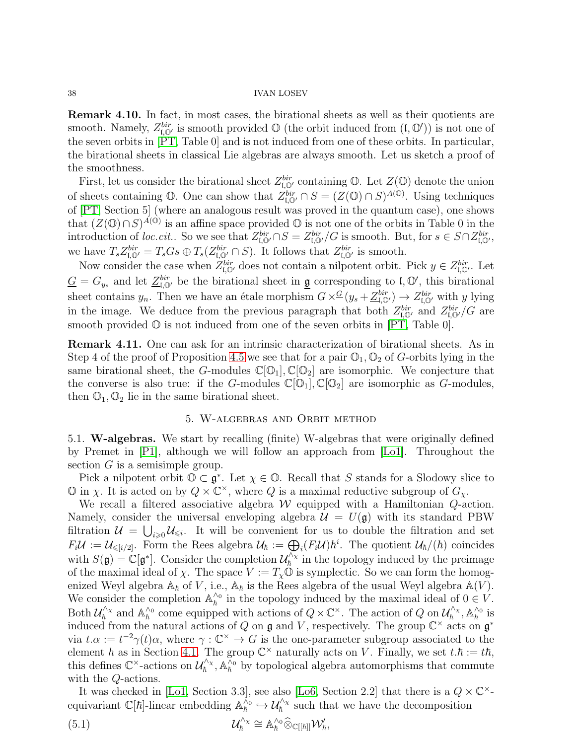Remark 4.10. In fact, in most cases, the birational sheets as well as their quotients are smooth. Namely,  $Z_{\mathfrak{l},\mathbb{O}'}^{bir}$  is smooth provided  $\mathbb{O}$  (the orbit induced from  $(\mathfrak{l},\mathbb{O}')$ ) is not one of the seven orbits in [\[PT,](#page-43-20) Table 0] and is not induced from one of these orbits. In particular, the birational sheets in classical Lie algebras are always smooth. Let us sketch a proof of the smoothness.

First, let us consider the birational sheet  $Z_{\mathfrak{l},\mathbb{Q}'}^{bir}$  containing  $\mathbb{O}$ . Let  $Z(\mathbb{O})$  denote the union of sheets containing  $\mathbb{O}$ . One can show that  $Z_{\mathfrak{l},\mathbb{O}'}^{bir} \cap S = (Z(\mathbb{O}) \cap S)^{A(\mathbb{O})}$ . Using techniques of [\[PT,](#page-43-20) Section 5] (where an analogous result was proved in the quantum case), one shows that  $(Z(\mathbb{O}) \cap S)^{A(\mathbb{O})}$  is an affine space provided  $\mathbb{O}$  is not one of the orbits in Table 0 in the introduction of loc.cit.. So we see that  $Z_{\mathfrak{l},\mathbb{O}'}^{bir} \cap S = Z_{\mathfrak{l},\mathbb{O}'}^{bir}/G$  is smooth. But, for  $s \in S \cap Z_{\mathfrak{l},\mathbb{O}'}^{bir}$ , we have  $T_s Z_{\mathfrak{l},\mathbb{Q}'}^{bir} = T_s Gs \oplus T_s (Z_{\mathfrak{l},\mathbb{Q}'}^{bir} \cap S)$ . It follows that  $Z_{\mathfrak{l},\mathbb{Q}'}^{bir}$  is smooth.

Now consider the case when  $Z_{\mathfrak{l},\mathbb{O}'}^{bir}$  does not contain a nilpotent orbit. Pick  $y \in Z_{\mathfrak{l},\mathbb{O}'}^{bir}$ . Let  $\underline{G} = G_{y_s}$  and let  $\underline{Z}_{\mathfrak{l},\mathbb{O}'}^{bir}$  be the birational sheet in  $\underline{\mathfrak{g}}$  corresponding to  $\mathfrak{l},\mathbb{O}'$ , this birational sheet contains  $y_n$ . Then we have an étale morphism  $G \times^G (y_s + \underline{Z}_{\mathfrak{l},\mathbb{O'}}^{bir}) \to Z_{\mathfrak{l},\mathbb{O'}}^{bir}$  with y lying in the image. We deduce from the previous paragraph that both  $Z_{\mathfrak{l},\mathbb{O}'}^{bir}$  and  $Z_{\mathfrak{l},\mathbb{O}'}^{bir}/G$  are smooth provided  $\mathbb O$  is not induced from one of the seven orbits in [\[PT,](#page-43-20) Table 0].

Remark 4.11. One can ask for an intrinsic characterization of birational sheets. As in Step 4 of the proof of Proposition [4.5](#page-31-2) we see that for a pair  $\mathbb{O}_1$ ,  $\mathbb{O}_2$  of G-orbits lying in the same birational sheet, the G-modules  $\mathbb{C}[\mathbb{O}_1], \mathbb{C}[\mathbb{O}_2]$  are isomorphic. We conjecture that the converse is also true: if the G-modules  $\mathbb{C}[\mathbb{O}_1], \mathbb{C}[\mathbb{O}_2]$  are isomorphic as G-modules, then  $\mathbb{O}_1, \mathbb{O}_2$  lie in the same birational sheet.

## 5. W-algebras and Orbit method

<span id="page-37-1"></span><span id="page-37-0"></span>5.1. W-algebras. We start by recalling (finite) W-algebras that were originally defined by Premet in [\[P1\]](#page-43-21), although we will follow an approach from [\[Lo1\]](#page-43-12). Throughout the section  $G$  is a semisimple group.

Pick a nilpotent orbit  $\mathbb{O} \subset \mathfrak{g}^*$ . Let  $\chi \in \mathbb{O}$ . Recall that S stands for a Slodowy slice to  $\mathbb{O}$  in  $\chi$ . It is acted on by  $Q \times \mathbb{C}^{\times}$ , where  $Q$  is a maximal reductive subgroup of  $G_{\chi}$ .

We recall a filtered associative algebra  $W$  equipped with a Hamiltonian  $Q$ -action. Namely, consider the universal enveloping algebra  $\mathcal{U} = U(\mathfrak{g})$  with its standard PBW filtration  $\mathcal{U} = \bigcup_{i \geq 0} \mathcal{U}_{\leq i}$ . It will be convenient for us to double the filtration and set  $F_i\mathcal{U} := \mathcal{U}_{\leqslant [i/2]}.$  Form the Rees algebra  $\mathcal{U}_\hbar := \bigoplus_i (F_i\mathcal{U})\hbar^i$ . The quotient  $\mathcal{U}_\hbar/(\hbar)$  coincides with  $S(\mathfrak{g}) = \mathbb{C}[\mathfrak{g}^*]$ . Consider the completion  $\mathcal{U}_\hbar^{\wedge_{\chi}}$  $\eta_h^{\prime\prime\chi}$  in the topology induced by the preimage of the maximal ideal of  $\chi$ . The space  $V := T_{\chi} \mathbb{O}$  is symplectic. So we can form the homogenized Weyl algebra  $\mathbb{A}_{\hbar}$  of V, i.e.,  $\mathbb{A}_{\hbar}$  is the Rees algebra of the usual Weyl algebra  $\mathbb{A}(V)$ . We consider the completion  $\mathbb{A}_{\hbar}^{\wedge 0}$  $\chi_h^0$  in the topology induced by the maximal ideal of  $0 \in V$ . Both  $\mathcal{U}^{\wedge_\chi}_\hbar$  $\int_{\hbar}^{\Lambda_{\chi}}$  and  $\mathbb{A}_{\hbar}^{\Lambda_{0}}$  $\chi_h^{\wedge_0}$  come equipped with actions of  $Q \times \mathbb{C}^\times$ . The action of  $Q$  on  $\mathcal{U}_h^{\wedge_\chi}$  $g_h^{\wedge_\chi}, \mathbb{A}_\hbar^{\wedge_0}$  $_{\hbar}^{\wedge_{0}}$  is induced from the natural actions of Q on  $\mathfrak g$  and V, respectively. The group  $\mathbb C^{\times}$  acts on  $\mathfrak g^*$ via  $t.\alpha := t^{-2}\gamma(t)\alpha$ , where  $\gamma : \mathbb{C}^{\times} \to G$  is the one-parameter subgroup associated to the element h as in Section [4.1.](#page-28-1) The group  $\mathbb{C}^{\times}$  naturally acts on V. Finally, we set  $t.\hbar := t\hbar$ , this defines  $\mathbb{C}^{\times}$ -actions on  $\mathcal{U}_{\hbar}^{\wedge_{\times}}$  $\phi_h^{\wedge_{\chi}}, \mathbb{A}_h^{\wedge_0}$  by topological algebra automorphisms that commute with the Q-actions.

It was checked in [\[Lo1,](#page-43-12) Section 3.3], see also [\[Lo6,](#page-43-22) Section 2.2] that there is a  $Q \times \mathbb{C}^{\times}$ equivariant  $\mathbb{C}[\hbar]$ -linear embedding  $\mathbb{A}_{\hbar}^{\wedge_0}$  $\psi_h^{\delta_0} \hookrightarrow \mathcal{U}_h^{\delta_{\chi}}$  such that we have the decomposition

(5.1) 
$$
\mathcal{U}_h^{\wedge_{\chi}} \cong \mathbb{A}_h^{\wedge_0} \widehat{\otimes}_{\mathbb{C}[[h]]} \mathcal{W}'_h,
$$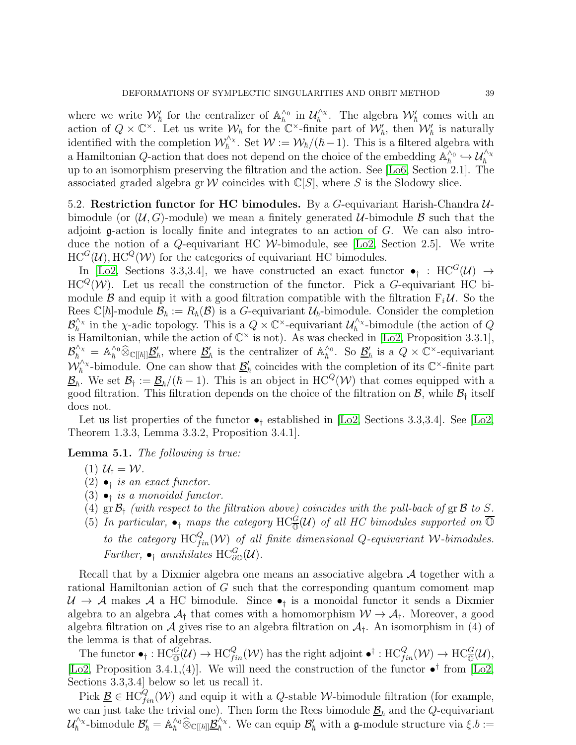where we write  $\mathcal{W}'_{\hbar}$  for the centralizer of  $\mathbb{A}_{\hbar}^{\wedge_0}$  $\frac{\wedge_0}{\hbar}$  in  $\mathcal{U}_{\hbar}^{\wedge_\chi}$  $\eta_{\hbar}^{\wedge_{\chi}}$ . The algebra  $\mathcal{W}'_{\hbar}$  comes with an action of  $Q \times \mathbb{C}^{\times}$ . Let us write  $\mathcal{W}_{\hbar}$  for the  $\mathbb{C}^{\times}$ -finite part of  $\mathcal{W}'_{\hbar}$ , then  $\mathcal{W}'_{\hbar}$  is naturally identified with the completion  $\mathcal{W}_h^{\wedge_{\chi}}$ <sup> $\mathcal{W}_\hbar^{\times}$ . Set  $\mathcal{W} := \mathcal{W}_\hbar/(\hbar-1)$ . This is a filtered algebra with</sup> a Hamiltonian Q-action that does not depend on the choice of the embedding  $\mathbb{A}_{\hbar}^{\wedge 0}$  $\chi_h^{\wedge_0} \hookrightarrow \mathcal{U}_h^{\wedge_\chi}$ up to an isomorphism preserving the filtration and the action. See [\[Lo6,](#page-43-22) Section 2.1]. The associated graded algebra gr W coincides with  $\mathbb{C}[S]$ , where S is the Slodowy slice.

<span id="page-38-0"></span>5.2. Restriction functor for HC bimodules. By a G-equivariant Harish-Chandra  $\mathcal{U}$ bimodule (or  $(\mathcal{U}, G)$ -module) we mean a finitely generated  $\mathcal{U}$ -bimodule  $\mathcal{B}$  such that the adjoint  $\mathfrak g$ -action is locally finite and integrates to an action of  $G$ . We can also introduce the notion of a  $Q$ -equivariant HC W-bimodule, see [\[Lo2,](#page-43-13) Section 2.5]. We write  $HC^G(\mathcal{U}), \text{HC}^Q(\mathcal{W})$  for the categories of equivariant HC bimodules.

In [\[Lo2,](#page-43-13) Sections 3.3,3.4], we have constructed an exact functor  $\bullet$ <sub>†</sub> : HC<sup>G</sup>(U)  $\to$  $HC^{Q}(\mathcal{W})$ . Let us recall the construction of the functor. Pick a G-equivariant HC bimodule  $\beta$  and equip it with a good filtration compatible with the filtration  $F_i \mathcal{U}$ . So the Rees  $\mathbb{C}[\hbar]$ -module  $\mathcal{B}_{\hbar} := R_{\hbar}(\mathcal{B})$  is a G-equivariant  $\mathcal{U}_{\hbar}$ -bimodule. Consider the completion  $\mathcal{B}_\hbar^{\wedge_\chi}$  $\chi_h^{\wedge_{\chi}}$  in the  $\chi$ -adic topology. This is a  $Q \times \mathbb{C}^{\times}$ -equivariant  $\mathcal{U}_h^{\wedge_{\chi}}$  $\int_{\hbar}^{\infty}$ -bimodule (the action of Q is Hamiltonian, while the action of  $\mathbb{C}^{\times}$  is not). As was checked in [\[Lo2,](#page-43-13) Proposition 3.3.1],  $\mathcal{B}_\hbar^{\wedge_\chi} \,=\, \mathbb{A}_\hbar^{\wedge_0} \widehat{\otimes}_{\mathbb{C}[[\hbar]]} \underline{\mathcal{B}}_\hbar'$  $'_{\hbar}$ , where  $\underline{\mathcal{B}}'_{\hbar}$  $'_{\hbar}$  is the centralizer of  $\mathbb{A}_{\hbar}^{\wedge 0}$  $\frac{\wedge_0}{\hbar}$ . So  $\underline{\mathcal{B}}'_l$  $'_{\hbar}$  is a  $Q \times \mathbb{C}^{\times}$ -equivariant  $\mathcal{W}_\hbar^{\wedge_\chi}$  $\int_{\hbar}^{\Lambda_{\chi}}$ -bimodule. One can show that  $\underline{\mathcal{B}}'_{\chi}$  $\chi_h'$  coincides with the completion of its  $\mathbb{C}^{\times}$ -finite part  $\underline{\mathcal{B}}_{\hbar}$ . We set  $\mathcal{B}_{\dagger} := \underline{\mathcal{B}}_{\hbar}/(\hbar - 1)$ . This is an object in  $HC^Q(\mathcal{W})$  that comes equipped with a good filtration. This filtration depends on the choice of the filtration on  $\mathcal{B}$ , while  $\mathcal{B}_\dagger$  itself does not.

Let us list properties of the functor  $\bullet$ <sub>†</sub> established in [\[Lo2,](#page-43-13) Sections 3.3,3.4]. See [Lo2, Theorem 1.3.3, Lemma 3.3.2, Proposition 3.4.1].

<span id="page-38-1"></span>Lemma 5.1. The following is true:

- (1)  $\mathcal{U}_\dagger = \mathcal{W}$ .
- $(2) \bullet_{\dagger}$  is an exact functor.
- (3)  $\bullet$ <sub>†</sub> is a monoidal functor.
- (4)  $\text{gr } \mathcal{B}_{\dagger}$  (with respect to the filtration above) coincides with the pull-back of  $\text{gr } \mathcal{B}$  to S.
- (5) In particular,  $\bullet_$  maps the category HC<sup>G</sup>(U) of all HC bimodules supported on  $\overline{O}$ to the category  $HC_{fin}^Q(W)$  of all finite dimensional Q-equivariant W-bimodules. Further,  $\bullet_{\dagger}$  annihilates HC<sub> $\partial_{\mathcal{O}}^G(\mathcal{U})$ .</sub>

Recall that by a Dixmier algebra one means an associative algebra  $A$  together with a rational Hamiltonian action of G such that the corresponding quantum comoment map  $U \to A$  makes A a HC bimodule. Since  $\bullet_{\dagger}$  is a monoidal functor it sends a Dixmier algebra to an algebra  $A_{\dagger}$  that comes with a homomorphism  $W \to A_{\dagger}$ . Moreover, a good algebra filtration on A gives rise to an algebra filtration on  $A_{\dagger}$ . An isomorphism in (4) of the lemma is that of algebras.

The functor  $\bullet_{\dagger} : \text{HC}_{\overline{\mathbb{Q}}}^G(\mathcal{U}) \to \text{HC}_{fin}^Q(\mathcal{W})$  has the right adjoint  $\bullet^{\dagger} : \text{HC}_{fin}^Q(\mathcal{W}) \to \text{HC}_{\overline{\mathbb{Q}}}^G(\mathcal{U}),$ [\[Lo2,](#page-43-13) Proposition 3.4.1,(4)]. We will need the construction of the functor  $\bullet^{\dagger}$  from [\[Lo2,](#page-43-13) Sections 3.3,3.4] below so let us recall it.

Pick  $\underline{\mathcal{B}} \in \mathrm{HC}_{fin}^Q(\mathcal{W})$  and equip it with a Q-stable W-bimodule filtration (for example, we can just take the trivial one). Then form the Rees bimodule  $\underline{\mathcal{B}}_{\hbar}$  and the Q-equivariant  $\mathcal{U}_\hbar^{\wedge_\chi}$  $y^{\wedge_\chi}_\hbar$ -bimodule  $\mathcal{B}'_\hbar = \mathbb{A}_{\hbar}^{\wedge_0} \widehat{\otimes}_{\mathbb{C}[[\hbar]]} \underline{\mathcal{B}}^{\wedge_\chi}_\hbar$  $\int_{\hbar}^{\lambda}$ . We can equip  $\mathcal{B}'_{\hbar}$  with a **g**-module structure via  $\xi.b :=$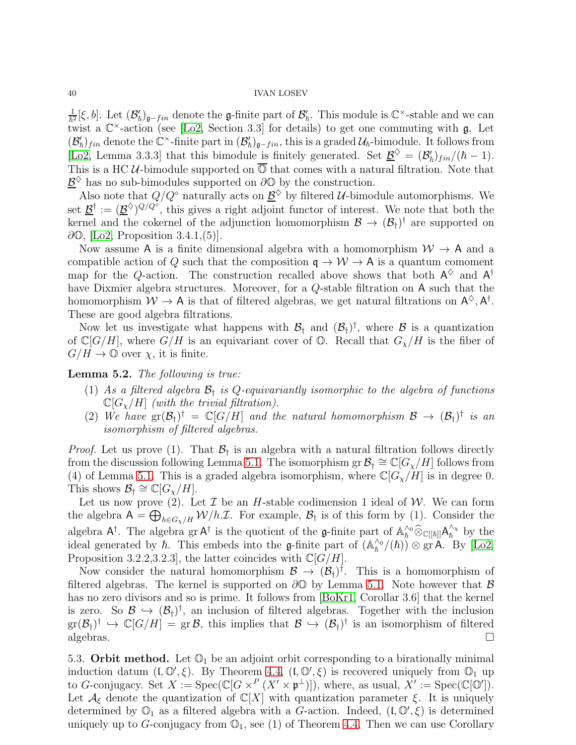1  $\frac{1}{\hbar^2}[\xi, b]$ . Let  $(\mathcal{B}'_{\hbar})_{\mathfrak{g}-fin}$  denote the  $\mathfrak{g}-fin$  ite part of  $\mathcal{B}'_{\hbar}$ . This module is  $\mathbb{C}^{\times}$ -stable and we can twist a  $\mathbb{C}^{\times}$ -action (see [\[Lo2,](#page-43-13) Section 3.3] for details) to get one commuting with  $\mathfrak{g}$ . Let  $(\mathcal{B}'_h)_{fin}$  denote the  $\mathbb{C}^{\times}$ -finite part in  $(\mathcal{B}'_h)_{\mathfrak{g}-fin}$ , this is a graded  $\mathcal{U}_h$ -bimodule. It follows from [\[Lo2,](#page-43-13) Lemma 3.3.3] that this bimodule is finitely generated. Set  $\underline{\mathcal{B}}^{\diamondsuit} = (\mathcal{B}'_h)_{fin}/(\hbar - 1)$ . This is a HC  $U$ -bimodule supported on  $\overline{\mathbb{O}}$  that comes with a natural filtration. Note that  $\underline{\mathcal{B}}^{\Diamond}$  has no sub-bimodules supported on ∂ $\Diamond$  by the construction.

Also note that  $Q/Q^{\circ}$  naturally acts on  $\underline{\mathcal{B}}^{\diamondsuit}$  by filtered U-bimodule automorphisms. We set  $\underline{\mathcal{B}}^{\dagger} := (\underline{\mathcal{B}}^{\diamond})^{Q/Q}$ , this gives a right adjoint functor of interest. We note that both the kernel and the cokernel of the adjunction homomorphism  $\mathcal{B} \to (\mathcal{B}_{\dagger})^{\dagger}$  are supported on  $\partial\mathbb{O},$  [\[Lo2,](#page-43-13) Proposition 3.4.1,(5)].

Now assume A is a finite dimensional algebra with a homomorphism  $\mathcal{W} \to A$  and a compatible action of Q such that the composition  $\mathfrak{q} \to \mathcal{W} \to \mathsf{A}$  is a quantum comoment map for the Q-action. The construction recalled above shows that both  $A^{\diamondsuit}$  and  $A^{\dagger}$ have Dixmier algebra structures. Moreover, for a Q-stable filtration on A such that the homomorphism  $W \to A$  is that of filtered algebras, we get natural filtrations on  $A^{\diamondsuit}, A^{\dagger}$ . These are good algebra filtrations.

Now let us investigate what happens with  $\mathcal{B}_\dagger$  and  $(\mathcal{B}_\dagger)^\dagger$ , where  $\mathcal B$  is a quantization of  $\mathbb{C}[G/H]$ , where  $G/H$  is an equivariant cover of  $\mathbb{O}$ . Recall that  $G_{\chi}/H$  is the fiber of  $G/H \to \mathbb{O}$  over  $\chi$ , it is finite.

<span id="page-39-1"></span>Lemma 5.2. The following is true:

- (1) As a filtered algebra  $\mathcal{B}_{\dagger}$  is Q-equivariantly isomorphic to the algebra of functions  $\mathbb{C}[G_{\chi}/H]$  (with the trivial filtration).
- (2) We have  $gr(\mathcal{B}_{\dagger})^{\dagger} = \mathbb{C}[G/H]$  and the natural homomorphism  $\mathcal{B} \to (\mathcal{B}_{\dagger})^{\dagger}$  is an isomorphism of filtered algebras.

*Proof.* Let us prove (1). That  $\mathcal{B}_{\dagger}$  is an algebra with a natural filtration follows directly from the discussion following Lemma [5.1.](#page-38-1) The isomorphism gr $\mathcal{B}_\dagger \cong \mathbb{C}[G_\chi/H]$  follows from (4) of Lemma [5.1.](#page-38-1) This is a graded algebra isomorphism, where  $\mathbb{C}[G_{\chi}/H]$  is in degree 0. This shows  $\mathcal{B}_{\dagger} \cong \mathbb{C}[G_{\chi}/H].$ 

Let us now prove (2). Let  $\mathcal I$  be an H-stable codimension 1 ideal of  $\mathcal W$ . We can form the algebra  $A = \bigoplus_{h \in G_{\chi}/H} W/h \mathcal{I}$ . For example,  $\mathcal{B}_{\dagger}$  is of this form by (1). Consider the algebra  $A^{\dagger}$ . The algebra gr  $A^{\dagger}$  is the quotient of the g-finite part of  $\mathbb{A}_{\hat{h}}^{\hat{h}\circ} \widehat{\otimes}_{\mathbb{C}[[\hbar]]} A_{\hat{h}}^{\hat{h}\circ}$  $\frac{\Delta x}{\hbar}$  by the ideal generated by  $\hbar$ . This embeds into the **g**-finite part of  $(A_{\hbar}^{\wedge o})$  $\binom{\wedge_0}{\hbar}$  /( $\hbar$ ))  $\otimes$  gr A. By [\[Lo2,](#page-43-13) Proposition 3.2.2,3.2.3], the latter coincides with  $\mathbb{C}[G/H]$ .

Now consider the natural homomorphism  $\mathcal{B} \to (\mathcal{B}_{\dagger})^{\dagger}$ . This is a homomorphism of filtered algebras. The kernel is supported on  $\partial\mathbb{O}$  by Lemma [5.1.](#page-38-1) Note however that  $\beta$ has no zero divisors and so is prime. It follows from [\[BoKr1,](#page-42-23) Corollar 3.6] that the kernel is zero. So  $\mathcal{B} \hookrightarrow (\mathcal{B}_{\dagger})^{\dagger}$ , an inclusion of filtered algebras. Together with the inclusion  $\mathrm{gr}(\mathcal{B}_{\dagger})^{\dagger} \hookrightarrow \mathbb{C}[G/H] = \mathrm{gr} \,\mathcal{B},\$  this implies that  $\mathcal{B} \hookrightarrow (\mathcal{B}_{\dagger})^{\dagger}$  is an isomorphism of filtered algebras.  $\Box$ 

<span id="page-39-0"></span>5.3. Orbit method. Let  $\mathbb{O}_1$  be an adjoint orbit corresponding to a birationally minimal induction datum  $(I, \mathbb{O}', \xi)$ . By Theorem [4.4,](#page-31-1)  $(I, \mathbb{O}', \xi)$  is recovered uniquely from  $\mathbb{O}_1$  up to G-conjugacy. Set  $X := \operatorname{Spec}(\mathbb{C}[G \times^P (X' \times \mathfrak{p}^{\perp})])$ , where, as usual,  $X' := \operatorname{Spec}(\mathbb{C}[\mathbb{O}'])$ . Let  $\mathcal{A}_{\xi}$  denote the quantization of  $\mathbb{C}[X]$  with quantization parameter  $\xi$ . It is uniquely determined by  $\mathbb{O}_1$  as a filtered algebra with a G-action. Indeed,  $(\mathfrak{l}, \mathbb{O}', \xi)$  is determined uniquely up to G-conjugacy from  $\mathbb{O}_1$ , see (1) of Theorem [4.4.](#page-31-1) Then we can use Corollary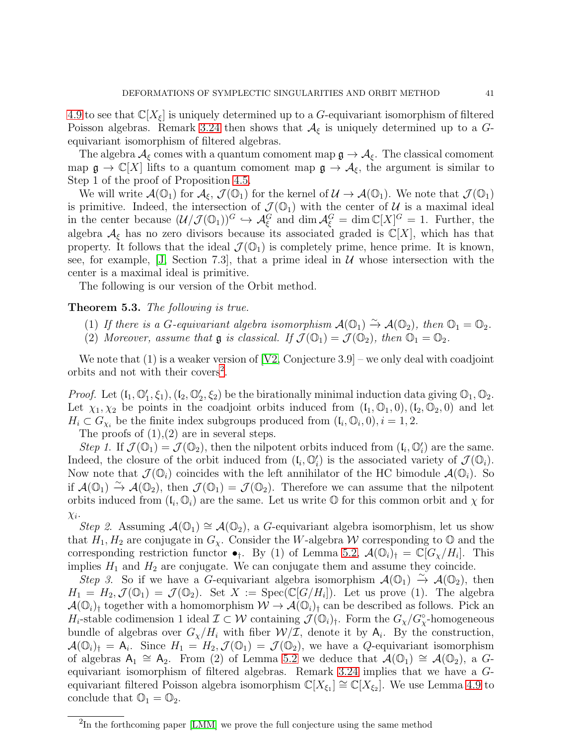[4.9](#page-35-1) to see that  $\mathbb{C}[X_{\xi}]$  is uniquely determined up to a G-equivariant isomorphism of filtered Poisson algebras. Remark [3.24](#page-28-3) then shows that  $A_{\xi}$  is uniquely determined up to a Gequivariant isomorphism of filtered algebras.

The algebra  $A_{\xi}$  comes with a quantum comoment map  $\mathfrak{g} \to A_{\xi}$ . The classical comoment map  $\mathfrak{g} \to \mathbb{C}[X]$  lifts to a quantum comoment map  $\mathfrak{g} \to \mathcal{A}_{\xi}$ , the argument is similar to Step 1 of the proof of Proposition [4.5.](#page-31-2)

We will write  $\mathcal{A}(\mathbb{O}_1)$  for  $\mathcal{A}_{\xi}, \mathcal{J}(\mathbb{O}_1)$  for the kernel of  $\mathcal{U} \to \mathcal{A}(\mathbb{O}_1)$ . We note that  $\mathcal{J}(\mathbb{O}_1)$ is primitive. Indeed, the intersection of  $\mathcal{J}(\mathbb{O}_1)$  with the center of  $\mathcal{U}$  is a maximal ideal in the center because  $(\mathcal{U}/\mathcal{J}(\mathbb{O}_1))^G \hookrightarrow \mathcal{A}_{\xi}^G$  and  $\dim \mathcal{A}_{\xi}^G = \dim \mathbb{C}[X]^G = 1$ . Further, the algebra  $\mathcal{A}_{\xi}$  has no zero divisors because its associated graded is  $\mathbb{C}[X]$ , which has that property. It follows that the ideal  $\mathcal{J}(\mathbb{O}_1)$  is completely prime, hence prime. It is known, see, for example, [\[J,](#page-42-24) Section 7.3], that a prime ideal in  $\mathcal U$  whose intersection with the center is a maximal ideal is primitive.

The following is our version of the Orbit method.

## <span id="page-40-0"></span>Theorem 5.3. The following is true.

- (1) If there is a G-equivariant algebra isomorphism  $\mathcal{A}(\mathbb{O}_1) \stackrel{\sim}{\rightarrow} \mathcal{A}(\mathbb{O}_2)$ , then  $\mathbb{O}_1 = \mathbb{O}_2$ .
- (2) Moreover, assume that  $\mathfrak g$  is classical. If  $\mathcal J(\mathbb O_1)=\mathcal J(\mathbb O_2)$ , then  $\mathbb O_1=\mathbb O_2$ .

We note that  $(1)$  is a weaker version of  $[V2, Conjecture 3.9]$  – we only deal with coadjoint orbits and not with their covers<sup>[2](#page-40-1)</sup>.

*Proof.* Let  $(I_1, \mathbb{O}'_1, \xi_1), (I_2, \mathbb{O}'_2, \xi_2)$  be the birationally minimal induction data giving  $\mathbb{O}_1, \mathbb{O}_2$ . Let  $\chi_1, \chi_2$  be points in the coadjoint orbits induced from  $(\mathfrak{l}_1, \mathbb{O}_1, 0), (\mathfrak{l}_2, \mathbb{O}_2, 0)$  and let  $H_i \subset G_{\chi_i}$  be the finite index subgroups produced from  $(\mathfrak{l}_i, \mathbb{O}_i, 0), i = 1, 2$ .

The proofs of  $(1),(2)$  are in several steps.

Step 1. If  $\mathcal{J}(\mathbb{O}_1) = \mathcal{J}(\mathbb{O}_2)$ , then the nilpotent orbits induced from  $(\mathfrak{l}_i, \mathbb{O}'_i)$  are the same. Indeed, the closure of the orbit induced from  $(\mathfrak{l}_i, \mathbb{O}'_i)$  is the associated variety of  $\mathcal{J}(\mathbb{O}_i)$ . Now note that  $\mathcal{J}(\mathbb{O}_i)$  coincides with the left annihilator of the HC bimodule  $\mathcal{A}(\mathbb{O}_i)$ . So if  $\mathcal{A}(\mathbb{O}_1) \stackrel{\sim}{\to} \mathcal{A}(\mathbb{O}_2)$ , then  $\mathcal{J}(\mathbb{O}_1) = \mathcal{J}(\mathbb{O}_2)$ . Therefore we can assume that the nilpotent orbits induced from  $(\mathfrak{l}_i, \mathbb{O}_i)$  are the same. Let us write  $\mathbb O$  for this common orbit and  $\chi$  for  $\chi_i$ .

Step 2. Assuming  $\mathcal{A}(\mathbb{O}_1) \cong \mathcal{A}(\mathbb{O}_2)$ , a G-equivariant algebra isomorphism, let us show that  $H_1, H_2$  are conjugate in  $G_\chi$ . Consider the W-algebra W corresponding to  $\mathbb O$  and the corresponding restriction functor  $\bullet_{\dagger}$ . By (1) of Lemma [5.2,](#page-39-1)  $\mathcal{A}(\mathbb{O}_i)_{\dagger} = \mathbb{C}[G_{\chi}/H_i]$ . This implies  $H_1$  and  $H_2$  are conjugate. We can conjugate them and assume they coincide.

Step 3. So if we have a G-equivariant algebra isomorphism  $\mathcal{A}(\mathbb{O}_1) \stackrel{\sim}{\to} \mathcal{A}(\mathbb{O}_2)$ , then  $H_1 = H_2, \mathcal{J}(\mathbb{O}_1) = \mathcal{J}(\mathbb{O}_2)$ . Set  $X := \text{Spec}(\mathbb{C}[G/H_i])$ . Let us prove (1). The algebra  $\mathcal{A}(\mathbb{O}_i)$  together with a homomorphism  $\mathcal{W} \to \mathcal{A}(\mathbb{O}_i)$  can be described as follows. Pick an  $H_i$ -stable codimension 1 ideal  $\mathcal{I} \subset \mathcal{W}$  containing  $\mathcal{J}(\mathbb{O}_i)_\dagger$ . Form the  $G_\chi/G_\chi^{\circ}$ -homogeneous bundle of algebras over  $G_{\chi}/H_i$  with fiber  $\mathcal{W}/\mathcal{I}$ , denote it by  $A_i$ . By the construction,  $\mathcal{A}(\mathbb{O}_i)_\dagger = \mathsf{A}_i$ . Since  $H_1 = H_2$ ,  $\mathcal{J}(\mathbb{O}_1) = \mathcal{J}(\mathbb{O}_2)$ , we have a Q-equivariant isomorphism of algebras  $A_1 \cong A_2$ . From (2) of Lemma [5.2](#page-39-1) we deduce that  $\mathcal{A}(\mathbb{O}_1) \cong \mathcal{A}(\mathbb{O}_2)$ , a Gequivariant isomorphism of filtered algebras. Remark [3.24](#page-28-3) implies that we have a Gequivariant filtered Poisson algebra isomorphism  $\mathbb{C}[X_{\xi_1}] \cong \mathbb{C}[X_{\xi_2}]$ . We use Lemma [4.9](#page-35-1) to conclude that  $\mathbb{O}_1 = \mathbb{O}_2$ .

<span id="page-40-1"></span><sup>&</sup>lt;sup>2</sup>In the forthcoming paper [\[LMM\]](#page-43-24) we prove the full conjecture using the same method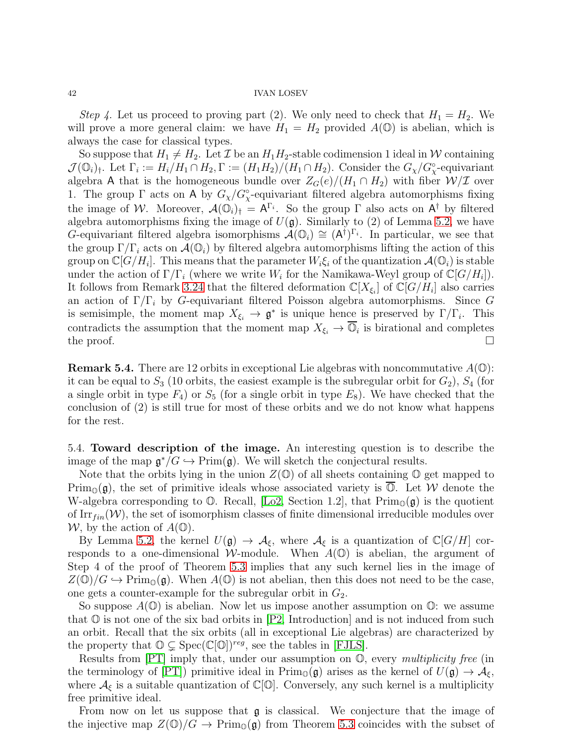Step 4. Let us proceed to proving part (2). We only need to check that  $H_1 = H_2$ . We will prove a more general claim: we have  $H_1 = H_2$  provided  $A(\mathbb{O})$  is abelian, which is always the case for classical types.

So suppose that  $H_1 \neq H_2$ . Let  $\mathcal I$  be an  $H_1H_2$ -stable codimension 1 ideal in W containing  $\mathcal{J}(\mathbb{O}_i)_\dagger$ . Let  $\Gamma_i := H_i/H_1 \cap H_2, \Gamma := (H_1 H_2)/(H_1 \cap H_2)$ . Consider the  $G_\chi/G_\chi^{\circ}$ -equivariant algebra A that is the homogeneous bundle over  $Z_G(e)/(H_1 \cap H_2)$  with fiber  $\mathcal{W}/\mathcal{I}$  over 1. The group  $\Gamma$  acts on A by  $G_{\chi}/G_{\chi}^{\circ}$ -equivariant filtered algebra automorphisms fixing the image of W. Moreover,  $\mathcal{A}(\mathbb{O}_i)_\dagger = A^{\Gamma_i}$ . So the group  $\Gamma$  also acts on  $A^{\dagger}$  by filtered algebra automorphisms fixing the image of  $U(\mathfrak{g})$ . Similarly to (2) of Lemma [5.2,](#page-39-1) we have G-equivariant filtered algebra isomorphisms  $\mathcal{A}(\mathbb{O}_i) \cong (A^{\dagger})^{\Gamma_i}$ . In particular, we see that the group  $\Gamma/\Gamma_i$  acts on  $\mathcal{A}(\mathbb{O}_i)$  by filtered algebra automorphisms lifting the action of this group on  $\mathbb{C}[G/H_i].$  This means that the parameter  $W_i \xi_i$  of the quantization  $\mathcal{A}(\mathbb{O}_i)$  is stable under the action of  $\Gamma/\Gamma_i$  (where we write  $W_i$  for the Namikawa-Weyl group of  $\mathbb{C}[G/H_i]$ ). It follows from Remark [3.24](#page-28-3) that the filtered deformation  $\mathbb{C}[X_{\xi_i}]$  of  $\mathbb{C}[G/H_i]$  also carries an action of  $\Gamma/\Gamma_i$  by G-equivariant filtered Poisson algebra automorphisms. Since G is semisimple, the moment map  $X_{\xi_i} \to \mathfrak{g}^*$  is unique hence is preserved by  $\Gamma/\Gamma_i$ . This contradicts the assumption that the moment map  $X_{\xi_i} \to \mathbb{O}_i$  is birational and completes the proof.  $\Box$ 

**Remark 5.4.** There are 12 orbits in exceptional Lie algebras with noncommutative  $A(\mathbb{O})$ : it can be equal to  $S_3$  (10 orbits, the easiest example is the subregular orbit for  $G_2$ ),  $S_4$  (for a single orbit in type  $F_4$ ) or  $S_5$  (for a single orbit in type  $E_8$ ). We have checked that the conclusion of (2) is still true for most of these orbits and we do not know what happens for the rest.

<span id="page-41-0"></span>5.4. Toward description of the image. An interesting question is to describe the image of the map  $\mathfrak{g}^*/G \hookrightarrow \mathrm{Prim}(\mathfrak{g})$ . We will sketch the conjectural results.

Note that the orbits lying in the union  $Z(\mathbb{O})$  of all sheets containing  $\mathbb{O}$  get mapped to  $\operatorname{Prim}_{\mathbb{O}}(\mathfrak{g})$ , the set of primitive ideals whose associated variety is  $\overline{\mathbb{O}}$ . Let W denote the W-algebra corresponding to  $\mathbb{O}$ . Recall, [\[Lo2,](#page-43-13) Section 1.2], that  $\text{Prim}_{\mathbb{O}}(\mathfrak{g})$  is the quotient of Irr $_{fin}(\mathcal{W})$ , the set of isomorphism classes of finite dimensional irreducible modules over W, by the action of  $A(\mathbb{O})$ .

By Lemma [5.2,](#page-39-1) the kernel  $U(\mathfrak{g}) \to \mathcal{A}_{\xi}$ , where  $\mathcal{A}_{\xi}$  is a quantization of  $\mathbb{C}[G/H]$  corresponds to a one-dimensional W-module. When  $A(\mathbb{O})$  is abelian, the argument of Step 4 of the proof of Theorem [5.3](#page-40-0) implies that any such kernel lies in the image of  $Z(\mathbb{O})/G \hookrightarrow \mathrm{Prim}_{\mathbb{O}}(\mathfrak{g})$ . When  $A(\mathbb{O})$  is not abelian, then this does not need to be the case, one gets a counter-example for the subregular orbit in  $G_2$ .

So suppose  $A(\mathbb{O})$  is abelian. Now let us impose another assumption on  $\mathbb{O}$ : we assume that  $\mathbb O$  is not one of the six bad orbits in [\[P2,](#page-43-25) Introduction] and is not induced from such an orbit. Recall that the six orbits (all in exceptional Lie algebras) are characterized by the property that  $\mathbb{O} \subsetneq \text{Spec}(\mathbb{C}[\mathbb{O}])^{reg}$ , see the tables in [\[FJLS\]](#page-42-25).

Results from [\[PT\]](#page-43-20) imply that, under our assumption on O, every multiplicity free (in the terminology of [\[PT\]](#page-43-20)) primitive ideal in  $\text{Prim}_{\mathbb{O}}(\mathfrak{g})$  arises as the kernel of  $U(\mathfrak{g}) \to \mathcal{A}_{\xi}$ , where  $\mathcal{A}_{\xi}$  is a suitable quantization of  $\mathbb{C}[\mathbb{O}]$ . Conversely, any such kernel is a multiplicity free primitive ideal.

From now on let us suppose that  $\mathfrak g$  is classical. We conjecture that the image of the injective map  $Z(\mathbb{O})/G \to \text{Prim}_{\mathbb{O}}(\mathfrak{g})$  from Theorem [5.3](#page-40-0) coincides with the subset of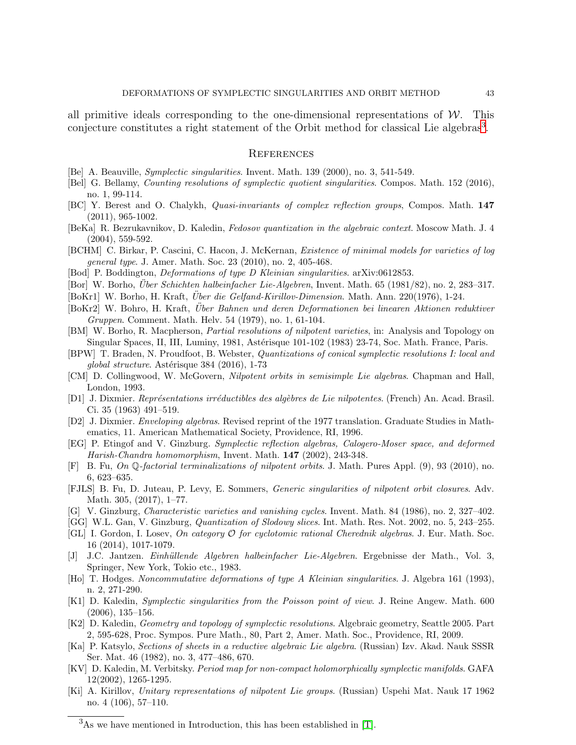all primitive ideals corresponding to the one-dimensional representations of  $W$ . This conjecture constitutes a right statement of the Orbit method for classical Lie algebras<sup>[3](#page-42-26)</sup>.

### <span id="page-42-0"></span>**REFERENCES**

- <span id="page-42-1"></span>[Be] A. Beauville, Symplectic singularities. Invent. Math. 139 (2000), no. 3, 541-549.
- <span id="page-42-4"></span>[Bel] G. Bellamy, Counting resolutions of symplectic quotient singularities. Compos. Math. 152 (2016), no. 1, 99-114.
- <span id="page-42-18"></span>[BC] Y. Berest and O. Chalykh, Quasi-invariants of complex reflection groups, Compos. Math. 147 (2011), 965-1002.
- <span id="page-42-9"></span>[BeKa] R. Bezrukavnikov, D. Kaledin, Fedosov quantization in the algebraic context. Moscow Math. J. 4 (2004), 559-592.
- <span id="page-42-14"></span>[BCHM] C. Birkar, P. Cascini, C. Hacon, J. McKernan, Existence of minimal models for varieties of log general type. J. Amer. Math. Soc. 23 (2010), no. 2, 405-468.
- <span id="page-42-16"></span>[Bod] P. Boddington, *Deformations of type D Kleinian singularities.* arXiv:0612853.
- <span id="page-42-20"></span>[Bor] W. Borho, *Über Schichten halbeinfacher Lie-Algebren*, Invent. Math.  $65$  (1981/82), no. 2, 283–317.
- <span id="page-42-23"></span>[BoKr1] W. Borho, H. Kraft, *Über die Gelfand-Kirillov-Dimension*. Math. Ann. 220(1976), 1-24.
- <span id="page-42-21"></span>[BoKr2] W. Bohro, H. Kraft, Über Bahnen und deren Deformationen bei linearen Aktionen reduktiver Gruppen. Comment. Math. Helv. 54 (1979), no. 1, 61-104.
- [BM] W. Borho, R. Macpherson, Partial resolutions of nilpotent varieties, in: Analysis and Topology on Singular Spaces, II, III, Luminy, 1981, Astérisque 101-102 (1983) 23-74, Soc. Math. France, Paris.
- <span id="page-42-2"></span>[BPW] T. Braden, N. Proudfoot, B. Webster, Quantizations of conical symplectic resolutions I: local and qlobal structure. Astérisque  $384$  (2016), 1-73
- <span id="page-42-8"></span>[CM] D. Collingwood, W. McGovern, Nilpotent orbits in semisimple Lie algebras. Chapman and Hall, London, 1993.
- <span id="page-42-6"></span>[D1] J. Dixmier. Représentations irréductibles des algèbres de Lie nilpotentes. (French) An. Acad. Brasil. Ci. 35 (1963) 491–519.
- <span id="page-42-7"></span>[D2] J. Dixmier. Enveloping algebras. Revised reprint of the 1977 translation. Graduate Studies in Mathematics, 11. American Mathematical Society, Providence, RI, 1996.
- <span id="page-42-3"></span>[EG] P. Etingof and V. Ginzburg. Symplectic reflection algebras, Calogero-Moser space, and deformed Harish-Chandra homomorphism, Invent. Math. 147 (2002), 243-348.
- <span id="page-42-10"></span>[F] B. Fu, On Q-factorial terminalizations of nilpotent orbits. J. Math. Pures Appl. (9), 93 (2010), no. 6, 623–635.
- <span id="page-42-25"></span>[FJLS] B. Fu, D. Juteau, P. Levy, E. Sommers, Generic singularities of nilpotent orbit closures. Adv. Math. 305, (2017), 1–77.
- <span id="page-42-15"></span>[G] V. Ginzburg, Characteristic varieties and vanishing cycles. Invent. Math. 84 (1986), no. 2, 327–402.
- <span id="page-42-19"></span>[GG] W.L. Gan, V. Ginzburg, Quantization of Slodowy slices. Int. Math. Res. Not. 2002, no. 5, 243–255.
- [GL] I. Gordon, I. Losev, On category O for cyclotomic rational Cherednik algebras. J. Eur. Math. Soc. 16 (2014), 1017-1079.
- <span id="page-42-24"></span>[J] J.C. Jantzen. Einh¨ullende Algebren halbeinfacher Lie-Algebren. Ergebnisse der Math., Vol. 3, Springer, New York, Tokio etc., 1983.
- <span id="page-42-17"></span>[Ho] T. Hodges. Noncommutative deformations of type A Kleinian singularities. J. Algebra 161 (1993), n. 2, 271-290.
- <span id="page-42-12"></span>[K1] D. Kaledin, Symplectic singularities from the Poisson point of view. J. Reine Angew. Math. 600 (2006), 135–156.
- <span id="page-42-13"></span>[K2] D. Kaledin, Geometry and topology of symplectic resolutions. Algebraic geometry, Seattle 2005. Part 2, 595-628, Proc. Sympos. Pure Math., 80, Part 2, Amer. Math. Soc., Providence, RI, 2009.
- <span id="page-42-22"></span>[Ka] P. Katsylo, Sections of sheets in a reductive algebraic Lie algebra. (Russian) Izv. Akad. Nauk SSSR Ser. Mat. 46 (1982), no. 3, 477–486, 670.
- <span id="page-42-11"></span>[KV] D. Kaledin, M. Verbitsky. Period map for non-compact holomorphically symplectic manifolds. GAFA 12(2002), 1265-1295.
- <span id="page-42-5"></span>[Ki] A. Kirillov, Unitary representations of nilpotent Lie groups. (Russian) Uspehi Mat. Nauk 17 1962 no. 4 (106), 57–110.

<span id="page-42-26"></span><sup>3</sup>As we have mentioned in Introduction, this has been established in [\[T\]](#page-43-5).